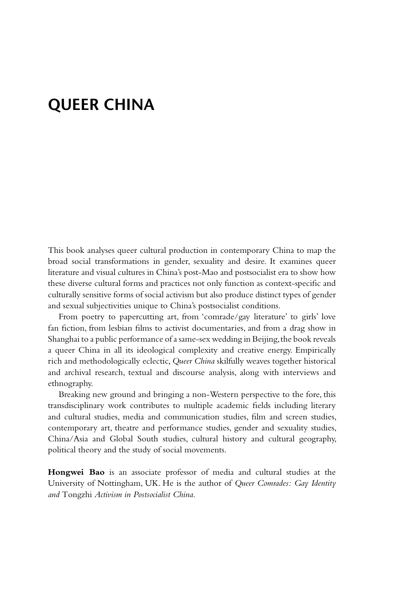# **QUEER CHINA**

This book analyses queer cultural production in contemporary China to map the broad social transformations in gender, sexuality and desire. It examines queer literature and visual cultures in China's post-Mao and postsocialist era to show how these diverse cultural forms and practices not only function as context-specific and culturally sensitive forms of social activism but also produce distinct types of gender and sexual subjectivities unique to China's postsocialist conditions.

From poetry to papercutting art, from 'comrade/gay literature' to girls' love fan fiction, from lesbian films to activist documentaries, and from a drag show in Shanghai to a public performance of a same-sex wedding in Beijing, the book reveals a queer China in all its ideological complexity and creative energy. Empirically rich and methodologically eclectic, *Queer China* skilfully weaves together historical and archival research, textual and discourse analysis, along with interviews and ethnography.

Breaking new ground and bringing a non-Western perspective to the fore, this transdisciplinary work contributes to multiple academic fields including literary and cultural studies, media and communication studies, film and screen studies, contemporary art, theatre and performance studies, gender and sexuality studies, China/Asia and Global South studies, cultural history and cultural geography, political theory and the study of social movements.

**Hongwei Bao** is an associate professor of media and cultural studies at the University of Nottingham, UK. He is the author of *Queer Comrades: Gay Identity and* Tongzhi *Activism in Postsocialist China*.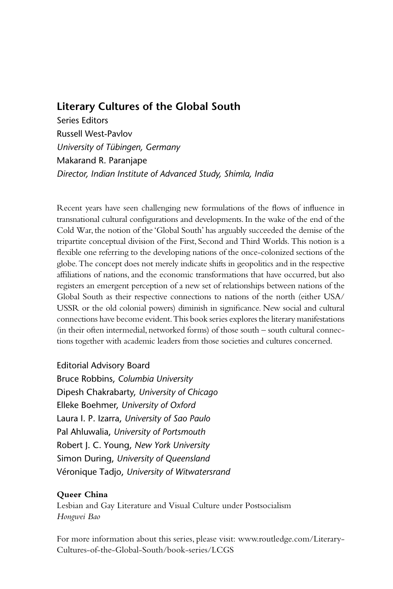### **Literary Cultures of the Global South**

Series Editors Russell West-Pavlov *University of Tübingen, Germany* Makarand R. Paranjape *Director, Indian Institute of Advanced Study, Shimla, India*

Recent years have seen challenging new formulations of the flows of influence in transnational cultural configurations and developments. In the wake of the end of the Cold War, the notion of the 'Global South' has arguably succeeded the demise of the tripartite conceptual division of the First, Second and Third Worlds. This notion is a flexible one referring to the developing nations of the once-colonized sections of the globe. The concept does not merely indicate shifts in geopolitics and in the respective affiliations of nations, and the economic transformations that have occurred, but also registers an emergent perception of a new set of relationships between nations of the Global South as their respective connections to nations of the north (either USA/ USSR or the old colonial powers) diminish in significance. New social and cultural connections have become evident. This book series explores the literary manifestations (in their often intermedial, networked forms) of those south – south cultural connections together with academic leaders from those societies and cultures concerned.

#### Editorial Advisory Board

Bruce Robbins, *Columbia University* Dipesh Chakrabarty, *University of Chicago* Elleke Boehmer, *University of Oxford* Laura I. P. Izarra, *University of Sao Paulo* Pal Ahluwalia, *University of Portsmouth* Robert J. C. Young, *New York University* Simon During, *University of Queensland* Véronique Tadjo, *University of Witwatersrand*

#### **Queer China**

Lesbian and Gay Literature and Visual Culture under Postsocialism *Hongwei Bao*

For more information about this series, please visit: [www.routledge.com/Literary-](http://www.routledge.com)[Cultures-of-the-Global-South/book-series/LCGS](http://www.routledge.com)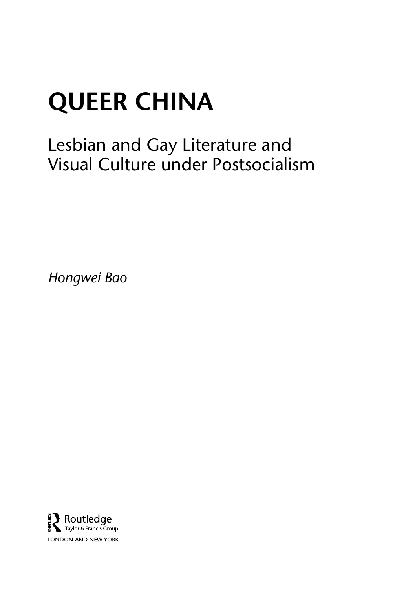# **QUEER CHINA**

# Lesbian and Gay Literature and Visual Culture under Postsocialism

*Hongwei Bao*

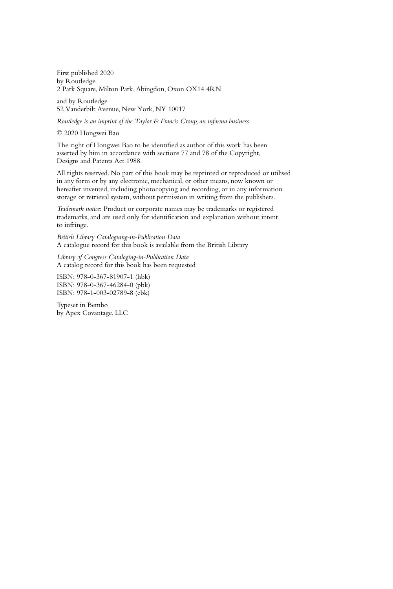First published 2020 by Routledge 2 Park Square, Milton Park, Abingdon, Oxon OX14 4RN

and by Routledge 52 Vanderbilt Avenue, New York, NY 10017

*Routledge is an imprint of the Taylor & Francis Group, an informa business*

© 2020 Hongwei Bao

The right of Hongwei Bao to be identified as author of this work has been asserted by him in accordance with sections 77 and 78 of the Copyright, Designs and Patents Act 1988.

All rights reserved. No part of this book may be reprinted or reproduced or utilised in any form or by any electronic, mechanical, or other means, now known or hereafter invented, including photocopying and recording, or in any information storage or retrieval system, without permission in writing from the publishers.

*Trademark notice*: Product or corporate names may be trademarks or registered trademarks, and are used only for identification and explanation without intent to infringe.

*British Library Cataloguing-in-Publication Data* A catalogue record for this book is available from the British Library

*Library of Congress Cataloging-in-Publication Data* A catalog record for this book has been requested

ISBN: 978-0-367-81907-1 (hbk) ISBN: 978-0-367-46284-0 (pbk) ISBN: 978-1-003-02789-8 (ebk)

Typeset in Bembo by Apex Covantage, LLC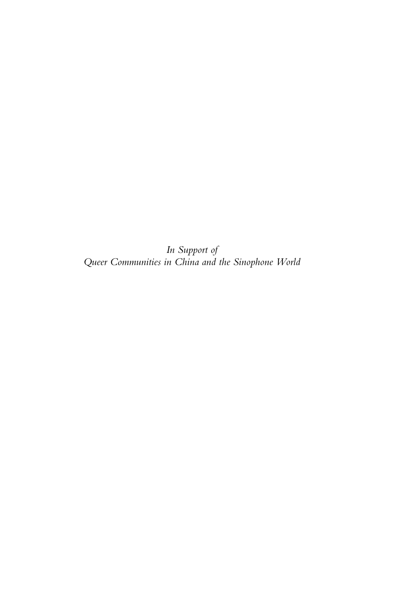*In Support of Queer Communities in China and the Sinophone World*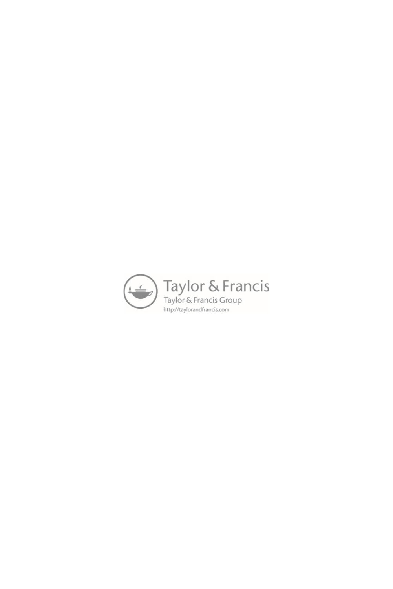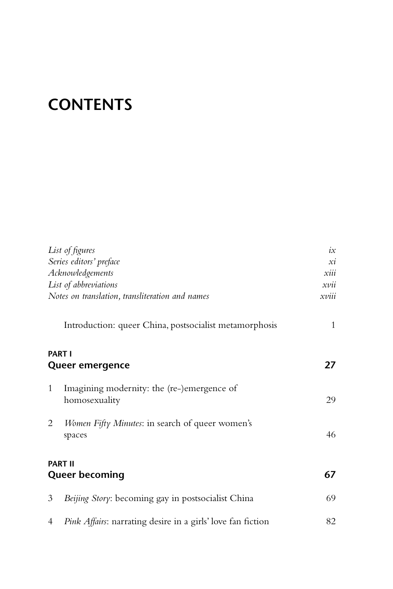# **CONTENTS**

| List of figures                                 |                                                             | ix           |  |
|-------------------------------------------------|-------------------------------------------------------------|--------------|--|
| Series editors' preface<br>Acknowledgements     |                                                             | xi           |  |
|                                                 |                                                             | xiii         |  |
|                                                 | List of abbreviations                                       | xvii         |  |
| Notes on translation, transliteration and names |                                                             | xviii        |  |
|                                                 | Introduction: queer China, postsocialist metamorphosis      | $\mathbf{1}$ |  |
|                                                 | <b>PART I</b><br>Queer emergence                            | 27           |  |
| 1                                               | Imagining modernity: the (re-)emergence of<br>homosexuality | 29           |  |
| 2                                               | Women Fifty Minutes: in search of queer women's<br>spaces   | 46           |  |
|                                                 | <b>PART II</b><br><b>Queer becoming</b>                     | 67           |  |
| 3                                               | Beijing Story: becoming gay in postsocialist China          | 69           |  |
| 4                                               | Pink Affairs: narrating desire in a girls' love fan fiction | 82           |  |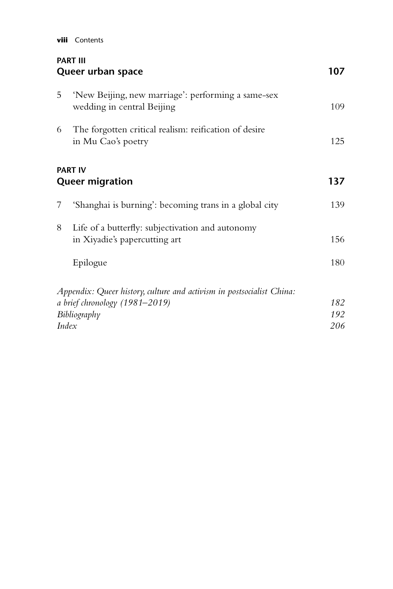| <b>PART III</b><br>Queer urban space |                                                                                   | 107 |
|--------------------------------------|-----------------------------------------------------------------------------------|-----|
| 5                                    | 'New Beijing, new marriage': performing a same-sex<br>wedding in central Beijing  | 109 |
|                                      | 6 The forgotten critical realism: reification of desire<br>in Mu Cao's poetry     | 125 |
|                                      | <b>PART IV</b><br><b>Queer migration</b>                                          | 137 |
| 7                                    | 'Shanghai is burning': becoming trans in a global city                            | 139 |
| 8                                    | Life of a butterfly: subjectivation and autonomy<br>in Xiyadie's papercutting art | 156 |
|                                      | Epilogue                                                                          | 180 |
|                                      | Appendix: Queer history, culture and activism in postsocialist China:             |     |
|                                      | a brief chronology $(1981 - 2019)$                                                |     |
| Bibliography                         |                                                                                   | 192 |
|                                      | Index                                                                             | 206 |
|                                      |                                                                                   |     |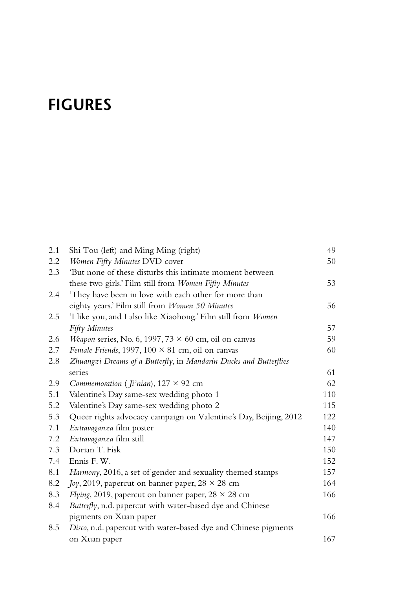# **FIGURES**

| 2.1 | Shi Tou (left) and Ming Ming (right)                              | 49  |
|-----|-------------------------------------------------------------------|-----|
| 2.2 | Women Fifty Minutes DVD cover                                     | 50  |
| 2.3 | 'But none of these disturbs this intimate moment between          |     |
|     | these two girls.' Film still from Women Fifty Minutes             | 53  |
| 2.4 | 'They have been in love with each other for more than             |     |
|     | eighty years.' Film still from Women 50 Minutes                   | 56  |
| 2.5 | 'I like you, and I also like Xiaohong.' Film still from Women     |     |
|     | <b>Fifty Minutes</b>                                              | 57  |
| 2.6 | Weapon series, No. 6, 1997, 73 $\times$ 60 cm, oil on canvas      | 59  |
| 2.7 | Female Friends, 1997, $100 \times 81$ cm, oil on canvas           | 60  |
| 2.8 | Zhuangzi Dreams of a Butterfly, in Mandarin Ducks and Butterflies |     |
|     | series                                                            | 61  |
| 2.9 | Commemoration ( <i>Ji'nian</i> ), $127 \times 92$ cm              | 62  |
| 5.1 | Valentine's Day same-sex wedding photo 1                          | 110 |
| 5.2 | Valentine's Day same-sex wedding photo 2                          | 115 |
| 5.3 | Queer rights advocacy campaign on Valentine's Day, Beijing, 2012  | 122 |
| 7.1 | Extravaganza film poster                                          | 140 |
| 7.2 | Extravaganza film still                                           | 147 |
| 7.3 | Dorian T. Fisk                                                    | 150 |
| 7.4 | Ennis F.W.                                                        | 152 |
| 8.1 | Harmony, 2016, a set of gender and sexuality themed stamps        | 157 |
| 8.2 | $Joy$ , 2019, papercut on banner paper, 28 $\times$ 28 cm         | 164 |
| 8.3 | Flying, 2019, papercut on banner paper, $28 \times 28$ cm         | 166 |
| 8.4 | Butterfly, n.d. papercut with water-based dye and Chinese         |     |
|     | pigments on Xuan paper                                            | 166 |
| 8.5 | Disco, n.d. papercut with water-based dye and Chinese pigments    |     |
|     | on Xuan paper                                                     | 167 |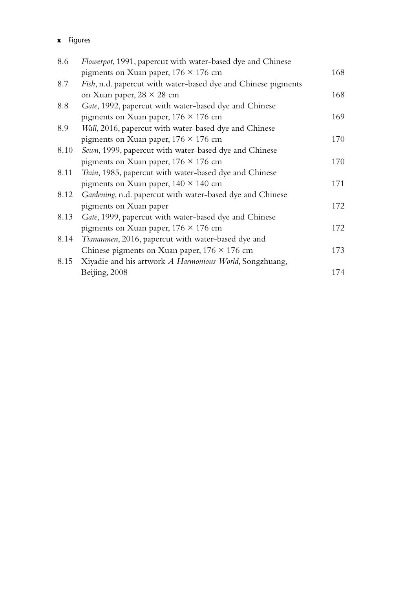| ∙ıaures |  |
|---------|--|
|---------|--|

| 8.6  | Flowerpot, 1991, papercut with water-based dye and Chinese        |     |
|------|-------------------------------------------------------------------|-----|
|      | pigments on Xuan paper, $176 \times 176$ cm                       | 168 |
| 8.7  | Fish, n.d. papercut with water-based dye and Chinese pigments     |     |
|      | on Xuan paper, $28 \times 28$ cm                                  | 168 |
| 8.8  | Gate, 1992, papercut with water-based dye and Chinese             |     |
|      | pigments on Xuan paper, $176 \times 176$ cm                       | 169 |
| 8.9  | Wall, 2016, papercut with water-based dye and Chinese             |     |
|      | pigments on Xuan paper, $176 \times 176$ cm                       | 170 |
| 8.10 | Sewn, 1999, papercut with water-based dye and Chinese             |     |
|      | pigments on Xuan paper, $176 \times 176$ cm                       | 170 |
| 8.11 | <i>Train</i> , 1985, papercut with water-based dye and Chinese    |     |
|      | pigments on Xuan paper, $140 \times 140$ cm                       | 171 |
| 8.12 | <i>Gardening</i> , n.d. papercut with water-based dye and Chinese |     |
|      | pigments on Xuan paper                                            | 172 |
| 8.13 | Gate, 1999, papercut with water-based dye and Chinese             |     |
|      | pigments on Xuan paper, $176 \times 176$ cm                       | 172 |
| 8.14 | Tiananmen, 2016, papercut with water-based dye and                |     |
|      | Chinese pigments on Xuan paper, $176 \times 176$ cm               | 173 |
| 8.15 | Xiyadie and his artwork A Harmonious World, Songzhuang,           |     |
|      | Beijing, 2008                                                     | 174 |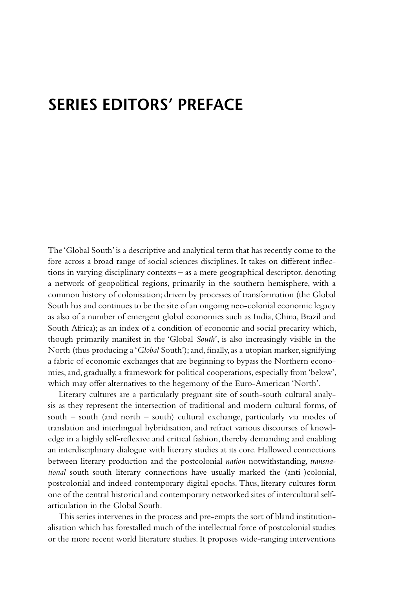## **SERIES EDITORS' PREFACE**

The 'Global South' is a descriptive and analytical term that has recently come to the fore across a broad range of social sciences disciplines. It takes on different inflections in varying disciplinary contexts – as a mere geographical descriptor, denoting a network of geopolitical regions, primarily in the southern hemisphere, with a common history of colonisation; driven by processes of transformation (the Global South has and continues to be the site of an ongoing neo-colonial economic legacy as also of a number of emergent global economies such as India, China, Brazil and South Africa); as an index of a condition of economic and social precarity which, though primarily manifest in the 'Global *South*', is also increasingly visible in the North (thus producing a '*Global* South'); and, finally, as a utopian marker, signifying a fabric of economic exchanges that are beginning to bypass the Northern economies, and, gradually, a framework for political cooperations, especially from 'below', which may offer alternatives to the hegemony of the Euro-American 'North'.

Literary cultures are a particularly pregnant site of south-south cultural analysis as they represent the intersection of traditional and modern cultural forms, of south – south (and north – south) cultural exchange, particularly via modes of translation and interlingual hybridisation, and refract various discourses of knowledge in a highly self-reflexive and critical fashion, thereby demanding and enabling an interdisciplinary dialogue with literary studies at its core. Hallowed connections between literary production and the postcolonial *nation* notwithstanding, *transnational* south-south literary connections have usually marked the (anti-)colonial, postcolonial and indeed contemporary digital epochs. Thus, literary cultures form one of the central historical and contemporary networked sites of intercultural selfarticulation in the Global South.

This series intervenes in the process and pre-empts the sort of bland institutionalisation which has forestalled much of the intellectual force of postcolonial studies or the more recent world literature studies. It proposes wide-ranging interventions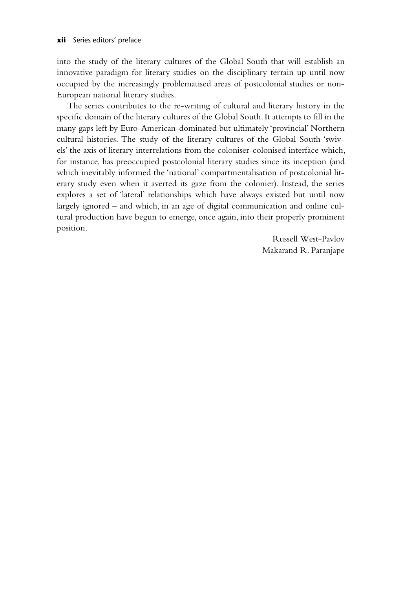into the study of the literary cultures of the Global South that will establish an innovative paradigm for literary studies on the disciplinary terrain up until now occupied by the increasingly problematised areas of postcolonial studies or non-European national literary studies.

The series contributes to the re-writing of cultural and literary history in the specific domain of the literary cultures of the Global South. It attempts to fill in the many gaps left by Euro-American-dominated but ultimately 'provincial' Northern cultural histories. The study of the literary cultures of the Global South 'swivels' the axis of literary interrelations from the coloniser-colonised interface which, for instance, has preoccupied postcolonial literary studies since its inception (and which inevitably informed the 'national' compartmentalisation of postcolonial literary study even when it averted its gaze from the colonier). Instead, the series explores a set of 'lateral' relationships which have always existed but until now largely ignored – and which, in an age of digital communication and online cultural production have begun to emerge, once again, into their properly prominent position.

> Russell West-Pavlov Makarand R. Paranjape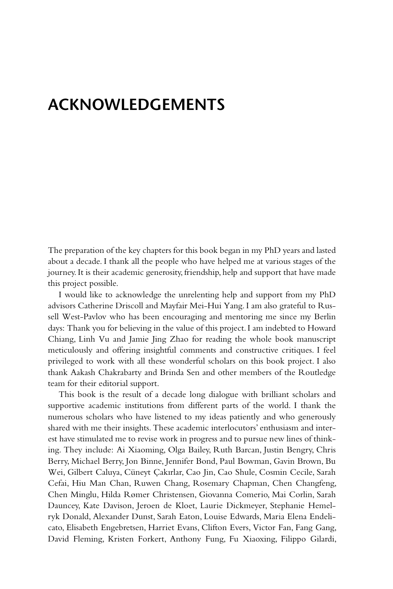## **ACKNOWLEDGEMENTS**

The preparation of the key chapters for this book began in my PhD years and lasted about a decade. I thank all the people who have helped me at various stages of the journey. It is their academic generosity, friendship, help and support that have made this project possible.

I would like to acknowledge the unrelenting help and support from my PhD advisors Catherine Driscoll and Mayfair Mei-Hui Yang. I am also grateful to Russell West-Pavlov who has been encouraging and mentoring me since my Berlin days: Thank you for believing in the value of this project. I am indebted to Howard Chiang, Linh Vu and Jamie Jing Zhao for reading the whole book manuscript meticulously and offering insightful comments and constructive critiques. I feel privileged to work with all these wonderful scholars on this book project. I also thank Aakash Chakrabarty and Brinda Sen and other members of the Routledge team for their editorial support.

This book is the result of a decade long dialogue with brilliant scholars and supportive academic institutions from different parts of the world. I thank the numerous scholars who have listened to my ideas patiently and who generously shared with me their insights. These academic interlocutors' enthusiasm and interest have stimulated me to revise work in progress and to pursue new lines of thinking. They include: Ai Xiaoming, Olga Bailey, Ruth Barcan, Justin Bengry, Chris Berry, Michael Berry, Jon Binne, Jennifer Bond, Paul Bowman, Gavin Brown, Bu Wei, Gilbert Caluya, Cüneyt Çakırlar, Cao Jin, Cao Shule, Cosmin Cecile, Sarah Cefai, Hiu Man Chan, Ruwen Chang, Rosemary Chapman, Chen Changfeng, Chen Minglu, Hilda Rømer Christensen, Giovanna Comerio, Mai Corlin, Sarah Dauncey, Kate Davison, Jeroen de Kloet, Laurie Dickmeyer, Stephanie Hemelryk Donald, Alexander Dunst, Sarah Eaton, Louise Edwards, Maria Elena Endelicato, Elisabeth Engebretsen, Harriet Evans, Clifton Evers, Victor Fan, Fang Gang, David Fleming, Kristen Forkert, Anthony Fung, Fu Xiaoxing, Filippo Gilardi,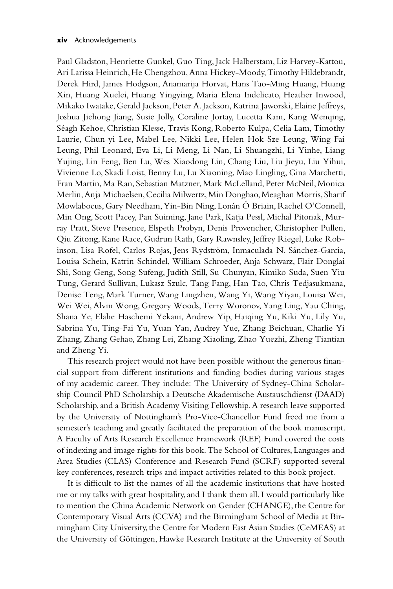Paul Gladston, Henriette Gunkel, Guo Ting, Jack Halberstam, Liz Harvey-Kattou, Ari Larissa Heinrich, He Chengzhou, Anna Hickey-Moody, Timothy Hildebrandt, Derek Hird, James Hodgson, Anamarija Horvat, Hans Tao-Ming Huang, Huang Xin, Huang Xuelei, Huang Yingying, Maria Elena Indelicato, Heather Inwood, Mikako Iwatake, Gerald Jackson, Peter A. Jackson, Katrina Jaworski, Elaine Jeffreys, Joshua Jiehong Jiang, Susie Jolly, Coraline Jortay, Lucetta Kam, Kang Wenqing, Séagh Kehoe, Christian Klesse, Travis Kong, Roberto Kulpa, Celia Lam, Timothy Laurie, Chun-yi Lee, Mabel Lee, Nikki Lee, Helen Hok-Sze Leung, Wing-Fai Leung, Phil Leonard, Eva Li, Li Meng, Li Nan, Li Shuangzhi, Li Yinhe, Liang Yujing, Lin Feng, Ben Lu, Wes Xiaodong Lin, Chang Liu, Liu Jieyu, Liu Yihui, Vivienne Lo, Skadi Loist, Benny Lu, Lu Xiaoning, Mao Lingling, Gina Marchetti, Fran Martin, Ma Ran, Sebastian Matzner, Mark McLelland, Peter McNeil, Monica Merlin, Anja Michaelsen, Cecilia Milwertz, Min Donghao, Meaghan Morris, Sharif Mowlabocus, Gary Needham, Yin-Bin Ning, Lonán Ó Briain, Rachel O'Connell, Min Ong, Scott Pacey, Pan Suiming, Jane Park, Katja Pessl, Michal Pitonak, Murray Pratt, Steve Presence, Elspeth Probyn, Denis Provencher, Christopher Pullen, Qiu Zitong, Kane Race, Gudrun Rath, Gary Rawnsley, Jeffrey Riegel, Luke Robinson, Lisa Rofel, Carlos Rojas, Jens Rydström, Inmaculada N. Sánchez-García, Louisa Schein, Katrin Schindel, William Schroeder, Anja Schwarz, Flair Donglai Shi, Song Geng, Song Sufeng, Judith Still, Su Chunyan, Kimiko Suda, Suen Yiu Tung, Gerard Sullivan, Lukasz Szulc, Tang Fang, Han Tao, Chris Tedjasukmana, Denise Teng, Mark Turner, Wang Lingzhen, Wang Yi, Wang Yiyan, Louisa Wei, Wei Wei, Alvin Wong, Gregory Woods, Terry Woronov, Yang Ling, Yau Ching, Shana Ye, Elahe Haschemi Yekani, Andrew Yip, Haiqing Yu, Kiki Yu, Lily Yu, Sabrina Yu, Ting-Fai Yu, Yuan Yan, Audrey Yue, Zhang Beichuan, Charlie Yi Zhang, Zhang Gehao, Zhang Lei, Zhang Xiaoling, Zhao Yuezhi, Zheng Tiantian and Zheng Yi.

This research project would not have been possible without the generous financial support from different institutions and funding bodies during various stages of my academic career. They include: The University of Sydney-China Scholarship Council PhD Scholarship, a Deutsche Akademische Austauschdienst (DAAD) Scholarship, and a British Academy Visiting Fellowship. A research leave supported by the University of Nottingham's Pro-Vice-Chancellor Fund freed me from a semester's teaching and greatly facilitated the preparation of the book manuscript. A Faculty of Arts Research Excellence Framework (REF) Fund covered the costs of indexing and image rights for this book. The School of Cultures, Languages and Area Studies (CLAS) Conference and Research Fund (SCRF) supported several key conferences, research trips and impact activities related to this book project.

It is difficult to list the names of all the academic institutions that have hosted me or my talks with great hospitality, and I thank them all. I would particularly like to mention the China Academic Network on Gender (CHANGE), the Centre for Contemporary Visual Arts (CCVA) and the Birmingham School of Media at Birmingham City University, the Centre for Modern East Asian Studies (CeMEAS) at the University of Göttingen, Hawke Research Institute at the University of South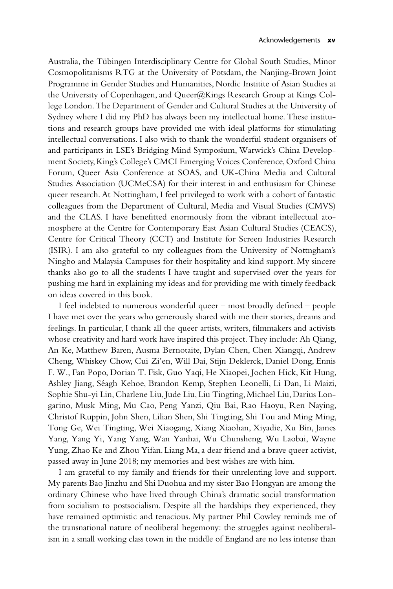Australia, the Tübingen Interdisciplinary Centre for Global South Studies, Minor Cosmopolitanisms RTG at the University of Potsdam, the Nanjing-Brown Joint Programme in Gender Studies and Humanities, Nordic Institite of Asian Studies at the University of Copenhagen, and Queer@Kings Research Group at Kings College London. The Department of Gender and Cultural Studies at the University of Sydney where I did my PhD has always been my intellectual home. These institutions and research groups have provided me with ideal platforms for stimulating intellectual conversations. I also wish to thank the wonderful student organisers of and participants in LSE's Bridging Mind Symposium, Warwick's China Development Society, King's College's CMCI Emerging Voices Conference, Oxford China Forum, Queer Asia Conference at SOAS, and UK-China Media and Cultural Studies Association (UCMeCSA) for their interest in and enthusiasm for Chinese queer research. At Nottingham, I feel privileged to work with a cohort of fantastic colleagues from the Department of Cultural, Media and Visual Studies (CMVS) and the CLAS. I have benefitted enormously from the vibrant intellectual atomosphere at the Centre for Contemporary East Asian Cultural Studies (CEACS), Centre for Critical Theory (CCT) and Institute for Screen Industries Research (ISIR). I am also grateful to my colleagues from the University of Nottngham's Ningbo and Malaysia Campuses for their hospitality and kind support. My sincere thanks also go to all the students I have taught and supervised over the years for pushing me hard in explaining my ideas and for providing me with timely feedback on ideas covered in this book.

I feel indebted to numerous wonderful queer – most broadly defined – people I have met over the years who generously shared with me their stories, dreams and feelings. In particular, I thank all the queer artists, writers, filmmakers and activists whose creativity and hard work have inspired this project. They include: Ah Qiang, An Ke, Matthew Baren, Ausma Bernotaite, Dylan Chen, Chen Xiangqi, Andrew Cheng, Whiskey Chow, Cui Zi'en, Will Dai, Stijn Deklerck, Daniel Dong, Ennis F. W., Fan Popo, Dorian T. Fisk, Guo Yaqi, He Xiaopei, Jochen Hick, Kit Hung, Ashley Jiang, Séagh Kehoe, Brandon Kemp, Stephen Leonelli, Li Dan, Li Maizi, Sophie Shu-yi Lin, Charlene Liu, Jude Liu, Liu Tingting, Michael Liu, Darius Longarino, Musk Ming, Mu Cao, Peng Yanzi, Qiu Bai, Rao Haoyu, Ren Naying, Christof Ruppin, John Shen, Lilian Shen, Shi Tingting, Shi Tou and Ming Ming, Tong Ge, Wei Tingting, Wei Xiaogang, Xiang Xiaohan, Xiyadie, Xu Bin, James Yang, Yang Yi, Yang Yang, Wan Yanhai, Wu Chunsheng, Wu Laobai, Wayne Yung, Zhao Ke and Zhou Yifan. Liang Ma, a dear friend and a brave queer activist, passed away in June 2018; my memories and best wishes are with him.

I am grateful to my family and friends for their unrelenting love and support. My parents Bao Jinzhu and Shi Duohua and my sister Bao Hongyan are among the ordinary Chinese who have lived through China's dramatic social transformation from socialism to postsocialism. Despite all the hardships they experienced, they have remained optimistic and tenacious. My partner Phil Cowley reminds me of the transnational nature of neoliberal hegemony: the struggles against neoliberalism in a small working class town in the middle of England are no less intense than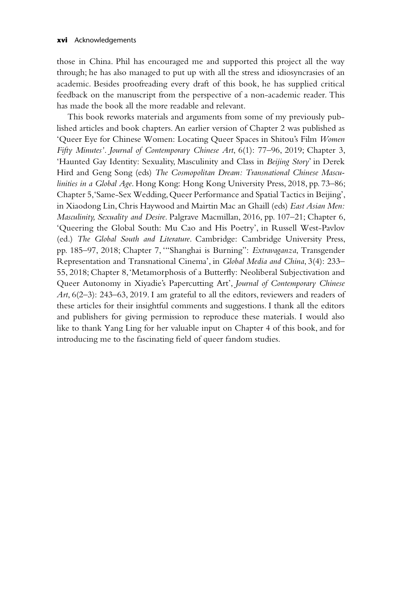those in China. Phil has encouraged me and supported this project all the way through; he has also managed to put up with all the stress and idiosyncrasies of an academic. Besides proofreading every draft of this book, he has supplied critical feedback on the manuscript from the perspective of a non-academic reader. This has made the book all the more readable and relevant.

This book reworks materials and arguments from some of my previously published articles and book chapters. An earlier version of Chapter 2 was published as 'Queer Eye for Chinese Women: Locating Queer Spaces in Shitou's Film *Women Fifty Minutes'. Journal of Contemporary Chinese Art*, 6(1): 77–96, 2019; Chapter 3, 'Haunted Gay Identity: Sexuality, Masculinity and Class in *Beijing Story*' in Derek Hird and Geng Song (eds) *The Cosmopolitan Dream: Transnational Chinese Masculinities in a Global Age*. Hong Kong: Hong Kong University Press, 2018, pp. 73–86; Chapter 5, 'Same-Sex Wedding, Queer Performance and Spatial Tactics in Beijing', in Xiaodong Lin, Chris Haywood and Mairtin Mac an Ghaill (eds) *East Asian Men: Masculinity, Sexuality and Desire*. Palgrave Macmillan, 2016, pp. 107–21; Chapter 6, 'Queering the Global South: Mu Cao and His Poetry', in Russell West-Pavlov (ed.) *The Global South and Literature*. Cambridge: Cambridge University Press, pp. 185–97, 2018; Chapter 7, '"Shanghai is Burning": *Extravaganza*, Transgender Representation and Transnational Cinema', in *Global Media and China*, 3(4): 233– 55, 2018; Chapter 8, 'Metamorphosis of a Butterfly: Neoliberal Subjectivation and Queer Autonomy in Xiyadie's Papercutting Art', *Journal of Contemporary Chinese Art*, 6(2–3): 243–63, 2019. I am grateful to all the editors, reviewers and readers of these articles for their insightful comments and suggestions. I thank all the editors and publishers for giving permission to reproduce these materials. I would also like to thank Yang Ling for her valuable input on Chapter 4 of this book, and for introducing me to the fascinating field of queer fandom studies.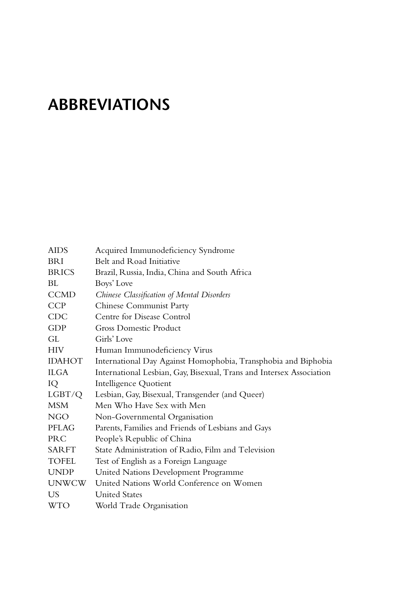# **ABBREVIATIONS**

| <b>AIDS</b>   | Acquired Immunodeficiency Syndrome                                   |
|---------------|----------------------------------------------------------------------|
| BRI           | Belt and Road Initiative                                             |
| <b>BRICS</b>  | Brazil, Russia, India, China and South Africa                        |
| BL            | Boys' Love                                                           |
| <b>CCMD</b>   | Chinese Classification of Mental Disorders                           |
| <b>CCP</b>    | Chinese Communist Party                                              |
| CDC           | Centre for Disease Control                                           |
| GDP           | Gross Domestic Product                                               |
| GL            | Girls' Love                                                          |
| <b>HIV</b>    | Human Immunodeficiency Virus                                         |
| <b>IDAHOT</b> | International Day Against Homophobia, Transphobia and Biphobia       |
| <b>ILGA</b>   | International Lesbian, Gay, Bisexual, Trans and Intersex Association |
| IQ            | Intelligence Quotient                                                |
| LGBT/Q        | Lesbian, Gay, Bisexual, Transgender (and Queer)                      |
| <b>MSM</b>    | Men Who Have Sex with Men                                            |
| <b>NGO</b>    | Non-Governmental Organisation                                        |
| PFLAG         | Parents, Families and Friends of Lesbians and Gays                   |
| <b>PRC</b>    | People's Republic of China                                           |
| <b>SARFT</b>  | State Administration of Radio, Film and Television                   |
| <b>TOFEL</b>  | Test of English as a Foreign Language                                |
| <b>UNDP</b>   | United Nations Development Programme                                 |
| <b>UNWCW</b>  | United Nations World Conference on Women                             |
| US            | <b>United States</b>                                                 |
| <b>WTO</b>    | World Trade Organisation                                             |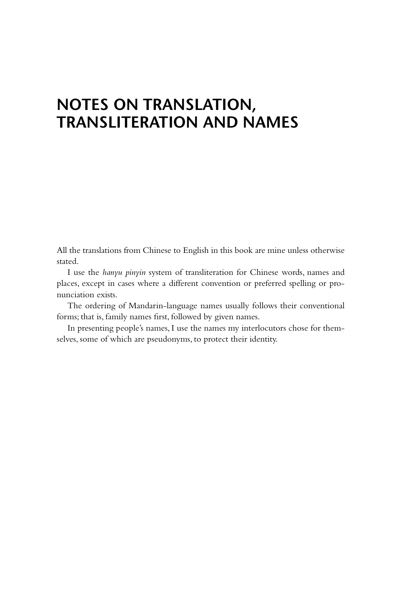# **NOTES ON TRANSLATION, TRANSLITERATION AND NAMES**

All the translations from Chinese to English in this book are mine unless otherwise stated.

I use the *hanyu pinyin* system of transliteration for Chinese words, names and places, except in cases where a different convention or preferred spelling or pronunciation exists.

The ordering of Mandarin-language names usually follows their conventional forms; that is, family names first, followed by given names.

In presenting people's names, I use the names my interlocutors chose for themselves, some of which are pseudonyms, to protect their identity.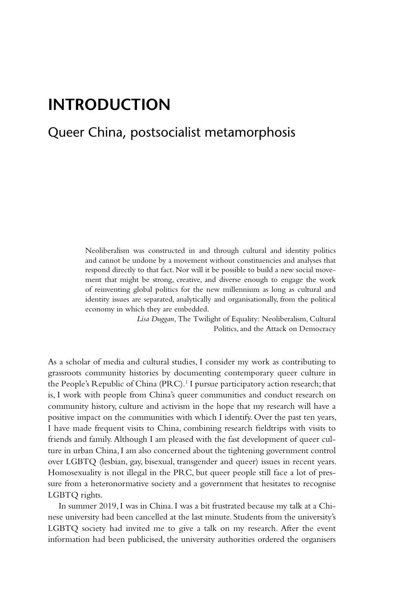# **INTRODUCTION**

### Queer China, postsocialist metamorphosis

Neoliberalism was constructed in and through cultural and identity politics and cannot be undone by a movement without constituencies and analyses that respond directly to that fact. Nor will it be possible to build a new social movement that might be strong, creative, and diverse enough to engage the work of reinventing global politics for the new millennium as long as cultural and identity issues are separated, analytically and organisationally, from the political economy in which they are embedded.

> *Lisa Duggan,* The Twilight of Equality: Neoliberalism, Cultural Politics, and the Attack on Democracy

As a scholar of media and cultural studies, I consider my work as contributing to grassroots community histories by documenting contemporary queer culture in the People's Republic of China (PRC).<sup>1</sup> I pursue participatory action research; that is, I work with people from China's queer communities and conduct research on community history, culture and activism in the hope that my research will have a positive impact on the communities with which I identify. Over the past ten years, I have made frequent visits to China, combining research fieldtrips with visits to friends and family. Although I am pleased with the fast development of queer culture in urban China, I am also concerned about the tightening government control over LGBTQ (lesbian, gay, bisexual, transgender and queer) issues in recent years. Homosexuality is not illegal in the PRC, but queer people still face a lot of pressure from a heteronormative society and a government that hesitates to recognise LGBTQ rights.

In summer 2019, I was in China. I was a bit frustrated because my talk at a Chinese university had been cancelled at the last minute. Students from the university's LGBTQ society had invited me to give a talk on my research. After the event information had been publicised, the university authorities ordered the organisers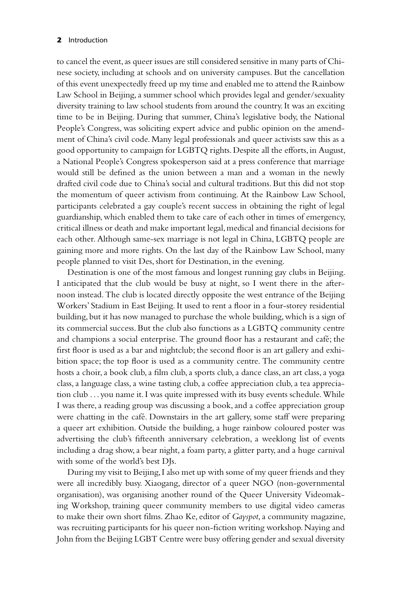#### **2** Introduction

to cancel the event, as queer issues are still considered sensitive in many parts of Chinese society, including at schools and on university campuses. But the cancellation of this event unexpectedly freed up my time and enabled me to attend the Rainbow Law School in Beijing, a summer school which provides legal and gender/sexuality diversity training to law school students from around the country. It was an exciting time to be in Beijing. During that summer, China's legislative body, the National People's Congress, was soliciting expert advice and public opinion on the amendment of China's civil code. Many legal professionals and queer activists saw this as a good opportunity to campaign for LGBTQ rights. Despite all the efforts, in August, a National People's Congress spokesperson said at a press conference that marriage would still be defined as the union between a man and a woman in the newly drafted civil code due to China's social and cultural traditions. But this did not stop the momentum of queer activism from continuing. At the Rainbow Law School, participants celebrated a gay couple's recent success in obtaining the right of legal guardianship, which enabled them to take care of each other in times of emergency, critical illness or death and make important legal, medical and financial decisions for each other. Although same-sex marriage is not legal in China, LGBTQ people are gaining more and more rights. On the last day of the Rainbow Law School, many people planned to visit Des, short for Destination, in the evening.

Destination is one of the most famous and longest running gay clubs in Beijing. I anticipated that the club would be busy at night, so I went there in the afternoon instead. The club is located directly opposite the west entrance of the Beijing Workers' Stadium in East Beijing. It used to rent a floor in a four-storey residential building, but it has now managed to purchase the whole building, which is a sign of its commercial success. But the club also functions as a LGBTQ community centre and champions a social enterprise. The ground floor has a restaurant and café; the first floor is used as a bar and nightclub; the second floor is an art gallery and exhibition space; the top floor is used as a community centre. The community centre hosts a choir, a book club, a film club, a sports club, a dance class, an art class, a yoga class, a language class, a wine tasting club, a coffee appreciation club, a tea appreciation club . .. you name it. I was quite impressed with its busy events schedule. While I was there, a reading group was discussing a book, and a coffee appreciation group were chatting in the café. Downstairs in the art gallery, some staff were preparing a queer art exhibition. Outside the building, a huge rainbow coloured poster was advertising the club's fifteenth anniversary celebration, a weeklong list of events including a drag show, a bear night, a foam party, a glitter party, and a huge carnival with some of the world's best DJs.

During my visit to Beijing, I also met up with some of my queer friends and they were all incredibly busy. Xiaogang, director of a queer NGO (non-governmental organisation), was organising another round of the Queer University Videomaking Workshop, training queer community members to use digital video cameras to make their own short films. Zhao Ke, editor of *Gayspot*, a community magazine, was recruiting participants for his queer non-fiction writing workshop. Naying and John from the Beijing LGBT Centre were busy offering gender and sexual diversity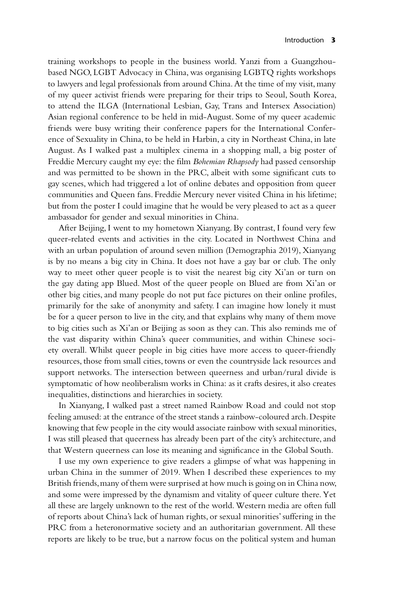training workshops to people in the business world. Yanzi from a Guangzhoubased NGO, LGBT Advocacy in China, was organising LGBTQ rights workshops to lawyers and legal professionals from around China. At the time of my visit, many of my queer activist friends were preparing for their trips to Seoul, South Korea, to attend the ILGA (International Lesbian, Gay, Trans and Intersex Association) Asian regional conference to be held in mid-August. Some of my queer academic friends were busy writing their conference papers for the International Conference of Sexuality in China, to be held in Harbin, a city in Northeast China, in late August. As I walked past a multiplex cinema in a shopping mall, a big poster of Freddie Mercury caught my eye: the film *Bohemian Rhapsody* had passed censorship and was permitted to be shown in the PRC, albeit with some significant cuts to gay scenes, which had triggered a lot of online debates and opposition from queer communities and Queen fans. Freddie Mercury never visited China in his lifetime; but from the poster I could imagine that he would be very pleased to act as a queer ambassador for gender and sexual minorities in China.

After Beijing, I went to my hometown Xianyang. By contrast, I found very few queer-related events and activities in the city. Located in Northwest China and with an urban population of around seven million (Demographia 2019), Xianyang is by no means a big city in China. It does not have a gay bar or club. The only way to meet other queer people is to visit the nearest big city Xi'an or turn on the gay dating app Blued. Most of the queer people on Blued are from Xi'an or other big cities, and many people do not put face pictures on their online profiles, primarily for the sake of anonymity and safety. I can imagine how lonely it must be for a queer person to live in the city, and that explains why many of them move to big cities such as Xi'an or Beijing as soon as they can. This also reminds me of the vast disparity within China's queer communities, and within Chinese society overall. Whilst queer people in big cities have more access to queer-friendly resources, those from small cities, towns or even the countryside lack resources and support networks. The intersection between queerness and urban/rural divide is symptomatic of how neoliberalism works in China: as it crafts desires, it also creates inequalities, distinctions and hierarchies in society.

In Xianyang, I walked past a street named Rainbow Road and could not stop feeling amused: at the entrance of the street stands a rainbow-coloured arch. Despite knowing that few people in the city would associate rainbow with sexual minorities, I was still pleased that queerness has already been part of the city's architecture, and that Western queerness can lose its meaning and significance in the Global South.

I use my own experience to give readers a glimpse of what was happening in urban China in the summer of 2019. When I described these experiences to my British friends, many of them were surprised at how much is going on in China now, and some were impressed by the dynamism and vitality of queer culture there. Yet all these are largely unknown to the rest of the world. Western media are often full of reports about China's lack of human rights, or sexual minorities' suffering in the PRC from a heteronormative society and an authoritarian government. All these reports are likely to be true, but a narrow focus on the political system and human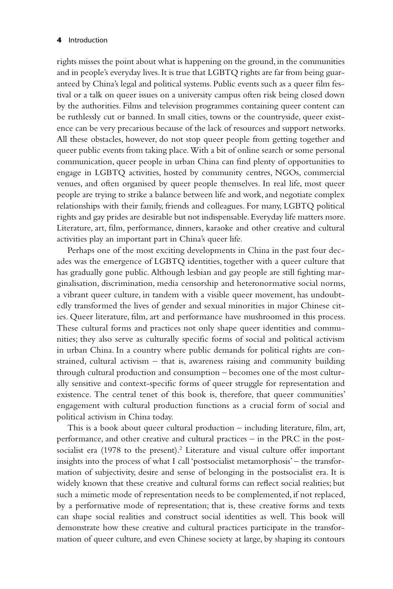#### **4** Introduction

rights misses the point about what is happening on the ground, in the communities and in people's everyday lives. It is true that LGBTQ rights are far from being guaranteed by China's legal and political systems. Public events such as a queer film festival or a talk on queer issues on a university campus often risk being closed down by the authorities. Films and television programmes containing queer content can be ruthlessly cut or banned. In small cities, towns or the countryside, queer existence can be very precarious because of the lack of resources and support networks. All these obstacles, however, do not stop queer people from getting together and queer public events from taking place. With a bit of online search or some personal communication, queer people in urban China can find plenty of opportunities to engage in LGBTQ activities, hosted by community centres, NGOs, commercial venues, and often organised by queer people themselves. In real life, most queer people are trying to strike a balance between life and work, and negotiate complex relationships with their family, friends and colleagues. For many, LGBTQ political rights and gay prides are desirable but not indispensable. Everyday life matters more. Literature, art, film, performance, dinners, karaoke and other creative and cultural activities play an important part in China's queer life.

Perhaps one of the most exciting developments in China in the past four decades was the emergence of LGBTQ identities, together with a queer culture that has gradually gone public. Although lesbian and gay people are still fighting marginalisation, discrimination, media censorship and heteronormative social norms, a vibrant queer culture, in tandem with a visible queer movement, has undoubtedly transformed the lives of gender and sexual minorities in major Chinese cities. Queer literature, film, art and performance have mushroomed in this process. These cultural forms and practices not only shape queer identities and communities; they also serve as culturally specific forms of social and political activism in urban China. In a country where public demands for political rights are constrained, cultural activism – that is, awareness raising and community building through cultural production and consumption – becomes one of the most culturally sensitive and context-specific forms of queer struggle for representation and existence. The central tenet of this book is, therefore, that queer communities' engagement with cultural production functions as a crucial form of social and political activism in China today.

This is a book about queer cultural production – including literature, film, art, performance, and other creative and cultural practices – in the PRC in the postsocialist era  $(1978$  to the present).<sup>2</sup> Literature and visual culture offer important insights into the process of what I call 'postsocialist metamorphosis' – the transformation of subjectivity, desire and sense of belonging in the postsocialist era. It is widely known that these creative and cultural forms can reflect social realities; but such a mimetic mode of representation needs to be complemented, if not replaced, by a performative mode of representation; that is, these creative forms and texts can shape social realities and construct social identities as well. This book will demonstrate how these creative and cultural practices participate in the transformation of queer culture, and even Chinese society at large, by shaping its contours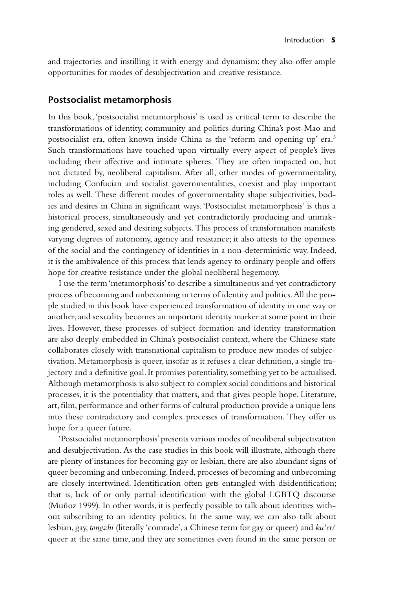and trajectories and instilling it with energy and dynamism; they also offer ample opportunities for modes of desubjectivation and creative resistance.

#### **Postsocialist metamorphosis**

In this book, 'postsocialist metamorphosis' is used as critical term to describe the transformations of identity, community and politics during China's post-Mao and postsocialist era, often known inside China as the 'reform and opening up' era.3 Such transformations have touched upon virtually every aspect of people's lives including their affective and intimate spheres. They are often impacted on, but not dictated by, neoliberal capitalism. After all, other modes of governmentality, including Confucian and socialist governmentalities, coexist and play important roles as well. These different modes of governmentality shape subjectivities, bodies and desires in China in significant ways. 'Postsocialist metamorphosis' is thus a historical process, simultaneously and yet contradictorily producing and unmaking gendered, sexed and desiring subjects. This process of transformation manifests varying degrees of autonomy, agency and resistance; it also attests to the openness of the social and the contingency of identities in a non-deterministic way. Indeed, it is the ambivalence of this process that lends agency to ordinary people and offers hope for creative resistance under the global neoliberal hegemony.

I use the term 'metamorphosis' to describe a simultaneous and yet contradictory process of becoming and unbecoming in terms of identity and politics. All the people studied in this book have experienced transformation of identity in one way or another, and sexuality becomes an important identity marker at some point in their lives. However, these processes of subject formation and identity transformation are also deeply embedded in China's postsocialist context, where the Chinese state collaborates closely with transnational capitalism to produce new modes of subjectivation. Metamorphosis is queer, insofar as it refuses a clear definition, a single trajectory and a definitive goal. It promises potentiality, something yet to be actualised. Although metamorphosis is also subject to complex social conditions and historical processes, it is the potentiality that matters, and that gives people hope. Literature, art, film, performance and other forms of cultural production provide a unique lens into these contradictory and complex processes of transformation. They offer us hope for a queer future.

'Postsocialist metamorphosis' presents various modes of neoliberal subjectivation and desubjectivation. As the case studies in this book will illustrate, although there are plenty of instances for becoming gay or lesbian, there are also abundant signs of queer becoming and unbecoming. Indeed, processes of becoming and unbecoming are closely intertwined. Identification often gets entangled with disidentification; that is, lack of or only partial identification with the global LGBTQ discourse (Muñoz 1999). In other words, it is perfectly possible to talk about identities without subscribing to an identity politics. In the same way, we can also talk about lesbian, gay, *tongzhi* (literally 'comrade', a Chinese term for gay or queer) and *ku'er*/ queer at the same time, and they are sometimes even found in the same person or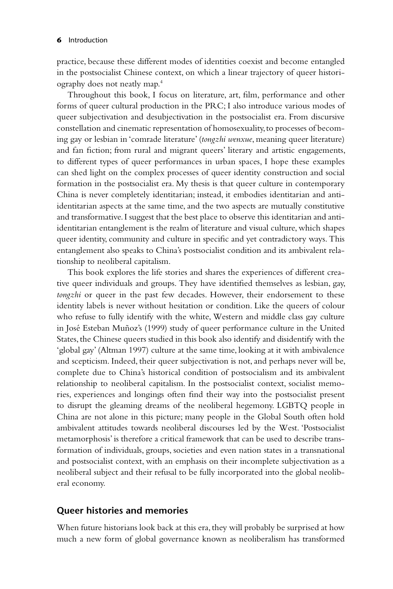practice, because these different modes of identities coexist and become entangled in the postsocialist Chinese context, on which a linear trajectory of queer historiography does not neatly map.4

Throughout this book, I focus on literature, art, film, performance and other forms of queer cultural production in the PRC; I also introduce various modes of queer subjectivation and desubjectivation in the postsocialist era. From discursive constellation and cinematic representation of homosexuality, to processes of becoming gay or lesbian in 'comrade literature' (*tongzhi wenxue*, meaning queer literature) and fan fiction; from rural and migrant queers' literary and artistic engagements, to different types of queer performances in urban spaces, I hope these examples can shed light on the complex processes of queer identity construction and social formation in the postsocialist era. My thesis is that queer culture in contemporary China is never completely identitarian; instead, it embodies identitarian and antiidentitarian aspects at the same time, and the two aspects are mutually constitutive and transformative. I suggest that the best place to observe this identitarian and antiidentitarian entanglement is the realm of literature and visual culture, which shapes queer identity, community and culture in specific and yet contradictory ways. This entanglement also speaks to China's postsocialist condition and its ambivalent relationship to neoliberal capitalism.

This book explores the life stories and shares the experiences of different creative queer individuals and groups. They have identified themselves as lesbian, gay, *tongzhi* or queer in the past few decades. However, their endorsement to these identity labels is never without hesitation or condition. Like the queers of colour who refuse to fully identify with the white, Western and middle class gay culture in José Esteban Muñoz's (1999) study of queer performance culture in the United States, the Chinese queers studied in this book also identify and disidentify with the 'global gay' (Altman 1997) culture at the same time, looking at it with ambivalence and scepticism. Indeed, their queer subjectivation is not, and perhaps never will be, complete due to China's historical condition of postsocialism and its ambivalent relationship to neoliberal capitalism. In the postsocialist context, socialist memories, experiences and longings often find their way into the postsocialist present to disrupt the gleaming dreams of the neoliberal hegemony. LGBTQ people in China are not alone in this picture; many people in the Global South often hold ambivalent attitudes towards neoliberal discourses led by the West. 'Postsocialist metamorphosis' is therefore a critical framework that can be used to describe transformation of individuals, groups, societies and even nation states in a transnational and postsocialist context, with an emphasis on their incomplete subjectivation as a neoliberal subject and their refusal to be fully incorporated into the global neoliberal economy.

### **Queer histories and memories**

When future historians look back at this era, they will probably be surprised at how much a new form of global governance known as neoliberalism has transformed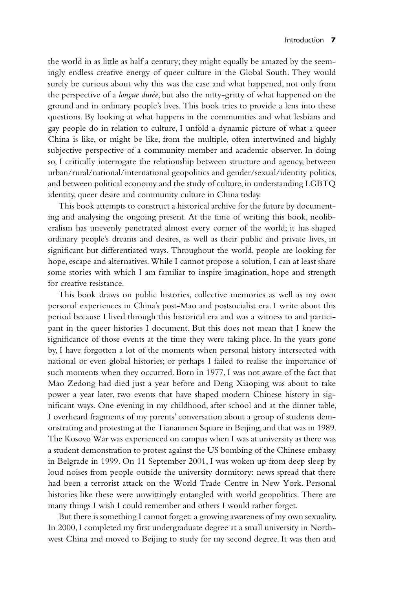the world in as little as half a century; they might equally be amazed by the seemingly endless creative energy of queer culture in the Global South. They would surely be curious about why this was the case and what happened, not only from the perspective of a *longue durée*, but also the nitty-gritty of what happened on the ground and in ordinary people's lives. This book tries to provide a lens into these questions. By looking at what happens in the communities and what lesbians and gay people do in relation to culture, I unfold a dynamic picture of what a queer China is like, or might be like, from the multiple, often intertwined and highly subjective perspective of a community member and academic observer. In doing so, I critically interrogate the relationship between structure and agency, between urban/rural/national/international geopolitics and gender/sexual/identity politics, and between political economy and the study of culture, in understanding LGBTQ identity, queer desire and community culture in China today.

This book attempts to construct a historical archive for the future by documenting and analysing the ongoing present. At the time of writing this book, neoliberalism has unevenly penetrated almost every corner of the world; it has shaped ordinary people's dreams and desires, as well as their public and private lives, in significant but differentiated ways. Throughout the world, people are looking for hope, escape and alternatives. While I cannot propose a solution, I can at least share some stories with which I am familiar to inspire imagination, hope and strength for creative resistance.

This book draws on public histories, collective memories as well as my own personal experiences in China's post-Mao and postsocialist era. I write about this period because I lived through this historical era and was a witness to and participant in the queer histories I document. But this does not mean that I knew the significance of those events at the time they were taking place. In the years gone by, I have forgotten a lot of the moments when personal history intersected with national or even global histories; or perhaps I failed to realise the importance of such moments when they occurred. Born in 1977, I was not aware of the fact that Mao Zedong had died just a year before and Deng Xiaoping was about to take power a year later, two events that have shaped modern Chinese history in significant ways. One evening in my childhood, after school and at the dinner table, I overheard fragments of my parents' conversation about a group of students demonstrating and protesting at the Tiananmen Square in Beijing, and that was in 1989. The Kosovo War was experienced on campus when I was at university as there was a student demonstration to protest against the US bombing of the Chinese embassy in Belgrade in 1999. On 11 September 2001, I was woken up from deep sleep by loud noises from people outside the university dormitory: news spread that there had been a terrorist attack on the World Trade Centre in New York. Personal histories like these were unwittingly entangled with world geopolitics. There are many things I wish I could remember and others I would rather forget.

But there is something I cannot forget: a growing awareness of my own sexuality. In 2000, I completed my first undergraduate degree at a small university in Northwest China and moved to Beijing to study for my second degree. It was then and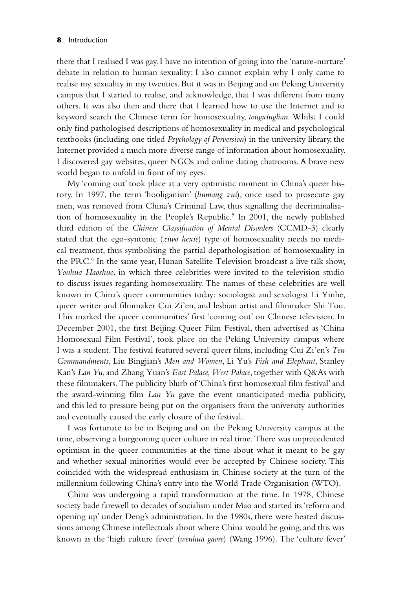there that I realised I was gay. I have no intention of going into the 'nature-nurture' debate in relation to human sexuality; I also cannot explain why I only came to realise my sexuality in my twenties. But it was in Beijing and on Peking University campus that I started to realise, and acknowledge, that I was different from many others. It was also then and there that I learned how to use the Internet and to keyword search the Chinese term for homosexuality, *tongxinglian*. Whilst I could only find pathologised descriptions of homosexuality in medical and psychological textbooks (including one titled *Psychology of Perversion*) in the university library, the Internet provided a much more diverse range of information about homosexuality. I discovered gay websites, queer NGOs and online dating chatrooms. A brave new world began to unfold in front of my eyes.

My 'coming out' took place at a very optimistic moment in China's queer history. In 1997, the term 'hooliganism' (*liumang zui*), once used to prosecute gay men, was removed from China's Criminal Law, thus signalling the decriminalisation of homosexuality in the People's Republic.<sup>5</sup> In 2001, the newly published third edition of the *Chinese Classification of Mental Disorders* (CCMD-3) clearly stated that the ego-syntonic (*ziwo hexie*) type of homosexuality needs no medical treatment, thus symbolising the partial depathologisation of homosexuality in the PRC.<sup>6</sup> In the same year, Hunan Satellite Television broadcast a live talk show, *Youhua Haoshuo*, in which three celebrities were invited to the television studio to discuss issues regarding homosexuality. The names of these celebrities are well known in China's queer communities today: sociologist and sexologist Li Yinhe, queer writer and filmmaker Cui Zi'en, and lesbian artist and filmmaker Shi Tou. This marked the queer communities' first 'coming out' on Chinese television. In December 2001, the first Beijing Queer Film Festival, then advertised as 'China Homosexual Film Festival', took place on the Peking University campus where I was a student. The festival featured several queer films, including Cui Zi'en's *Ten Commandments*, Liu Bingjian's *Men and Women*, Li Yu's *Fish and Elephant*, Stanley Kan's *Lan Yu*, and Zhang Yuan's *East Palace, West Palace*, together with Q&As with these filmmakers. The publicity blurb of 'China's first homosexual film festival'and the award-winning film *Lan Yu* gave the event unanticipated media publicity, and this led to pressure being put on the organisers from the university authorities and eventually caused the early closure of the festival.

I was fortunate to be in Beijing and on the Peking University campus at the time, observing a burgeoning queer culture in real time. There was unprecedented optimism in the queer communities at the time about what it meant to be gay and whether sexual minorities would ever be accepted by Chinese society. This coincided with the widespread enthusiasm in Chinese society at the turn of the millennium following China's entry into the World Trade Organisation (WTO).

China was undergoing a rapid transformation at the time. In 1978, Chinese society bade farewell to decades of socialism under Mao and started its 'reform and opening up' under Deng's administration. In the 1980s, there were heated discussions among Chinese intellectuals about where China would be going, and this was known as the 'high culture fever' (*wenhua gaore*) (Wang 1996). The 'culture fever'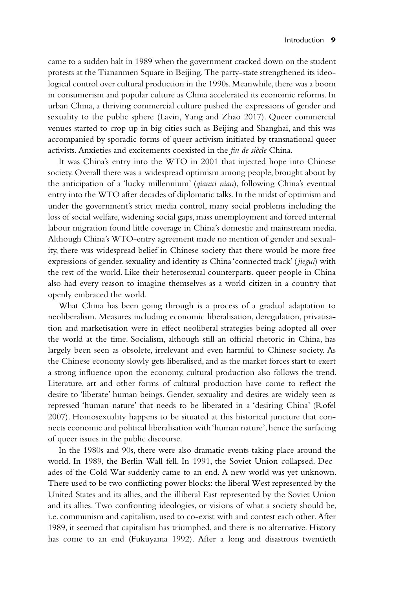came to a sudden halt in 1989 when the government cracked down on the student protests at the Tiananmen Square in Beijing. The party-state strengthened its ideological control over cultural production in the 1990s. Meanwhile, there was a boom in consumerism and popular culture as China accelerated its economic reforms. In urban China, a thriving commercial culture pushed the expressions of gender and sexuality to the public sphere (Lavin, Yang and Zhao 2017). Queer commercial venues started to crop up in big cities such as Beijing and Shanghai, and this was accompanied by sporadic forms of queer activism initiated by transnational queer activists. Anxieties and excitements coexisted in the *fin de siècle* China.

It was China's entry into the WTO in 2001 that injected hope into Chinese society. Overall there was a widespread optimism among people, brought about by the anticipation of a 'lucky millennium' (*qianxi nian*), following China's eventual entry into the WTO after decades of diplomatic talks. In the midst of optimism and under the government's strict media control, many social problems including the loss of social welfare, widening social gaps, mass unemployment and forced internal labour migration found little coverage in China's domestic and mainstream media. Although China's WTO-entry agreement made no mention of gender and sexuality, there was widespread belief in Chinese society that there would be more free expressions of gender, sexuality and identity as China 'connected track' (*jiegui*) with the rest of the world. Like their heterosexual counterparts, queer people in China also had every reason to imagine themselves as a world citizen in a country that openly embraced the world.

What China has been going through is a process of a gradual adaptation to neoliberalism. Measures including economic liberalisation, deregulation, privatisation and marketisation were in effect neoliberal strategies being adopted all over the world at the time. Socialism, although still an official rhetoric in China, has largely been seen as obsolete, irrelevant and even harmful to Chinese society. As the Chinese economy slowly gets liberalised, and as the market forces start to exert a strong influence upon the economy, cultural production also follows the trend. Literature, art and other forms of cultural production have come to reflect the desire to 'liberate' human beings. Gender, sexuality and desires are widely seen as repressed 'human nature' that needs to be liberated in a 'desiring China' (Rofel 2007). Homosexuality happens to be situated at this historical juncture that connects economic and political liberalisation with 'human nature', hence the surfacing of queer issues in the public discourse.

In the 1980s and 90s, there were also dramatic events taking place around the world. In 1989, the Berlin Wall fell. In 1991, the Soviet Union collapsed. Decades of the Cold War suddenly came to an end. A new world was yet unknown. There used to be two conflicting power blocks: the liberal West represented by the United States and its allies, and the illiberal East represented by the Soviet Union and its allies. Two confronting ideologies, or visions of what a society should be, i.e. communism and capitalism, used to co-exist with and contest each other. After 1989, it seemed that capitalism has triumphed, and there is no alternative. History has come to an end (Fukuyama 1992). After a long and disastrous twentieth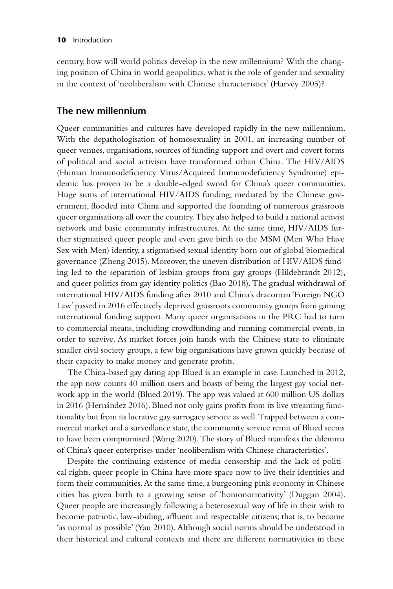century, how will world politics develop in the new millennium? With the changing position of China in world geopolitics, what is the role of gender and sexuality in the context of 'neoliberalism with Chinese characteristics' (Harvey 2005)?

### **The new millennium**

Queer communities and cultures have developed rapidly in the new millennium. With the depathologisation of homosexuality in 2001, an increasing number of queer venues, organisations, sources of funding support and overt and covert forms of political and social activism have transformed urban China. The HIV/AIDS (Human Immunodeficiency Virus/Acquired Immunodeficiency Syndrome) epidemic has proven to be a double-edged sword for China's queer communities. Huge sums of international HIV/AIDS funding, mediated by the Chinese government, flooded into China and supported the founding of numerous grassroots queer organisations all over the country. They also helped to build a national activist network and basic community infrastructures. At the same time, HIV/AIDS further stigmatised queer people and even gave birth to the MSM (Men Who Have Sex with Men) identity, a stigmatised sexual identity born out of global biomedical governance (Zheng 2015). Moreover, the uneven distribution of HIV/AIDS funding led to the separation of lesbian groups from gay groups (Hildebrandt 2012), and queer politics from gay identity politics (Bao 2018). The gradual withdrawal of international HIV/AIDS funding after 2010 and China's draconian 'Foreign NGO Law' passed in 2016 effectively deprived grassroots community groups from gaining international funding support. Many queer organisations in the PRC had to turn to commercial means, including crowdfunding and running commercial events, in order to survive. As market forces join hands with the Chinese state to eliminate smaller civil society groups, a few big organisations have grown quickly because of their capacity to make money and generate profits.

The China-based gay dating app Blued is an example in case. Launched in 2012, the app now counts 40 million users and boasts of being the largest gay social network app in the world (Blued 2019). The app was valued at 600 million US dollars in 2016 (Hernández 2016). Blued not only gains profits from its live streaming functionality but from its lucrative gay surrogacy service as well. Trapped between a commercial market and a surveillance state, the community service remit of Blued seems to have been compromised (Wang 2020). The story of Blued manifests the dilemma of China's queer enterprises under 'neoliberalism with Chinese characteristics'.

Despite the continuing existence of media censorship and the lack of political rights, queer people in China have more space now to live their identities and form their communities. At the same time, a burgeoning pink economy in Chinese cities has given birth to a growing sense of 'homonormativity' (Duggan 2004). Queer people are increasingly following a heterosexual way of life in their wish to become patriotic, law-abiding, affluent and respectable citizens; that is, to become 'as normal as possible' (Yau 2010). Although social norms should be understood in their historical and cultural contexts and there are different normativities in these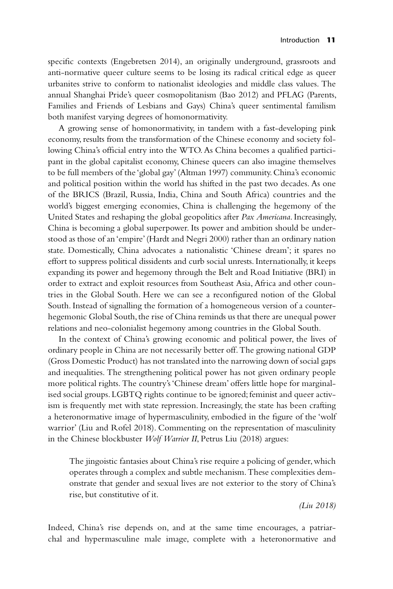specific contexts (Engebretsen 2014), an originally underground, grassroots and anti-normative queer culture seems to be losing its radical critical edge as queer urbanites strive to conform to nationalist ideologies and middle class values. The annual Shanghai Pride's queer cosmopolitanism (Bao 2012) and PFLAG (Parents, Families and Friends of Lesbians and Gays) China's queer sentimental familism both manifest varying degrees of homonormativity.

A growing sense of homonormativity, in tandem with a fast-developing pink economy, results from the transformation of the Chinese economy and society following China's official entry into the WTO. As China becomes a qualified participant in the global capitalist economy, Chinese queers can also imagine themselves to be full members of the 'global gay' (Altman 1997) community. China's economic and political position within the world has shifted in the past two decades. As one of the BRICS (Brazil, Russia, India, China and South Africa) countries and the world's biggest emerging economies, China is challenging the hegemony of the United States and reshaping the global geopolitics after *Pax Americana*. Increasingly, China is becoming a global superpower. Its power and ambition should be understood as those of an 'empire' (Hardt and Negri 2000) rather than an ordinary nation state. Domestically, China advocates a nationalistic 'Chinese dream'; it spares no effort to suppress political dissidents and curb social unrests. Internationally, it keeps expanding its power and hegemony through the Belt and Road Initiative (BRI) in order to extract and exploit resources from Southeast Asia, Africa and other countries in the Global South. Here we can see a reconfigured notion of the Global South. Instead of signalling the formation of a homogeneous version of a counterhegemonic Global South, the rise of China reminds us that there are unequal power relations and neo-colonialist hegemony among countries in the Global South.

In the context of China's growing economic and political power, the lives of ordinary people in China are not necessarily better off. The growing national GDP (Gross Domestic Product) has not translated into the narrowing down of social gaps and inequalities. The strengthening political power has not given ordinary people more political rights. The country's 'Chinese dream' offers little hope for marginalised social groups. LGBTQ rights continue to be ignored; feminist and queer activism is frequently met with state repression. Increasingly, the state has been crafting a heteronormative image of hypermasculinity, embodied in the figure of the 'wolf warrior' (Liu and Rofel 2018). Commenting on the representation of masculinity in the Chinese blockbuster *Wolf Warrior II*, Petrus Liu (2018) argues:

The jingoistic fantasies about China's rise require a policing of gender, which operates through a complex and subtle mechanism. These complexities demonstrate that gender and sexual lives are not exterior to the story of China's rise, but constitutive of it.

*(Liu 2018)*

Indeed, China's rise depends on, and at the same time encourages, a patriarchal and hypermasculine male image, complete with a heteronormative and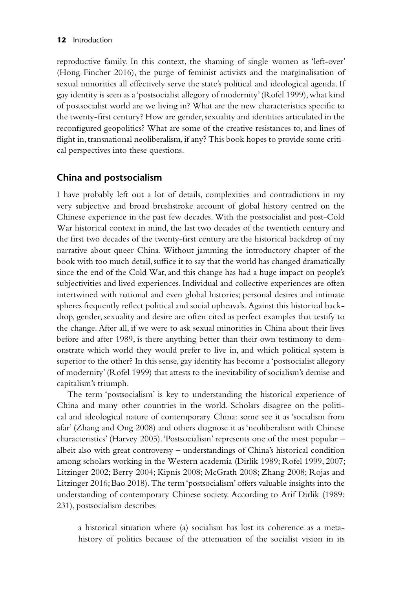reproductive family. In this context, the shaming of single women as 'left-over' (Hong Fincher 2016), the purge of feminist activists and the marginalisation of sexual minorities all effectively serve the state's political and ideological agenda. If gay identity is seen as a 'postsocialist allegory of modernity' (Rofel 1999), what kind of postsocialist world are we living in? What are the new characteristics specific to the twenty-first century? How are gender, sexuality and identities articulated in the reconfigured geopolitics? What are some of the creative resistances to, and lines of flight in, transnational neoliberalism, if any? This book hopes to provide some critical perspectives into these questions.

### **China and postsocialism**

I have probably left out a lot of details, complexities and contradictions in my very subjective and broad brushstroke account of global history centred on the Chinese experience in the past few decades. With the postsocialist and post-Cold War historical context in mind, the last two decades of the twentieth century and the first two decades of the twenty-first century are the historical backdrop of my narrative about queer China. Without jamming the introductory chapter of the book with too much detail, suffice it to say that the world has changed dramatically since the end of the Cold War, and this change has had a huge impact on people's subjectivities and lived experiences. Individual and collective experiences are often intertwined with national and even global histories; personal desires and intimate spheres frequently reflect political and social upheavals. Against this historical backdrop, gender, sexuality and desire are often cited as perfect examples that testify to the change. After all, if we were to ask sexual minorities in China about their lives before and after 1989, is there anything better than their own testimony to demonstrate which world they would prefer to live in, and which political system is superior to the other? In this sense, gay identity has become a 'postsocialist allegory of modernity' (Rofel 1999) that attests to the inevitability of socialism's demise and capitalism's triumph.

The term 'postsocialism' is key to understanding the historical experience of China and many other countries in the world. Scholars disagree on the political and ideological nature of contemporary China: some see it as 'socialism from afar' (Zhang and Ong 2008) and others diagnose it as 'neoliberalism with Chinese characteristics' (Harvey 2005). 'Postsocialism' represents one of the most popular – albeit also with great controversy – understandings of China's historical condition among scholars working in the Western academia (Dirlik 1989; Rofel 1999, 2007; Litzinger 2002; Berry 2004; Kipnis 2008; McGrath 2008; Zhang 2008; Rojas and Litzinger 2016; Bao 2018). The term 'postsocialism' offers valuable insights into the understanding of contemporary Chinese society. According to Arif Dirlik (1989: 231), postsocialism describes

a historical situation where (a) socialism has lost its coherence as a metahistory of politics because of the attenuation of the socialist vision in its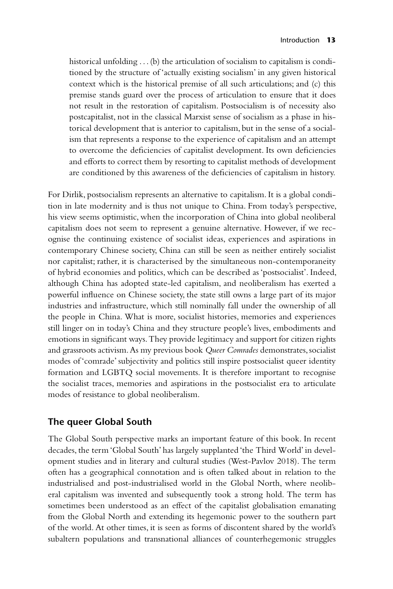historical unfolding . . . (b) the articulation of socialism to capitalism is conditioned by the structure of 'actually existing socialism' in any given historical context which is the historical premise of all such articulations; and (c) this premise stands guard over the process of articulation to ensure that it does not result in the restoration of capitalism. Postsocialism is of necessity also postcapitalist, not in the classical Marxist sense of socialism as a phase in historical development that is anterior to capitalism, but in the sense of a socialism that represents a response to the experience of capitalism and an attempt to overcome the deficiencies of capitalist development. Its own deficiencies and efforts to correct them by resorting to capitalist methods of development are conditioned by this awareness of the deficiencies of capitalism in history.

For Dirlik, postsocialism represents an alternative to capitalism. It is a global condition in late modernity and is thus not unique to China. From today's perspective, his view seems optimistic, when the incorporation of China into global neoliberal capitalism does not seem to represent a genuine alternative. However, if we recognise the continuing existence of socialist ideas, experiences and aspirations in contemporary Chinese society, China can still be seen as neither entirely socialist nor capitalist; rather, it is characterised by the simultaneous non-contemporaneity of hybrid economies and politics, which can be described as 'postsocialist'. Indeed, although China has adopted state-led capitalism, and neoliberalism has exerted a powerful influence on Chinese society, the state still owns a large part of its major industries and infrastructure, which still nominally fall under the ownership of all the people in China. What is more, socialist histories, memories and experiences still linger on in today's China and they structure people's lives, embodiments and emotions in significant ways. They provide legitimacy and support for citizen rights and grassroots activism. As my previous book *Queer Comrades* demonstrates, socialist modes of 'comrade' subjectivity and politics still inspire postsocialist queer identity formation and LGBTQ social movements. It is therefore important to recognise the socialist traces, memories and aspirations in the postsocialist era to articulate modes of resistance to global neoliberalism.

### **The queer Global South**

The Global South perspective marks an important feature of this book. In recent decades, the term 'Global South' has largely supplanted 'the Third World' in development studies and in literary and cultural studies (West-Pavlov 2018). The term often has a geographical connotation and is often talked about in relation to the industrialised and post-industrialised world in the Global North, where neoliberal capitalism was invented and subsequently took a strong hold. The term has sometimes been understood as an effect of the capitalist globalisation emanating from the Global North and extending its hegemonic power to the southern part of the world. At other times, it is seen as forms of discontent shared by the world's subaltern populations and transnational alliances of counterhegemonic struggles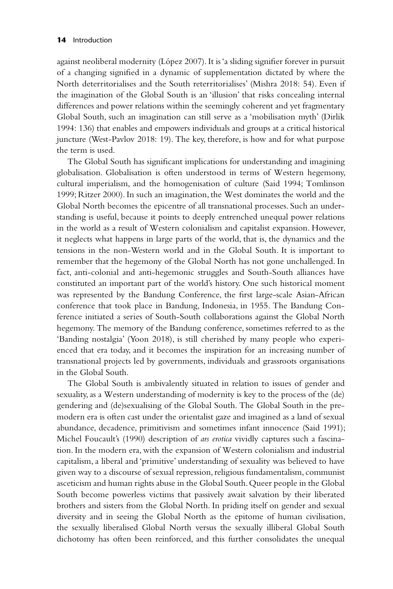against neoliberal modernity (López 2007). It is 'a sliding signifier forever in pursuit of a changing signified in a dynamic of supplementation dictated by where the North deterritorialises and the South reterritorialises' (Mishra 2018: 54). Even if the imagination of the Global South is an 'illusion' that risks concealing internal differences and power relations within the seemingly coherent and yet fragmentary Global South, such an imagination can still serve as a 'mobilisation myth' (Dirlik 1994: 136) that enables and empowers individuals and groups at a critical historical juncture (West-Pavlov 2018: 19). The key, therefore, is how and for what purpose the term is used.

The Global South has significant implications for understanding and imagining globalisation. Globalisation is often understood in terms of Western hegemony, cultural imperialism, and the homogenisation of culture (Said 1994; Tomlinson 1999; Ritzer 2000). In such an imagination, the West dominates the world and the Global North becomes the epicentre of all transnational processes. Such an understanding is useful, because it points to deeply entrenched unequal power relations in the world as a result of Western colonialism and capitalist expansion. However, it neglects what happens in large parts of the world, that is, the dynamics and the tensions in the non-Western world and in the Global South. It is important to remember that the hegemony of the Global North has not gone unchallenged. In fact, anti-colonial and anti-hegemonic struggles and South-South alliances have constituted an important part of the world's history. One such historical moment was represented by the Bandung Conference, the first large-scale Asian-African conference that took place in Bandung, Indonesia, in 1955. The Bandung Conference initiated a series of South-South collaborations against the Global North hegemony. The memory of the Bandung conference, sometimes referred to as the 'Banding nostalgia' (Yoon 2018), is still cherished by many people who experienced that era today, and it becomes the inspiration for an increasing number of transnational projects led by governments, individuals and grassroots organisations in the Global South.

The Global South is ambivalently situated in relation to issues of gender and sexuality, as a Western understanding of modernity is key to the process of the (de) gendering and (de)sexualising of the Global South. The Global South in the premodern era is often cast under the orientalist gaze and imagined as a land of sexual abundance, decadence, primitivism and sometimes infant innocence (Said 1991); Michel Foucault's (1990) description of *ars erotica* vividly captures such a fascination. In the modern era, with the expansion of Western colonialism and industrial capitalism, a liberal and 'primitive' understanding of sexuality was believed to have given way to a discourse of sexual repression, religious fundamentalism, communist asceticism and human rights abuse in the Global South. Queer people in the Global South become powerless victims that passively await salvation by their liberated brothers and sisters from the Global North. In priding itself on gender and sexual diversity and in seeing the Global North as the epitome of human civilisation, the sexually liberalised Global North versus the sexually illiberal Global South dichotomy has often been reinforced, and this further consolidates the unequal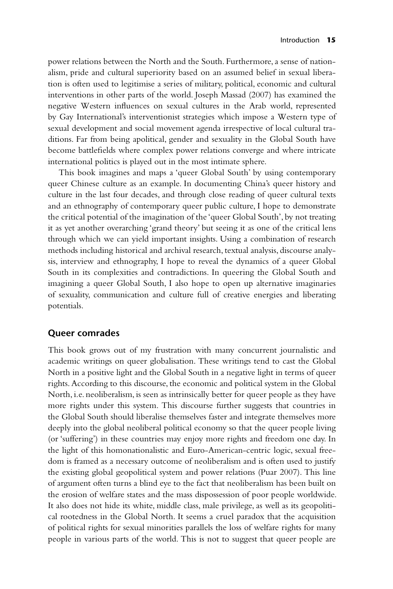power relations between the North and the South. Furthermore, a sense of nationalism, pride and cultural superiority based on an assumed belief in sexual liberation is often used to legitimise a series of military, political, economic and cultural interventions in other parts of the world. Joseph Massad (2007) has examined the negative Western influences on sexual cultures in the Arab world, represented by Gay International's interventionist strategies which impose a Western type of sexual development and social movement agenda irrespective of local cultural traditions. Far from being apolitical, gender and sexuality in the Global South have become battlefields where complex power relations converge and where intricate international politics is played out in the most intimate sphere.

This book imagines and maps a 'queer Global South' by using contemporary queer Chinese culture as an example. In documenting China's queer history and culture in the last four decades, and through close reading of queer cultural texts and an ethnography of contemporary queer public culture, I hope to demonstrate the critical potential of the imagination of the 'queer Global South', by not treating it as yet another overarching 'grand theory' but seeing it as one of the critical lens through which we can yield important insights. Using a combination of research methods including historical and archival research, textual analysis, discourse analysis, interview and ethnography, I hope to reveal the dynamics of a queer Global South in its complexities and contradictions. In queering the Global South and imagining a queer Global South, I also hope to open up alternative imaginaries of sexuality, communication and culture full of creative energies and liberating potentials.

### **Queer comrades**

This book grows out of my frustration with many concurrent journalistic and academic writings on queer globalisation. These writings tend to cast the Global North in a positive light and the Global South in a negative light in terms of queer rights. According to this discourse, the economic and political system in the Global North, i.e. neoliberalism, is seen as intrinsically better for queer people as they have more rights under this system. This discourse further suggests that countries in the Global South should liberalise themselves faster and integrate themselves more deeply into the global neoliberal political economy so that the queer people living (or 'suffering') in these countries may enjoy more rights and freedom one day. In the light of this homonationalistic and Euro-American-centric logic, sexual freedom is framed as a necessary outcome of neoliberalism and is often used to justify the existing global geopolitical system and power relations (Puar 2007). This line of argument often turns a blind eye to the fact that neoliberalism has been built on the erosion of welfare states and the mass dispossession of poor people worldwide. It also does not hide its white, middle class, male privilege, as well as its geopolitical rootedness in the Global North. It seems a cruel paradox that the acquisition of political rights for sexual minorities parallels the loss of welfare rights for many people in various parts of the world. This is not to suggest that queer people are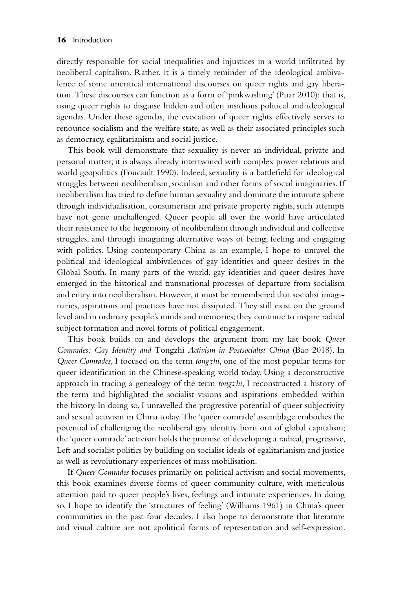directly responsible for social inequalities and injustices in a world infiltrated by neoliberal capitalism. Rather, it is a timely reminder of the ideological ambivalence of some uncritical international discourses on queer rights and gay liberation. These discourses can function as a form of 'pinkwashing' (Puar 2010): that is, using queer rights to disguise hidden and often insidious political and ideological agendas. Under these agendas, the evocation of queer rights effectively serves to renounce socialism and the welfare state, as well as their associated principles such as democracy, egalitarianism and social justice.

This book will demonstrate that sexuality is never an individual, private and personal matter; it is always already intertwined with complex power relations and world geopolitics (Foucault 1990). Indeed, sexuality is a battlefield for ideological struggles between neoliberalism, socialism and other forms of social imaginaries. If neoliberalism has tried to define human sexuality and dominate the intimate sphere through individualisation, consumerism and private property rights, such attempts have not gone unchallenged. Queer people all over the world have articulated their resistance to the hegemony of neoliberalism through individual and collective struggles, and through imagining alternative ways of being, feeling and engaging with politics. Using contemporary China as an example, I hope to unravel the political and ideological ambivalences of gay identities and queer desires in the Global South. In many parts of the world, gay identities and queer desires have emerged in the historical and transnational processes of departure from socialism and entry into neoliberalism. However, it must be remembered that socialist imaginaries, aspirations and practices have not dissipated. They still exist on the ground level and in ordinary people's minds and memories; they continue to inspire radical subject formation and novel forms of political engagement.

This book builds on and develops the argument from my last book *Queer Comrades: Gay Identity and* Tongzhi *Activism in Postsocialist China* (Bao 2018). In *Queer Comrades*, I focused on the term *tongzhi*, one of the most popular terms for queer identification in the Chinese-speaking world today. Using a deconstructive approach in tracing a genealogy of the term *tongzhi*, I reconstructed a history of the term and highlighted the socialist visions and aspirations embedded within the history. In doing so, I unravelled the progressive potential of queer subjectivity and sexual activism in China today. The 'queer comrade' assemblage embodies the potential of challenging the neoliberal gay identity born out of global capitalism; the 'queer comrade' activism holds the promise of developing a radical, progressive, Left and socialist politics by building on socialist ideals of egalitarianism and justice as well as revolutionary experiences of mass mobilisation.

If *Queer Comrades* focuses primarily on political activism and social movements, this book examines diverse forms of queer community culture, with meticulous attention paid to queer people's lives, feelings and intimate experiences. In doing so, I hope to identify the 'structures of feeling' (Williams 1961) in China's queer communities in the past four decades. I also hope to demonstrate that literature and visual culture are not apolitical forms of representation and self-expression.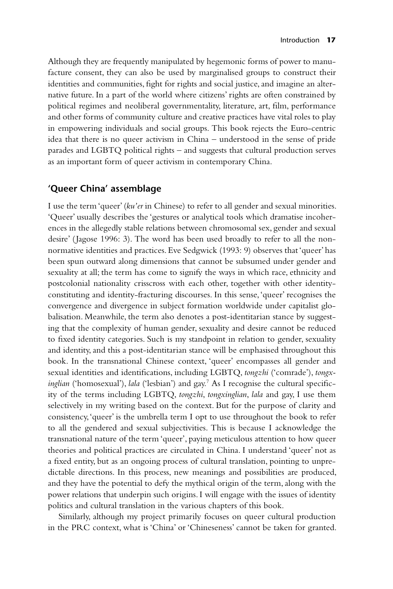Although they are frequently manipulated by hegemonic forms of power to manufacture consent, they can also be used by marginalised groups to construct their identities and communities, fight for rights and social justice, and imagine an alternative future. In a part of the world where citizens' rights are often constrained by political regimes and neoliberal governmentality, literature, art, film, performance and other forms of community culture and creative practices have vital roles to play in empowering individuals and social groups. This book rejects the Euro-centric idea that there is no queer activism in China – understood in the sense of pride parades and LGBTQ political rights – and suggests that cultural production serves as an important form of queer activism in contemporary China.

### **'Queer China' assemblage**

I use the term 'queer' (*ku'er* in Chinese) to refer to all gender and sexual minorities. 'Queer' usually describes the 'gestures or analytical tools which dramatise incoherences in the allegedly stable relations between chromosomal sex, gender and sexual desire' (Jagose 1996: 3). The word has been used broadly to refer to all the nonnormative identities and practices. Eve Sedgwick (1993: 9) observes that 'queer' has been spun outward along dimensions that cannot be subsumed under gender and sexuality at all; the term has come to signify the ways in which race, ethnicity and postcolonial nationality crisscross with each other, together with other identityconstituting and identity-fracturing discourses. In this sense, 'queer' recognises the convergence and divergence in subject formation worldwide under capitalist globalisation. Meanwhile, the term also denotes a post-identitarian stance by suggesting that the complexity of human gender, sexuality and desire cannot be reduced to fixed identity categories. Such is my standpoint in relation to gender, sexuality and identity, and this a post-identitarian stance will be emphasised throughout this book. In the transnational Chinese context, 'queer' encompasses all gender and sexual identities and identifications, including LGBTQ, *tongzhi* ('comrade'), *tongx*inglian ('homosexual'), *lala* ('lesbian') and gay.<sup>7</sup> As I recognise the cultural specificity of the terms including LGBTQ, *tongzhi*, *tongxinglian*, *lala* and gay, I use them selectively in my writing based on the context. But for the purpose of clarity and consistency, 'queer' is the umbrella term I opt to use throughout the book to refer to all the gendered and sexual subjectivities. This is because I acknowledge the transnational nature of the term 'queer', paying meticulous attention to how queer theories and political practices are circulated in China. I understand 'queer' not as a fixed entity, but as an ongoing process of cultural translation, pointing to unpredictable directions. In this process, new meanings and possibilities are produced, and they have the potential to defy the mythical origin of the term, along with the power relations that underpin such origins. I will engage with the issues of identity politics and cultural translation in the various chapters of this book.

Similarly, although my project primarily focuses on queer cultural production in the PRC context, what is 'China' or 'Chineseness' cannot be taken for granted.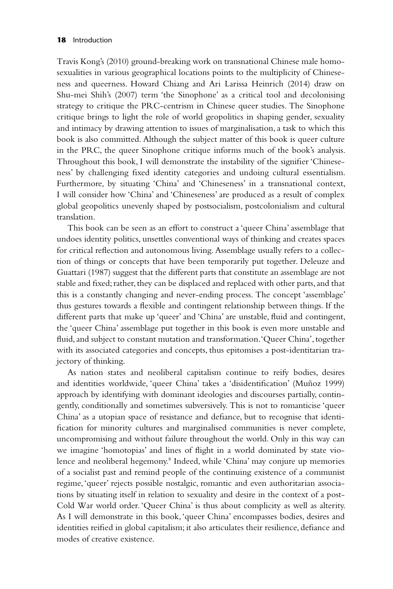Travis Kong's (2010) ground-breaking work on transnational Chinese male homosexualities in various geographical locations points to the multiplicity of Chineseness and queerness. Howard Chiang and Ari Larissa Heinrich (2014) draw on Shu-mei Shih's (2007) term 'the Sinophone' as a critical tool and decolonising strategy to critique the PRC-centrism in Chinese queer studies. The Sinophone critique brings to light the role of world geopolitics in shaping gender, sexuality and intimacy by drawing attention to issues of marginalisation, a task to which this book is also committed. Although the subject matter of this book is queer culture in the PRC, the queer Sinophone critique informs much of the book's analysis. Throughout this book, I will demonstrate the instability of the signifier 'Chineseness' by challenging fixed identity categories and undoing cultural essentialism. Furthermore, by situating 'China' and 'Chineseness' in a transnational context, I will consider how 'China' and 'Chineseness' are produced as a result of complex global geopolitics unevenly shaped by postsocialism, postcolonialism and cultural translation.

This book can be seen as an effort to construct a 'queer China' assemblage that undoes identity politics, unsettles conventional ways of thinking and creates spaces for critical reflection and autonomous living. Assemblage usually refers to a collection of things or concepts that have been temporarily put together. Deleuze and Guattari (1987) suggest that the different parts that constitute an assemblage are not stable and fixed; rather, they can be displaced and replaced with other parts, and that this is a constantly changing and never-ending process. The concept 'assemblage' thus gestures towards a flexible and contingent relationship between things. If the different parts that make up 'queer' and 'China' are unstable, fluid and contingent, the 'queer China' assemblage put together in this book is even more unstable and fluid, and subject to constant mutation and transformation. 'Queer China', together with its associated categories and concepts, thus epitomises a post-identitarian trajectory of thinking.

As nation states and neoliberal capitalism continue to reify bodies, desires and identities worldwide, 'queer China' takes a 'disidentification' (Muñoz 1999) approach by identifying with dominant ideologies and discourses partially, contingently, conditionally and sometimes subversively. This is not to romanticise 'queer China' as a utopian space of resistance and defiance, but to recognise that identification for minority cultures and marginalised communities is never complete, uncompromising and without failure throughout the world. Only in this way can we imagine 'homotopias' and lines of flight in a world dominated by state violence and neoliberal hegemony.8 Indeed, while 'China' may conjure up memories of a socialist past and remind people of the continuing existence of a communist regime, 'queer' rejects possible nostalgic, romantic and even authoritarian associations by situating itself in relation to sexuality and desire in the context of a post-Cold War world order. 'Queer China' is thus about complicity as well as alterity. As I will demonstrate in this book, 'queer China' encompasses bodies, desires and identities reified in global capitalism; it also articulates their resilience, defiance and modes of creative existence.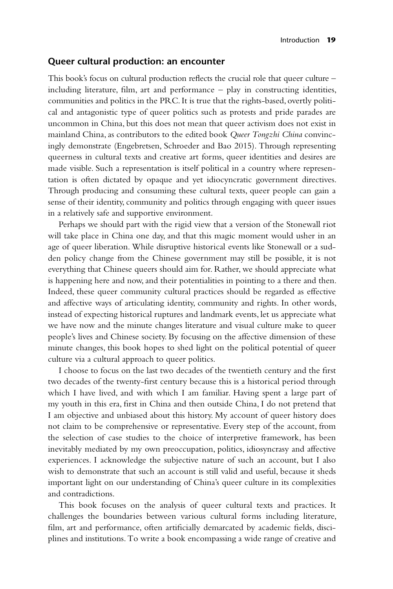#### **Queer cultural production: an encounter**

This book's focus on cultural production reflects the crucial role that queer culture – including literature, film, art and performance – play in constructing identities, communities and politics in the PRC. It is true that the rights-based, overtly political and antagonistic type of queer politics such as protests and pride parades are uncommon in China, but this does not mean that queer activism does not exist in mainland China, as contributors to the edited book *Queer Tongzhi China* convincingly demonstrate (Engebretsen, Schroeder and Bao 2015). Through representing queerness in cultural texts and creative art forms, queer identities and desires are made visible. Such a representation is itself political in a country where representation is often dictated by opaque and yet idiocyncratic government directives. Through producing and consuming these cultural texts, queer people can gain a sense of their identity, community and politics through engaging with queer issues in a relatively safe and supportive environment.

Perhaps we should part with the rigid view that a version of the Stonewall riot will take place in China one day, and that this magic moment would usher in an age of queer liberation. While disruptive historical events like Stonewall or a sudden policy change from the Chinese government may still be possible, it is not everything that Chinese queers should aim for. Rather, we should appreciate what is happening here and now, and their potentialities in pointing to a there and then. Indeed, these queer community cultural practices should be regarded as effective and affective ways of articulating identity, community and rights. In other words, instead of expecting historical ruptures and landmark events, let us appreciate what we have now and the minute changes literature and visual culture make to queer people's lives and Chinese society. By focusing on the affective dimension of these minute changes, this book hopes to shed light on the political potential of queer culture via a cultural approach to queer politics.

I choose to focus on the last two decades of the twentieth century and the first two decades of the twenty-first century because this is a historical period through which I have lived, and with which I am familiar. Having spent a large part of my youth in this era, first in China and then outside China, I do not pretend that I am objective and unbiased about this history. My account of queer history does not claim to be comprehensive or representative. Every step of the account, from the selection of case studies to the choice of interpretive framework, has been inevitably mediated by my own preoccupation, politics, idiosyncrasy and affective experiences. I acknowledge the subjective nature of such an account, but I also wish to demonstrate that such an account is still valid and useful, because it sheds important light on our understanding of China's queer culture in its complexities and contradictions.

This book focuses on the analysis of queer cultural texts and practices. It challenges the boundaries between various cultural forms including literature, film, art and performance, often artificially demarcated by academic fields, disciplines and institutions. To write a book encompassing a wide range of creative and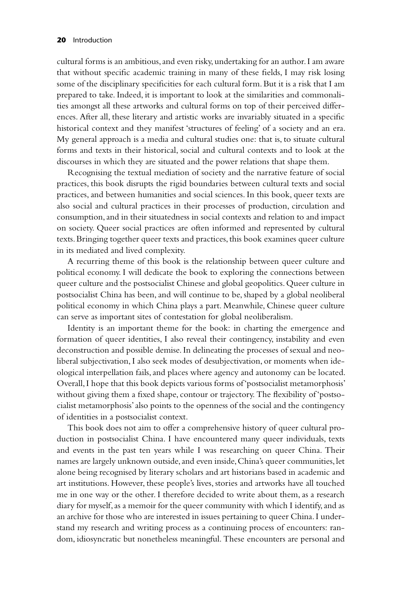cultural forms is an ambitious, and even risky, undertaking for an author. I am aware that without specific academic training in many of these fields, I may risk losing some of the disciplinary specificities for each cultural form. But it is a risk that I am prepared to take. Indeed, it is important to look at the similarities and commonalities amongst all these artworks and cultural forms on top of their perceived differences. After all, these literary and artistic works are invariably situated in a specific historical context and they manifest 'structures of feeling' of a society and an era. My general approach is a media and cultural studies one: that is, to situate cultural forms and texts in their historical, social and cultural contexts and to look at the discourses in which they are situated and the power relations that shape them.

Recognising the textual mediation of society and the narrative feature of social practices, this book disrupts the rigid boundaries between cultural texts and social practices, and between humanities and social sciences. In this book, queer texts are also social and cultural practices in their processes of production, circulation and consumption, and in their situatedness in social contexts and relation to and impact on society. Queer social practices are often informed and represented by cultural texts. Bringing together queer texts and practices, this book examines queer culture in its mediated and lived complexity.

A recurring theme of this book is the relationship between queer culture and political economy. I will dedicate the book to exploring the connections between queer culture and the postsocialist Chinese and global geopolitics. Queer culture in postsocialist China has been, and will continue to be, shaped by a global neoliberal political economy in which China plays a part. Meanwhile, Chinese queer culture can serve as important sites of contestation for global neoliberalism.

Identity is an important theme for the book: in charting the emergence and formation of queer identities, I also reveal their contingency, instability and even deconstruction and possible demise. In delineating the processes of sexual and neoliberal subjectivation, I also seek modes of desubjectivation, or moments when ideological interpellation fails, and places where agency and autonomy can be located. Overall, I hope that this book depicts various forms of 'postsocialist metamorphosis' without giving them a fixed shape, contour or trajectory. The flexibility of 'postsocialist metamorphosis' also points to the openness of the social and the contingency of identities in a postsocialist context.

This book does not aim to offer a comprehensive history of queer cultural production in postsocialist China. I have encountered many queer individuals, texts and events in the past ten years while I was researching on queer China. Their names are largely unknown outside, and even inside, China's queer communities, let alone being recognised by literary scholars and art historians based in academic and art institutions. However, these people's lives, stories and artworks have all touched me in one way or the other. I therefore decided to write about them, as a research diary for myself, as a memoir for the queer community with which I identify, and as an archive for those who are interested in issues pertaining to queer China. I understand my research and writing process as a continuing process of encounters: random, idiosyncratic but nonetheless meaningful. These encounters are personal and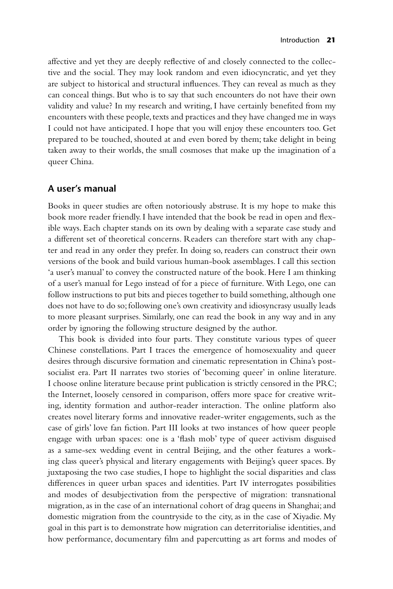affective and yet they are deeply reflective of and closely connected to the collective and the social. They may look random and even idiocyncratic, and yet they are subject to historical and structural influences. They can reveal as much as they can conceal things. But who is to say that such encounters do not have their own validity and value? In my research and writing, I have certainly benefited from my encounters with these people, texts and practices and they have changed me in ways I could not have anticipated. I hope that you will enjoy these encounters too. Get prepared to be touched, shouted at and even bored by them; take delight in being taken away to their worlds, the small cosmoses that make up the imagination of a queer China.

#### **A user's manual**

Books in queer studies are often notoriously abstruse. It is my hope to make this book more reader friendly. I have intended that the book be read in open and flexible ways. Each chapter stands on its own by dealing with a separate case study and a different set of theoretical concerns. Readers can therefore start with any chapter and read in any order they prefer. In doing so, readers can construct their own versions of the book and build various human-book assemblages. I call this section 'a user's manual' to convey the constructed nature of the book. Here I am thinking of a user's manual for Lego instead of for a piece of furniture. With Lego, one can follow instructions to put bits and pieces together to build something, although one does not have to do so; following one's own creativity and idiosyncrasy usually leads to more pleasant surprises. Similarly, one can read the book in any way and in any order by ignoring the following structure designed by the author.

This book is divided into four parts. They constitute various types of queer Chinese constellations. Part I traces the emergence of homosexuality and queer desires through discursive formation and cinematic representation in China's postsocialist era. Part II narrates two stories of 'becoming queer' in online literature. I choose online literature because print publication is strictly censored in the PRC; the Internet, loosely censored in comparison, offers more space for creative writing, identity formation and author-reader interaction. The online platform also creates novel literary forms and innovative reader-writer engagements, such as the case of girls' love fan fiction. Part III looks at two instances of how queer people engage with urban spaces: one is a 'flash mob' type of queer activism disguised as a same-sex wedding event in central Beijing, and the other features a working class queer's physical and literary engagements with Beijing's queer spaces. By juxtaposing the two case studies, I hope to highlight the social disparities and class differences in queer urban spaces and identities. Part IV interrogates possibilities and modes of desubjectivation from the perspective of migration: transnational migration, as in the case of an international cohort of drag queens in Shanghai; and domestic migration from the countryside to the city, as in the case of Xiyadie. My goal in this part is to demonstrate how migration can deterritorialise identities, and how performance, documentary film and papercutting as art forms and modes of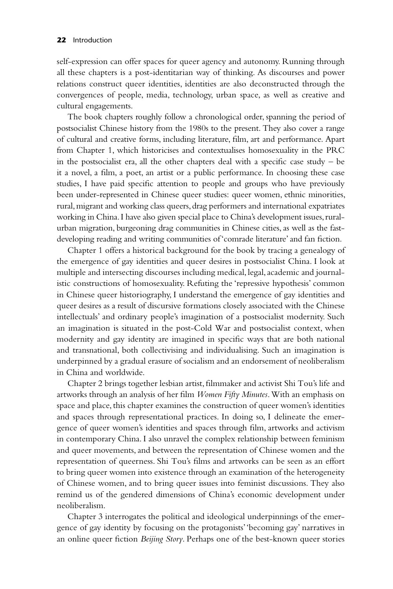self-expression can offer spaces for queer agency and autonomy. Running through all these chapters is a post-identitarian way of thinking. As discourses and power relations construct queer identities, identities are also deconstructed through the convergences of people, media, technology, urban space, as well as creative and cultural engagements.

The book chapters roughly follow a chronological order, spanning the period of postsocialist Chinese history from the 1980s to the present. They also cover a range of cultural and creative forms, including literature, film, art and performance. Apart from Chapter 1, which historicises and contextualises homosexuality in the PRC in the postsocialist era, all the other chapters deal with a specific case study – be it a novel, a film, a poet, an artist or a public performance. In choosing these case studies, I have paid specific attention to people and groups who have previously been under-represented in Chinese queer studies: queer women, ethnic minorities, rural, migrant and working class queers, drag performers and international expatriates working in China. I have also given special place to China's development issues, ruralurban migration, burgeoning drag communities in Chinese cities, as well as the fastdeveloping reading and writing communities of 'comrade literature' and fan fiction.

Chapter 1 offers a historical background for the book by tracing a genealogy of the emergence of gay identities and queer desires in postsocialist China. I look at multiple and intersecting discourses including medical, legal, academic and journalistic constructions of homosexuality. Refuting the 'repressive hypothesis' common in Chinese queer historiography, I understand the emergence of gay identities and queer desires as a result of discursive formations closely associated with the Chinese intellectuals' and ordinary people's imagination of a postsocialist modernity. Such an imagination is situated in the post-Cold War and postsocialist context, when modernity and gay identity are imagined in specific ways that are both national and transnational, both collectivising and individualising. Such an imagination is underpinned by a gradual erasure of socialism and an endorsement of neoliberalism in China and worldwide.

Chapter 2 brings together lesbian artist, filmmaker and activist Shi Tou's life and artworks through an analysis of her film *Women Fifty Minutes*. With an emphasis on space and place, this chapter examines the construction of queer women's identities and spaces through representational practices. In doing so, I delineate the emergence of queer women's identities and spaces through film, artworks and activism in contemporary China. I also unravel the complex relationship between feminism and queer movements, and between the representation of Chinese women and the representation of queerness. Shi Tou's films and artworks can be seen as an effort to bring queer women into existence through an examination of the heterogeneity of Chinese women, and to bring queer issues into feminist discussions. They also remind us of the gendered dimensions of China's economic development under neoliberalism.

Chapter 3 interrogates the political and ideological underpinnings of the emergence of gay identity by focusing on the protagonists' 'becoming gay' narratives in an online queer fiction *Beijing Story*. Perhaps one of the best-known queer stories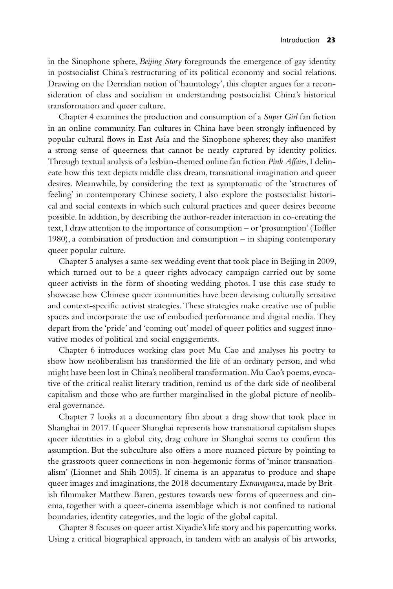in the Sinophone sphere, *Beijing Story* foregrounds the emergence of gay identity in postsocialist China's restructuring of its political economy and social relations. Drawing on the Derridian notion of 'hauntology', this chapter argues for a reconsideration of class and socialism in understanding postsocialist China's historical transformation and queer culture.

Chapter 4 examines the production and consumption of a *Super Girl* fan fiction in an online community. Fan cultures in China have been strongly influenced by popular cultural flows in East Asia and the Sinophone spheres; they also manifest a strong sense of queerness that cannot be neatly captured by identity politics. Through textual analysis of a lesbian-themed online fan fiction *Pink Affairs*, I delineate how this text depicts middle class dream, transnational imagination and queer desires. Meanwhile, by considering the text as symptomatic of the 'structures of feeling' in contemporary Chinese society, I also explore the postsocialist historical and social contexts in which such cultural practices and queer desires become possible. In addition, by describing the author-reader interaction in co-creating the text, I draw attention to the importance of consumption – or 'prosumption' (Toffler 1980), a combination of production and consumption – in shaping contemporary queer popular culture.

Chapter 5 analyses a same-sex wedding event that took place in Beijing in 2009, which turned out to be a queer rights advocacy campaign carried out by some queer activists in the form of shooting wedding photos. I use this case study to showcase how Chinese queer communities have been devising culturally sensitive and context-specific activist strategies. These strategies make creative use of public spaces and incorporate the use of embodied performance and digital media. They depart from the 'pride' and 'coming out' model of queer politics and suggest innovative modes of political and social engagements.

Chapter 6 introduces working class poet Mu Cao and analyses his poetry to show how neoliberalism has transformed the life of an ordinary person, and who might have been lost in China's neoliberal transformation. Mu Cao's poems, evocative of the critical realist literary tradition, remind us of the dark side of neoliberal capitalism and those who are further marginalised in the global picture of neoliberal governance.

Chapter 7 looks at a documentary film about a drag show that took place in Shanghai in 2017. If queer Shanghai represents how transnational capitalism shapes queer identities in a global city, drag culture in Shanghai seems to confirm this assumption. But the subculture also offers a more nuanced picture by pointing to the grassroots queer connections in non-hegemonic forms of 'minor transnationalism' (Lionnet and Shih 2005). If cinema is an apparatus to produce and shape queer images and imaginations, the 2018 documentary *Extravaganza*, made by British filmmaker Matthew Baren, gestures towards new forms of queerness and cinema, together with a queer-cinema assemblage which is not confined to national boundaries, identity categories, and the logic of the global capital.

Chapter 8 focuses on queer artist Xiyadie's life story and his papercutting works. Using a critical biographical approach, in tandem with an analysis of his artworks,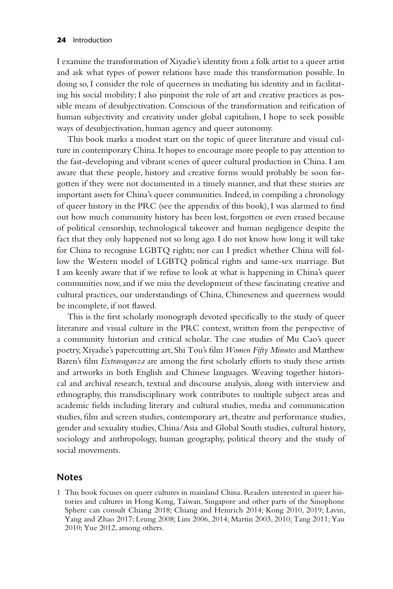I examine the transformation of Xiyadie's identity from a folk artist to a queer artist and ask what types of power relations have made this transformation possible. In doing so, I consider the role of queerness in mediating his identity and in facilitating his social mobility; I also pinpoint the role of art and creative practices as possible means of desubjectivation. Conscious of the transformation and reification of human subjectivity and creativity under global capitalism, I hope to seek possible ways of desubjectivation, human agency and queer autonomy.

This book marks a modest start on the topic of queer literature and visual culture in contemporary China. It hopes to encourage more people to pay attention to the fast-developing and vibrant scenes of queer cultural production in China. I am aware that these people, history and creative forms would probably be soon forgotten if they were not documented in a timely manner, and that these stories are important assets for China's queer communities. Indeed, in compiling a chronology of queer history in the PRC (see the appendix of this book), I was alarmed to find out how much community history has been lost, forgotten or even erased because of political censorship, technological takeover and human negligence despite the fact that they only happened not so long ago. I do not know how long it will take for China to recognise LGBTQ rights; nor can I predict whether China will follow the Western model of LGBTQ political rights and same-sex marriage. But I am keenly aware that if we refuse to look at what is happening in China's queer communities now, and if we miss the development of these fascinating creative and cultural practices, our understandings of China, Chineseness and queerness would be incomplete, if not flawed.

This is the first scholarly monograph devoted specifically to the study of queer literature and visual culture in the PRC context, written from the perspective of a community historian and critical scholar. The case studies of Mu Cao's queer poetry, Xiyadie's papercutting art, Shi Tou's film *Women Fifty Minutes* and Matthew Baren's film *Extravaganza* are among the first scholarly efforts to study these artists and artworks in both English and Chinese languages. Weaving together historical and archival research, textual and discourse analysis, along with interview and ethnography, this transdisciplinary work contributes to multiple subject areas and academic fields including literary and cultural studies, media and communication studies, film and screen studies, contemporary art, theatre and performance studies, gender and sexuality studies, China/Asia and Global South studies, cultural history, sociology and anthropology, human geography, political theory and the study of social movements.

#### **Notes**

1 This book focuses on queer cultures in mainland China. Readers interested in queer histories and cultures in Hong Kong, Taiwan, Singapore and other parts of the Sinophone Sphere can consult Chiang 2018; Chiang and Heinrich 2014; Kong 2010, 2019; Lavin, Yang and Zhao 2017; Leung 2008; Lim 2006, 2014; Martin 2003, 2010; Tang 2011; Yau 2010; Yue 2012, among others.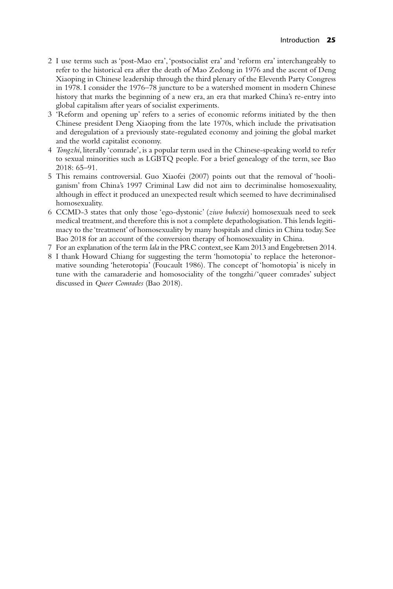- 2 I use terms such as 'post-Mao era', 'postsocialist era' and 'reform era' interchangeably to refer to the historical era after the death of Mao Zedong in 1976 and the ascent of Deng Xiaoping in Chinese leadership through the third plenary of the Eleventh Party Congress in 1978. I consider the 1976–78 juncture to be a watershed moment in modern Chinese history that marks the beginning of a new era, an era that marked China's re-entry into global capitalism after years of socialist experiments.
- 3 'Reform and opening up' refers to a series of economic reforms initiated by the then Chinese president Deng Xiaoping from the late 1970s, which include the privatisation and deregulation of a previously state-regulated economy and joining the global market and the world capitalist economy.
- 4 *Tongzhi*, literally 'comrade', is a popular term used in the Chinese-speaking world to refer to sexual minorities such as LGBTQ people. For a brief genealogy of the term, see Bao 2018: 65–91.
- 5 This remains controversial. Guo Xiaofei (2007) points out that the removal of 'hooliganism' from China's 1997 Criminal Law did not aim to decriminalise homosexuality, although in effect it produced an unexpected result which seemed to have decriminalised homosexuality.
- 6 CCMD-3 states that only those 'ego-dystonic' (*ziwo buhexie*) homosexuals need to seek medical treatment, and therefore this is not a complete depathologisation. This lends legitimacy to the 'treatment' of homosexuality by many hospitals and clinics in China today. See Bao 2018 for an account of the conversion therapy of homosexuality in China.
- 7 For an explanation of the term *lala* in the PRC context, see Kam 2013 and Engebretsen 2014.
- 8 I thank Howard Chiang for suggesting the term 'homotopia' to replace the heteronormative sounding 'heterotopia' (Foucault 1986). The concept of 'homotopia' is nicely in tune with the camaraderie and homosociality of the tongzhi/'queer comrades' subject discussed in *Queer Comrades* (Bao 2018).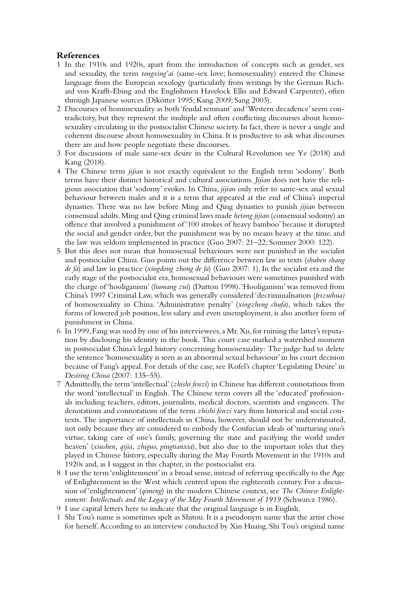#### **References**

- 1 In the 1910s and 1920s, apart from the introduction of concepts such as gender, sex and sexuality, the term *tongxing'ai* (same-sex love; homosexuality) entered the Chinese language from the European sexology (particularly from writings by the German Richard von Krafft-Ebing and the Englishmen Havelock Ellis and Edward Carpenter), often through Japanese sources (Dikötter 1995; Kang 2009; Sang 2003).
- 2 Discourses of homosexuality as both 'feudal remnant' and 'Western decadence' seem contradictory, but they represent the multiple and often conflicting discourses about homosexuality circulating in the postsocialist Chinese society. In fact, there is never a single and coherent discourse about homosexuality in China. It is productive to ask what discourses there are and how people negotiate these discourses.
- 3 For discussions of male same-sex desire in the Cultural Revolution see Ye (2018) and Kang (2018).
- 4 The Chinese term *jijian* is not exactly equivalent to the English term 'sodomy'. Both terms have their distinct historical and cultural associations. *Jijian* does not have the religious association that 'sodomy' evokes. In China, *jijian* only refer to same-sex anal sexual behaviour between males and it is a term that appeared at the end of China's imperial dynasties. There was no law before Ming and Qing dynasties to punish *jijian* between consensual adults. Ming and Qing criminal laws made *hetong jijian* (consensual sodomy) an offence that involved a punishment of '100 strokes of heavy bamboo' because it disrupted the social and gender order, but the punishment was by no means heavy at the time, and the law was seldom implemented in practice (Guo 2007: 21–22; Sommer 2000: 122).
- 5 But this does not mean that homosexual behaviours were not punished in the socialist and postsocialist China. Guo points out the difference between law in texts (*shuben shang de fa*) and law in practice (*xingdong zhong de fa*) (Guo 2007: 1). In the socialist era and the early stage of the postsocialist era, homosexual behaviours were sometimes punished with the charge of 'hooliganism' (*liumang zui*) (Dutton 1998). 'Hooliganism' was removed from China's 1997 Criminal Law, which was generally considered 'decriminalisation (*feizuihua)* of homosexuality in China. 'Administrative penalty' (*xingzheng chufa*), which takes the forms of lowered job position, less salary and even unemployment, is also another form of punishment in China.
- 6 In 1999, Fang was sued by one of his interviewees, a Mr.Xu, for ruining the latter's reputation by disclosing his identity in the book. This court case marked a watershed moment in postsocialist China's legal history concerning homosexuality: The judge had to delete the sentence 'homosexuality is seen as an abnormal sexual behaviour' in his court decision because of Fang's appeal. For details of the case, see Rofel's chapter 'Legislating Desire' in *Desiring China* (2007: 135–55).
- 7 Admittedly, the term 'intellectual' (*zhishi fenzi*) in Chinese has different connotations from the word 'intellectual' in English. The Chinese term covers all the 'educated' professionals including teachers, editors, journalists, medical doctors, scientists and engineers. The denotations and connotations of the term *zhishi fenzi* vary from historical and social contexts. The importance of intellectuals in China, however, should not be underestimated, not only because they are considered to embody the Confucian ideals of 'nurturing one's virtue, taking care of one's family, governing the state and pacifying the world under heaven' (*xiushen, qijia, zhiguo, pingtianxia*), but also due to the important roles that they played in Chinese history, especially during the May Fourth Movement in the 1910s and 1920s and, as I suggest in this chapter, in the postsocialist era.
- 8 I use the term 'enlightenment' in a broad sense, instead of referring specifically to the Age of Enlightenment in the West which centred upon the eighteenth century. For a discussion of 'enlightenment' (*qimeng*) in the modern Chinese context, see *The Chinese Enlightenment: Intellectuals and the Legacy of the May Fourth Movement of 1919* (Schwarcz 1986).
- 9 I use capital letters here to indicate that the original language is in English.
- 1 Shi Tou's name is sometimes spelt as Shitou. It is a pseudonym name that the artist chose for herself. According to an interview conducted by Xin Huang, Shi Tou's original name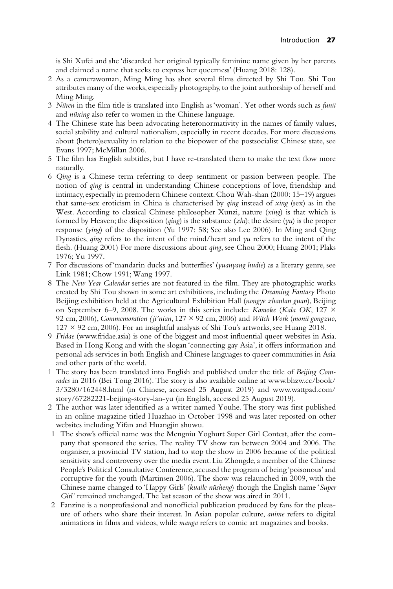is Shi Xufei and she 'discarded her original typically feminine name given by her parents and claimed a name that seeks to express her queerness' (Huang 2018: 128).

- 2 As a camerawoman, Ming Ming has shot several films directed by Shi Tou. Shi Tou attributes many of the works, especially photography, to the joint authorship of herself and Ming Ming.
- 3 *Nüren* in the film title is translated into English as 'woman'. Yet other words such as *funü* and *nüxing* also refer to women in the Chinese language.
- 4 The Chinese state has been advocating heteronormativity in the names of family values, social stability and cultural nationalism, especially in recent decades. For more discussions about (hetero)sexuality in relation to the biopower of the postsocialist Chinese state, see Evans 1997; McMillan 2006.
- 5 The film has English subtitles, but I have re-translated them to make the text flow more naturally.
- 6 *Qing* is a Chinese term referring to deep sentiment or passion between people. The notion of *qing* is central in understanding Chinese conceptions of love, friendship and intimacy, especially in premodern Chinese context. Chou Wah-shan (2000: 15–19) argues that same-sex eroticism in China is characterised by *qing* instead of *xing* (sex) as in the West. According to classical Chinese philosopher Xunzi, nature (*xing*) is that which is formed by Heaven; the disposition (*qing*) is the substance (*zhi*); the desire (*yu*) is the proper response (*ying*) of the disposition (Yu 1997: 58; See also Lee 2006). In Ming and Qing Dynasties, *qing* refers to the intent of the mind/heart and *yu* refers to the intent of the flesh. (Huang 2001) For more discussions about *qing*, see Chou 2000; Huang 2001; Plaks 1976; Yu 1997.
- 7 For discussions of 'mandarin ducks and butterflies' (*yuanyang hudie*) as a literary genre, see Link 1981; Chow 1991; Wang 1997.
- 8 The *New Year Calendar* series are not featured in the film. They are photographic works created by Shi Tou shown in some art exhibitions, including the *Dreaming Fantasy* Photo Beijing exhibition held at the Agricultural Exhibition Hall (*nongye zhanlan guan*), Beijing on September 6–9, 2008. The works in this series include: *Karaoke* (*Kala OK*, 127 × 92 cm, 2006), *Commemoration (ji'nian*, 127 × 92 cm, 2006) and *Witch Work* (*monü gongzuo*,  $127 \times 92$  cm, 2006). For an insightful analysis of Shi Tou's artworks, see Huang 2018.
- 9 *Fridae* ([www.fridae.asia\)](http://www.fridae.asia) is one of the biggest and most influential queer websites in Asia. Based in Hong Kong and with the slogan 'connecting gay Asia', it offers information and personal ads services in both English and Chinese languages to queer communities in Asia and other parts of the world.
- 1 The story has been translated into English and published under the title of *Beijing Comrades* in 2016 (Bei Tong 2016). The story is also available online at [www.bhzw.cc/book/](http://www.bhzw.cc) [3/3280/162448.html](http://www.bhzw.cc) (in Chinese, accessed 25 August 2019) and [www.wattpad.com/](http://www.wattpad.com) [story/67282221-beijing-story-lan-yu](http://www.wattpad.com) (in English, accessed 25 August 2019).
- 2 The author was later identified as a writer named Youhe. The story was first published in an online magazine titled Huazhao in October 1998 and was later reposted on other websites including Yifan and Huangjin shuwu.
- 1 The show's official name was the Mengniu Yoghurt Super Girl Contest, after the company that sponsored the series. The reality TV show ran between 2004 and 2006. The organiser, a provincial TV station, had to stop the show in 2006 because of the political sensitivity and controversy over the media event. Liu Zhongde, a member of the Chinese People's Political Consultative Conference, accused the program of being 'poisonous' and corruptive for the youth (Martinsen 2006). The show was relaunched in 2009, with the Chinese name changed to 'Happy Girls' (*kuaile nüsheng*) though the English name '*Super Girl'* remained unchanged. The last season of the show was aired in 2011.
- 2 Fanzine is a nonprofessional and nonofficial publication produced by fans for the pleasure of others who share their interest. In Asian popular culture, *anime* refers to digital animations in films and videos, while *manga* refers to comic art magazines and books.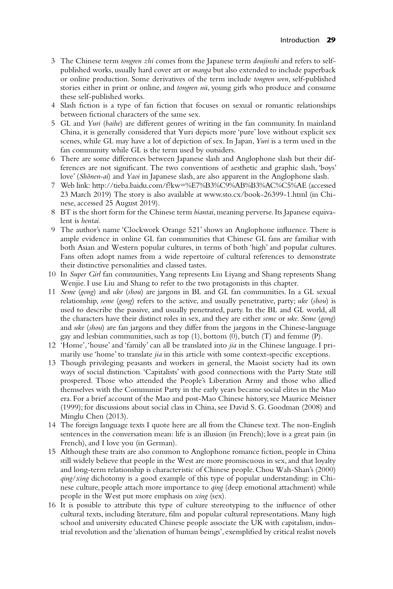- 3 The Chinese term *tongren zhi* comes from the Japanese term *doujinshi* and refers to selfpublished works, usually hard cover art or *manga* but also extended to include paperback or online production. Some derivatives of the term include *tongren wen*, self-published stories either in print or online, and *tongren nü*, young girls who produce and consume these self-published works.
- 4 Slash fiction is a type of fan fiction that focuses on sexual or romantic relationships between fictional characters of the same sex.
- 5 GL and *Yuri* (*baihe*) are different genres of writing in the fan community. In mainland China, it is generally considered that Yuri depicts more 'pure' love without explicit sex scenes, while GL may have a lot of depiction of sex. In Japan, *Yuri* is a term used in the fan community while GL is the term used by outsiders.
- 6 There are some differences between Japanese slash and Anglophone slash but their differences are not significant. The two conventions of aesthetic and graphic slash, 'boys' love' (*Shōnen-ai*) and *Yaoi* in Japanese slash, are also apparent in the Anglophone slash.
- 7 Web link: [http://tieba.baidu.com/f?kw=%E7%B3%C9%AB%B3%AC%C5%AE](http://tieba.baidu.com) (accessed 23 March 2019) The story is also available at [www.sto.cx/book-26399-1.html](http://www.sto.cx) (in Chinese, accessed 25 August 2019).
- 8 BT is the short form for the Chinese term *biantai*, meaning perverse. Its Japanese equivalent is *hentai*.
- 9 The author's name 'Clockwork Orange 521' shows an Anglophone influence. There is ample evidence in online GL fan communities that Chinese GL fans are familiar with both Asian and Western popular cultures, in terms of both 'high' and popular cultures. Fans often adopt names from a wide repertoire of cultural references to demonstrate their distinctive personalities and classed tastes.
- 10 In *Super Girl* fan communities, Yang represents Liu Liyang and Shang represents Shang Wenjie. I use Liu and Shang to refer to the two protagonists in this chapter.
- 11 *Seme* (*gong*) and *uke* (*shou*) are jargons in BL and GL fan communities. In a GL sexual relationship, *seme* (*gong*) refers to the active, and usually penetrative, party; *uke* (*shou*) is used to describe the passive, and usually penetrated, party. In the BL and GL world, all the characters have their distinct roles in sex, and they are either *seme* or *uke. Seme* (*gong*) and *uke* (*shou*) are fan jargons and they differ from the jargons in the Chinese-language gay and lesbian communities, such as top (1), bottom (0), butch (T) and femme (P).
- 12 'Home', 'house' and 'family' can all be translated into *jia* in the Chinese language. I primarily use 'home' to translate *jia* in this article with some context-specific exceptions.
- 13 Though privileging peasants and workers in general, the Maoist society had its own ways of social distinction. 'Capitalists' with good connections with the Party State still prospered. Those who attended the People's Liberation Army and those who allied themselves with the Communist Party in the early years became social elites in the Mao era. For a brief account of the Mao and post-Mao Chinese history, see Maurice Meisner (1999); for discussions about social class in China, see David S. G. Goodman (2008) and Minglu Chen (2013).
- 14 The foreign language texts I quote here are all from the Chinese text. The non-English sentences in the conversation mean: life is an illusion (in French); love is a great pain (in French), and I love you (in German).
- 15 Although these traits are also common to Anglophone romance fiction, people in China still widely believe that people in the West are more promiscuous in sex, and that loyalty and long-term relationship is characteristic of Chinese people. Chou Wah-Shan's (2000) *qing*/*xing* dichotomy is a good example of this type of popular understanding: in Chinese culture, people attach more importance to *qing* (deep emotional attachment) while people in the West put more emphasis on *xing* (sex).
- 16 It is possible to attribute this type of culture stereotyping to the influence of other cultural texts, including literature, film and popular cultural representations. Many high school and university educated Chinese people associate the UK with capitalism, industrial revolution and the 'alienation of human beings', exemplified by critical realist novels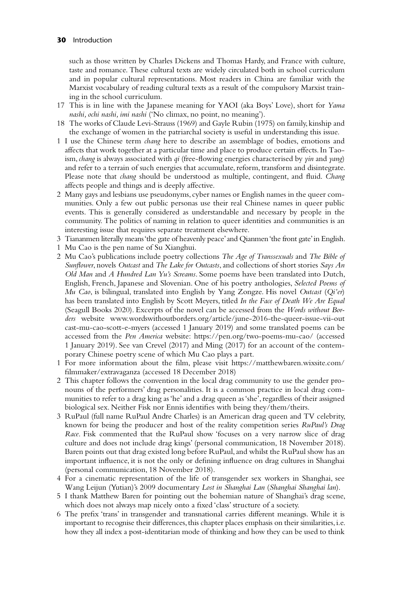such as those written by Charles Dickens and Thomas Hardy, and France with culture, taste and romance. These cultural texts are widely circulated both in school curriculum and in popular cultural representations. Most readers in China are familiar with the Marxist vocabulary of reading cultural texts as a result of the compulsory Marxist training in the school curriculum.

- 17 This is in line with the Japanese meaning for YAOI (aka Boys' Love), short for *Yama nashi, ochi nashi, imi nashi* ('No climax, no point, no meaning').
- 18 The works of Claude Levi-Strauss (1969) and Gayle Rubin (1975) on family, kinship and the exchange of women in the patriarchal society is useful in understanding this issue.
- 1 I use the Chinese term *chang* here to describe an assemblage of bodies, emotions and affects that work together at a particular time and place to produce certain effects. In Taoism, *chang* is always associated with *qi* (free-flowing energies characterised by *yin* and *yang*) and refer to a terrain of such energies that accumulate, reform, transform and disintegrate. Please note that *chang* should be understood as multiple, contingent, and fluid. *Chang* affects people and things and is deeply affective.
- 2 Many gays and lesbians use pseudonyms, cyber names or English names in the queer communities. Only a few out public personas use their real Chinese names in queer public events. This is generally considered as understandable and necessary by people in the community. The politics of naming in relation to queer identities and communities is an interesting issue that requires separate treatment elsewhere.
- 3 Tiananmen literally means 'the gate of heavenly peace' and Qianmen 'the front gate' in English.
- 1 Mu Cao is the pen name of Su Xianghui.
- 2 Mu Cao's publications include poetry collections *The Age of Transsexuals* and *The Bible of Sunflower*, novels *Outcast* and *The Lake for Outcasts*, and collections of short stories *Says An Old Man* and *A Hundred Lan Yu's Screams*. Some poems have been translated into Dutch, English, French, Japanese and Slovenian. One of his poetry anthologies, *Selected Poems of Mu Cao*, is bilingual, translated into English by Yang Zongze. His novel *Outcast* (*Qi'er*) has been translated into English by Scott Meyers, titled *In the Face of Death We Are Equal* (Seagull Books 2020). Excerpts of the novel can be accessed from the *Words without Borders* website [www.wordswithoutborders.org/article/june-2016-the-queer-issue-vii-out](http://www.wordswithoutborders.org) [cast-mu-cao-scott-e-myers](http://www.wordswithoutborders.org) (accessed 1 January 2019) and some translated poems can be accessed from the *Pen America* website: [https://pen.org/two-poems-mu-cao/](https://pen.org) (accessed 1 January 2019). See van Crevel (2017) and Ming (2017) for an account of the contemporary Chinese poetry scene of which Mu Cao plays a part.
- 1 For more information about the film, please visit [https://matthewbaren.wixsite.com/](https://matthewbaren.wixsite.com) [filmmaker/extravaganza](https://matthewbaren.wixsite.com) (accessed 18 December 2018)
- 2 This chapter follows the convention in the local drag community to use the gender pronouns of the performers' drag personalities. It is a common practice in local drag communities to refer to a drag king as 'he' and a drag queen as 'she', regardless of their assigned biological sex. Neither Fisk nor Ennis identifies with being they/them/theirs.
- 3 RuPaul (full name RuPaul Andre Charles) is an American drag queen and TV celebrity, known for being the producer and host of the reality competition series *RuPaul's Drag Race*. Fisk commented that the RuPaul show 'focuses on a very narrow slice of drag culture and does not include drag kings' (personal communication, 18 November 2018). Baren points out that drag existed long before RuPaul, and whilst the RuPaul show has an important influence, it is not the only or defining influence on drag cultures in Shanghai (personal communication, 18 November 2018).
- 4 For a cinematic representation of the life of transgender sex workers in Shanghai, see Wang Leijun (Yutian)'s 2009 documentary *Lost in Shanghai Lan* (*Shanghai Shanghai lan*).
- 5 I thank Matthew Baren for pointing out the bohemian nature of Shanghai's drag scene, which does not always map nicely onto a fixed 'class' structure of a society.
- 6 The prefix 'trans' in transgender and transnational carries different meanings. While it is important to recognise their differences, this chapter places emphasis on their similarities, i.e. how they all index a post-identitarian mode of thinking and how they can be used to think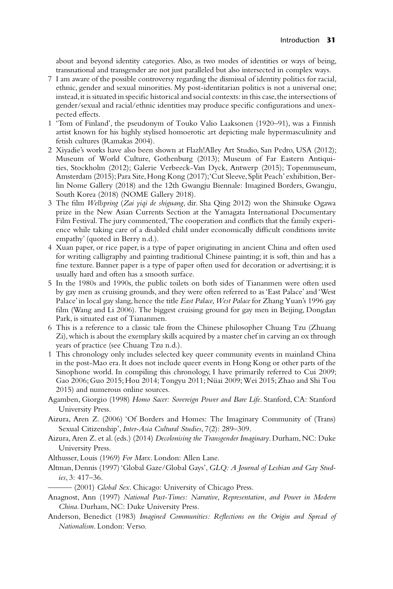about and beyond identity categories. Also, as two modes of identities or ways of being, transnational and transgender are not just paralleled but also intersected in complex ways.

- 7 I am aware of the possible controversy regarding the dismissal of identity politics for racial, ethnic, gender and sexual minorities. My post-identitarian politics is not a universal one; instead, it is situated in specific historical and social contexts: in this case, the intersections of gender/sexual and racial/ethnic identities may produce specific configurations and unexpected effects.
- 1 'Tom of Finland', the pseudonym of Touko Valio Laaksonen (1920–91), was a Finnish artist known for his highly stylised homoerotic art depicting male hypermasculinity and fetish cultures (Ramakas 2004).
- 2 Xiyadie's works have also been shown at Flazh!Alley Art Studio, San Pedro, USA (2012); Museum of World Culture, Gothenburg (2013); Museum of Far Eastern Antiquities, Stockholm (2012); Galerie Verbeeck-Van Dyck, Antwerp (2015); Topenmuseum, Amsterdam (2015); Para Site, Hong Kong (2017); 'Cut Sleeve, Split Peach' exhibition, Berlin Nome Gallery (2018) and the 12th Gwangju Biennale: Imagined Borders, Gwangju, South Korea (2018) (NOME Gallery 2018).
- 3 The film *Wellspring* (*Zai yiqi de shiguang*, dir. Sha Qing 2012) won the Shinsuke Ogawa prize in the New Asian Currents Section at the Yamagata International Documentary Film Festival. The jury commented, 'The cooperation and conflicts that the family experience while taking care of a disabled child under economically difficult conditions invite empathy' (quoted in Berry n.d.).
- 4 Xuan paper, or rice paper, is a type of paper originating in ancient China and often used for writing calligraphy and painting traditional Chinese painting; it is soft, thin and has a fine texture. Banner paper is a type of paper often used for decoration or advertising; it is usually hard and often has a smooth surface.
- 5 In the 1980s and 1990s, the public toilets on both sides of Tiananmen were often used by gay men as cruising grounds, and they were often referred to as 'East Palace' and 'West Palace' in local gay slang, hence the title *East Palace, West Palace* for Zhang Yuan's 1996 gay film (Wang and Li 2006). The biggest cruising ground for gay men in Beijing, Dongdan Park, is situated east of Tiananmen.
- 6 This is a reference to a classic tale from the Chinese philosopher Chuang Tzu (Zhuang Zi), which is about the exemplary skills acquired by a master chef in carving an ox through years of practice (see Chuang Tzu n.d.).
- 1 This chronology only includes selected key queer community events in mainland China in the post-Mao era. It does not include queer events in Hong Kong or other parts of the Sinophone world. In compiling this chronology, I have primarily referred to Cui 2009; Gao 2006; Guo 2015; Hou 2014; Tongyu 2011; Nüai 2009; Wei 2015; Zhao and Shi Tou 2015) and numerous online sources.
- Agamben, Giorgio (1998) *Homo Sacer: Sovereign Power and Bare Life*. Stanford, CA: Stanford University Press.

Aizura, Aren Z. (2006) 'Of Borders and Homes: The Imaginary Community of (Trans) Sexual Citizenship', *Inter-Asia Cultural Studies*, 7(2): 289–309.

- Aizura, Aren Z. et al. (eds.) (2014) *Decolonising the Transgender Imaginary*. Durham, NC: Duke University Press.
- Althusser, Louis (1969) *For Marx*. London: Allen Lane.
- Altman, Dennis (1997) 'Global Gaze/Global Gays', *GLQ: A Journal of Lesbian and Gay Studies*, 3: 417–36.
	- ——— (2001) *Global Sex*. Chicago: University of Chicago Press.
- Anagnost, Ann (1997) *National Past-Times: Narrative, Representation, and Power in Modern China*. Durham, NC: Duke University Press.
- Anderson, Benedict (1983) *Imagined Communities: Reflections on the Origin and Spread of Nationalism*. London: Verso.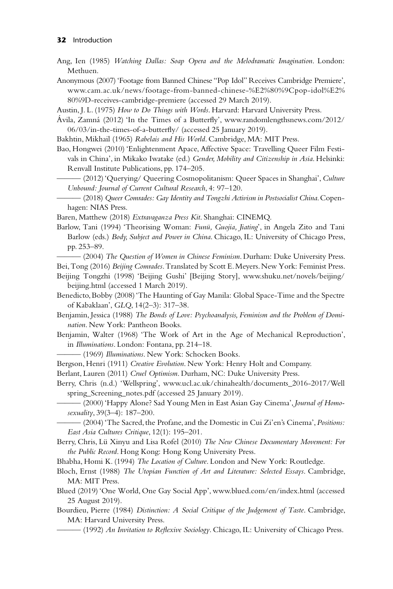- Ang, Ien (1985) *Watching Dallas: Soap Opera and the Melodramatic Imagination*. London: Methuen.
- Anonymous (2007) 'Footage from Banned Chinese "Pop Idol" Receives Cambridge Premiere', [www.cam.ac.uk/news/footage-from-banned-chinese-%E2%80%9Cpop-idol%E2%](http://www.cam.ac.uk) [80%9D-receives-cambridge-premiere](http://www.cam.ac.uk) (accessed 29 March 2019).

Austin, J. L. (1975) *How to Do Things with Words*. Harvard: Harvard University Press.

Ávila, Zamná (2012) 'In the Times of a Butterfly', [www.randomlengthsnews.com/2012/](http://www.randomlengthsnews.com) [06/03/in-the-times-of-a-butterfly/](http://www.randomlengthsnews.com) (accessed 25 January 2019).

Bakhtin, Mikhail (1965) *Rabelais and His World*. Cambridge, MA: MIT Press.

- Bao, Hongwei (2010) 'Enlightenment Apace, Affective Space: Travelling Queer Film Festivals in China', in Mikako Iwatake (ed.) *Gender, Mobility and Citizenship in Asia*. Helsinki: Renvall Institute Publications, pp. 174–205.
	- ——— (2012) 'Querying/ Queering Cosmopolitanism: Queer Spaces in Shanghai', *Culture Unbound: Journal of Current Cultural Research*, 4: 97–120.
- ——— (2018) *Queer Comrades: Gay Identity and Tongzhi Activism in Postsocialist China*. Copenhagen: NIAS Press.
- Baren, Matthew (2018) *Extravaganza Press Kit*. Shanghai: CINEMQ.
- Barlow, Tani (1994) 'Theorising Woman: *Funü, Guojia, Jiating*', in Angela Zito and Tani Barlow (eds.) *Body, Subject and Power in China*. Chicago, IL: University of Chicago Press, pp. 253–89.
- ——— (2004) *The Question of Women in Chinese Feminism*. Durham: Duke University Press. Bei, Tong (2016) *Beijing Comrades*. Translated by Scott E. Meyers. New York: Feminist Press.
- Beijing Tongzhi (1998) 'Beijing Gushi' [Beijing Story], [www.shuku.net/novels/beijing/](http://www.shuku.net) [beijing.html](http://www.shuku.net) (accessed 1 March 2019).
- Benedicto, Bobby (2008) 'The Haunting of Gay Manila: Global Space-Time and the Spectre of Kabaklaan', *GLQ*, 14(2–3): 317–38.
- Benjamin, Jessica (1988) *The Bonds of Love: Psychoanalysis, Feminism and the Problem of Domination*. New York: Pantheon Books.
- Benjamin, Walter (1968) 'The Work of Art in the Age of Mechanical Reproduction', in *Illuminations*. London: Fontana, pp. 214–18.
	- ——— (1969) *Illuminations*. New York: Schocken Books.
- Bergson, Henri (1911) *Creative Evolution*. New York: Henry Holt and Company.
- Berlant, Lauren (2011) *Cruel Optimism*. Durham, NC: Duke University Press.
- Berry, Chris (n.d.) 'Wellspring', [www.ucl.ac.uk/chinahealth/documents\\_2016-2017/Well](http://www.ucl.ac.uk) [spring\\_Screening\\_notes.pdf](http://www.ucl.ac.uk) (accessed 25 January 2019).
	- ——— (2000) 'Happy Alone? Sad Young Men in East Asian Gay Cinema', *Journal of Homosexuality*, 39(3–4): 187–200.
	- ——— (2004) 'The Sacred, the Profane, and the Domestic in Cui Zi'en's Cinema', *Positions: East Asia Cultures Critique*, 12(1): 195–201.
- Berry, Chris, Lü Xinyu and Lisa Rofel (2010) *The New Chinese Documentary Movement: For the Public Record*. Hong Kong: Hong Kong University Press.
- Bhabha, Homi K. (1994) *The Location of Culture*. London and New York: Routledge.
- Bloch, Ernst (1988) *The Utopian Function of Art and Literature: Selected Essays*. Cambridge, MA: MIT Press.
- Blued (2019) 'One World, One Gay Social App', [www.blued.com/en/index.html](http://www.blued.com) (accessed 25 August 2019).
- Bourdieu, Pierre (1984) *Distinction: A Social Critique of the Judgement of Taste*. Cambridge, MA: Harvard University Press.
	- ——— (1992) *An Invitation to Reflexive Sociology*. Chicago, IL: University of Chicago Press.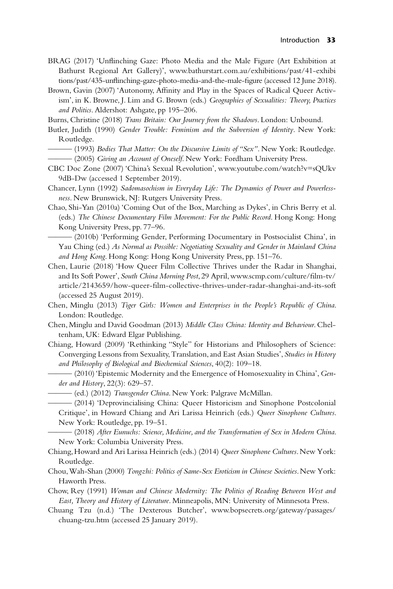- BRAG (2017) 'Unflinching Gaze: Photo Media and the Male Figure (Art Exhibition at Bathurst Regional Art Gallery)', [www.bathurstart.com.au/exhibitions/past/41-exhibi](http://www.bathurstart.com.au) [tions/past/435-unflinching-gaze-photo-media-and-the-male-figure](http://www.bathurstart.com.au) (accessed 12 June 2018).
- Brown, Gavin (2007) 'Autonomy, Affinity and Play in the Spaces of Radical Queer Activism', in K. Browne, J. Lim and G. Brown (eds.) *Geographies of Sexualities: Theory, Practices and Politics*. Aldershot: Ashgate, pp 195–206.
- Burns, Christine (2018) *Trans Britain: Our Journey from the Shadows*. London: Unbound.
- Butler, Judith (1990) *Gender Trouble: Feminism and the Subversion of Identity*. New York: Routledge.
- ——— (1993) *Bodies That Matter: On the Discursive Limits of "Sex"*. New York: Routledge. ——— (2005) *Giving an Account of Oneself*. New York: Fordham University Press.
- CBC Doc Zone (2007) 'China's Sexual Revolution', [www.youtube.com/watch?v=sQUkv](http://www.youtube.com) [9dB-Dw](http://www.youtube.com) (accessed 1 September 2019).
- Chancer, Lynn (1992) *Sadomasochism in Everyday Life: The Dynamics of Power and Powerlessness*. New Brunswick, NJ: Rutgers University Press.
- Chao, Shi-Yan (2010a) 'Coming Out of the Box, Marching as Dykes', in Chris Berry et al. (eds.) *The Chinese Documentary Film Movement: For the Public Record*. Hong Kong: Hong Kong University Press, pp. 77–96.
- ——— (2010b) 'Performing Gender, Performing Documentary in Postsocialist China', in Yau Ching (ed.) *As Normal as Possible: Negotiating Sexuality and Gender in Mainland China and Hong Kong*. Hong Kong: Hong Kong University Press, pp. 151–76.
- Chen, Laurie (2018) 'How Queer Film Collective Thrives under the Radar in Shanghai, and Its Soft Power', *South China Morning Post*, 29 April, [www.scmp.com/culture/film-tv/](http://www.scmp.com) [article/2143659/how-queer-film-collective-thrives-under-radar-shanghai-and-its-soft](http://www.scmp.com)  (accessed 25 August 2019).
- Chen, Minglu (2013) *Tiger Girls: Women and Enterprises in the People's Republic of China*. London: Routledge.
- Chen, Minglu and David Goodman (2013) *Middle Class China: Identity and Behaviour*. Cheltenham, UK: Edward Elgar Publishing.
- Chiang, Howard (2009) 'Rethinking "Style" for Historians and Philosophers of Science: Converging Lessons from Sexuality, Translation, and East Asian Studies', *Studies in History and Philosophy of Biological and Biochemical Sciences*, 40(2): 109–18.
	- $-$  (2010) 'Epistemic Modernity and the Emergence of Homosexuality in China', *Gender and History*, 22(3): 629–57.
	- ——— (ed.) (2012) *Transgender China*. New York: Palgrave McMillan.
	- ——— (2014) 'Deprovincialising China: Queer Historicism and Sinophone Postcolonial Critique', in Howard Chiang and Ari Larissa Heinrich (eds.) *Queer Sinophone Cultures*. New York: Routledge, pp. 19–51.
	- ——— (2018) *After Eunuchs: Science, Medicine, and the Transformation of Sex in Modern China*. New York: Columbia University Press.
- Chiang, Howard and Ari Larissa Heinrich (eds.) (2014) *Queer Sinophone Cultures*. New York: Routledge.
- Chou, Wah-Shan (2000) *Tongzhi: Politics of Same-Sex Eroticism in Chinese Societies*. New York: Haworth Press.
- Chow, Rey (1991) *Woman and Chinese Modernity: The Politics of Reading Between West and East, Theory and History of Literature*. Minneapolis, MN: University of Minnesota Press.
- Chuang Tzu (n.d.) 'The Dexterous Butcher', [www.bopsecrets.org/gateway/passages/](http://www.bopsecrets.org) [chuang-tzu.htm](http://www.bopsecrets.org) (accessed 25 January 2019).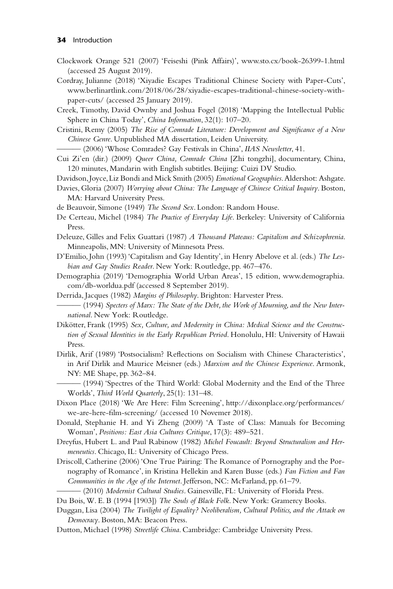- Clockwork Orange 521 (2007) 'Feiseshi (Pink Affairs)', [www.sto.cx/book-26399-1.html](http://www.sto.cx) (accessed 25 August 2019).
- Cordray, Julianne (2018) 'Xiyadie Escapes Traditional Chinese Society with Paper-Cuts', [www.berlinartlink.com/2018/06/28/xiyadie-escapes-traditional-chinese-society-with](http://www.berlinartlink.com)[paper-cuts/](http://www.berlinartlink.com) (accessed 25 January 2019).
- Creek, Timothy, David Ownby and Joshua Fogel (2018) 'Mapping the Intellectual Public Sphere in China Today', *China Information*, 32(1): 107–20.
- Cristini, Remy (2005) *The Rise of Comrade Literature: Development and Significance of a New Chinese Genre*. Unpublished MA dissertation, Leiden University.

——— (2006) 'Whose Comrades? Gay Festivals in China', *IIAS Newsletter*, 41.

Cui Zi'en (dir.) (2009) *Queer China, Comrade China* [Zhi tongzhi], documentary, China, 120 minutes, Mandarin with English subtitles. Beijing: Cuizi DV Studio.

- Davidson, Joyce, Liz Bondi and Mick Smith (2005) *Emotional Geographies*. Aldershot: Ashgate.
- Davies, Gloria (2007) *Worrying about China: The Language of Chinese Critical Inquiry*. Boston, MA: Harvard University Press.
- de Beauvoir, Simone (1949) *The Second Sex*. London: Random House.
- De Certeau, Michel (1984) *The Practice of Everyday Life*. Berkeley: University of California Press.
- Deleuze, Gilles and Felix Guattari (1987) *A Thousand Plateaus: Capitalism and Schizophrenia*. Minneapolis, MN: University of Minnesota Press.
- D'Emilio, John (1993) 'Capitalism and Gay Identity', in Henry Abelove et al. (eds.) *The Lesbian and Gay Studies Reader*. New York: Routledge, pp. 467–476.
- Demographia (2019) 'Demographia World Urban Areas', 15 edition, [www.demographia.](http://www.demographia.com) [com/db-worldua.pdf](http://www.demographia.com) (accessed 8 September 2019).
- Derrida, Jacques (1982) *Margins of Philosophy*. Brighton: Harvester Press.

- (1994) Specters of Marx: The State of the Debt, the Work of Mourning, and the New Inter*national*. New York: Routledge.

- Dikötter, Frank (1995) *Sex, Culture, and Modernity in China: Medical Science and the Construction of Sexual Identities in the Early Republican Period*. Honolulu, HI: University of Hawaii **Press**.
- Dirlik, Arif (1989) 'Postsocialism? Reflections on Socialism with Chinese Characteristics', in Arif Dirlik and Maurice Meisner (eds.) *Marxism and the Chinese Experience*. Armonk, NY: ME Shape, pp. 362–84.

– (1994) 'Spectres of the Third World: Global Modernity and the End of the Three Worlds', *Third World Quarterly*, 25(1): 131–48.

- Dixon Place (2018) 'We Are Here: Film Screening', [http://dixonplace.org/performances/](http://dixonplace.org) [we-are-here-film-screening/](http://dixonplace.org) (accessed 10 Novemer 2018).
- Donald, Stephanie H. and Yi Zheng (2009) 'A Taste of Class: Manuals for Becoming Woman', *Positions: East Asia Cultures Critique*, 17(3): 489–521.
- Dreyfus, Hubert L. and Paul Rabinow (1982) *Michel Foucault: Beyond Structuralism and Hermeneutics*. Chicago, IL: University of Chicago Press.
- Driscoll, Catherine (2006) 'One True Pairing: The Romance of Pornography and the Pornography of Romance', in Kristina Hellekin and Karen Busse (eds.) *Fan Fiction and Fan Communities in the Age of the Internet*. Jefferson, NC: McFarland, pp. 61–79.

——— (2010) *Modernist Cultural Studies*. Gainesville, FL: University of Florida Press.

Du Bois, W. E. B (1994 [1903]) *The Souls of Black Folk*. New York: Gramercy Books.

- Duggan, Lisa (2004) *The Twilight of Equality? Neoliberalism, Cultural Politics, and the Attack on Democracy*. Boston, MA: Beacon Press.
- Dutton, Michael (1998) *Streetlife China*. Cambridge: Cambridge University Press.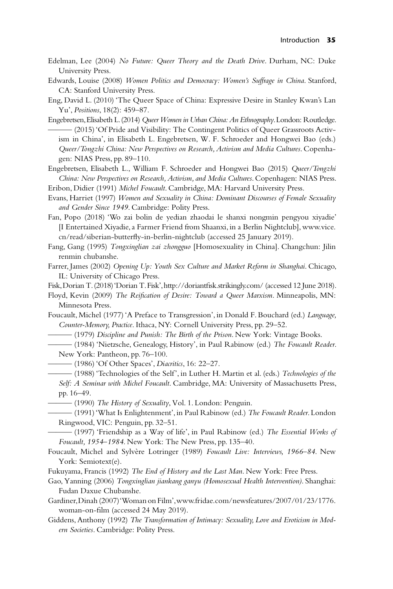- Edelman, Lee (2004) *No Future: Queer Theory and the Death Drive*. Durham, NC: Duke University Press.
- Edwards, Louise (2008) *Women Politics and Democracy: Women's Suffrage in China*. Stanford, CA: Stanford University Press.
- Eng, David L. (2010) 'The Queer Space of China: Expressive Desire in Stanley Kwan's Lan Yu', *Positions*, 18(2): 459–87.
- Engebretsen, Elisabeth L. (2014) *Queer Women in Urban China: An Ethnography*. London: Routledge. ——— (2015) 'Of Pride and Visibility: The Contingent Politics of Queer Grassroots Activism in China', in Elisabeth L. Engebretsen, W. F. Schroeder and Hongwei Bao (eds.) *Queer/Tongzhi China: New Perspectives on Research, Activism and Media Cultures*. Copenhagen: NIAS Press, pp. 89–110.
- Engebretsen, Elisabeth L., William F. Schroeder and Hongwei Bao (2015) *Queer/Tongzhi China: New Perspectives on Research, Activism, and Media Cultures*. Copenhagen: NIAS Press.
- Eribon, Didier (1991) *Michel Foucault*. Cambridge, MA: Harvard University Press.
- Evans, Harriet (1997) *Women and Sexuality in China: Dominant Discourses of Female Sexuality and Gender Since 1949*. Cambridge: Polity Press.
- Fan, Popo (2018) 'Wo zai bolin de yedian zhaodai le shanxi nongmin pengyou xiyadie' [I Entertained Xiyadie, a Farmer Friend from Shaanxi, in a Berlin Nightclub], [www.vice.](http://www.vice.cn) [cn/read/siberian-butterfly-in-berlin-nightclub](http://www.vice.cn) (accessed 25 January 2019).
- Fang, Gang (1995) *Tongxinglian zai zhongguo* [Homosexuality in China]. Changchun: Jilin renmin chubanshe.
- Farrer, James (2002) *Opening Up: Youth Sex Culture and Market Reform in Shanghai*. Chicago, IL: University of Chicago Press.
- Fisk, Dorian T. (2018) 'Dorian T. Fisk'[, http://doriantfisk.strikingly.com/](http://doriantfisk.strikingly.com) (accessed 12 June 2018).
- Floyd, Kevin (2009) *The Reification of Desire: Toward a Queer Marxism*. Minneapolis, MN: Minnesota Press.
- Foucault, Michel (1977) 'A Preface to Transgression', in Donald F. Bouchard (ed.) *Language, Counter-Memory, Practice*. Ithaca, NY: Cornell University Press, pp. 29–52.
	- ——— (1979) *Discipline and Punish: The Birth of the Prison*. New York: Vintage Books.
- ——— (1984) 'Nietzsche, Genealogy, History', in Paul Rabinow (ed.) *The Foucault Reader*. New York: Pantheon, pp. 76–100.
- ——— (1986) 'Of Other Spaces', *Diacritics*, 16: 22–27.
- ——— (1988) 'Technologies of the Self', in Luther H. Martin et al. (eds.) *Technologies of the Self: A Seminar with Michel Foucault*. Cambridge, MA: University of Massachusetts Press, pp. 16–49.
- ——— (1990) *The History of Sexuality*, Vol. 1. London: Penguin.

——— (1991) 'What Is Enlightenment', in Paul Rabinow (ed.) *The Foucault Reader*. London Ringwood, VIC: Penguin, pp. 32–51.

——— (1997) 'Friendship as a Way of life', in Paul Rabinow (ed.) *The Essential Works of Foucault, 1954–1984*. New York: The New Press, pp. 135–40.

- Foucault, Michel and Sylvère Lotringer (1989) *Foucault Live: Interviews, 1966–84*. New York: Semiotext(e).
- Fukuyama, Francis (1992) *The End of History and the Last Man*. New York: Free Press.
- Gao, Yanning (2006) *Tongxinglian jiankang ganyu (Homosexual Health Intervention)*. Shanghai: Fudan Daxue Chubanshe.
- Gardiner, Dinah (2007) 'Woman on Film'[, www.fridae.com/newsfeatures/2007/01/23/1776.](http://www.fridae.com) [woman-on-film](http://www.fridae.com) (accessed 24 May 2019).
- Giddens, Anthony (1992) *The Transformation of Intimacy: Sexuality, Love and Eroticism in Modern Societies*. Cambridge: Polity Press.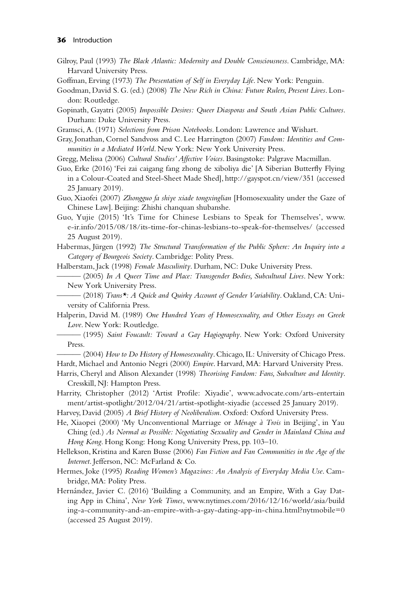- Gilroy, Paul (1993) *The Black Atlantic: Modernity and Double Consciousness*. Cambridge, MA: Harvard University Press.
- Goffman, Erving (1973) *The Presentation of Self in Everyday Life*. New York: Penguin.
- Goodman, David S. G. (ed.) (2008) *The New Rich in China: Future Rulers, Present Lives*. London: Routledge.
- Gopinath, Gayatri (2005) *Impossible Desires: Queer Diasporas and South Asian Public Cultures*. Durham: Duke University Press.
- Gramsci, A. (1971) *Selections from Prison Notebooks*. London: Lawrence and Wishart.
- Gray, Jonathan, Cornel Sandvoss and C. Lee Harrington (2007) *Fandom: Identities and Communities in a Mediated World*. New York: New York University Press.
- Gregg, Melissa (2006) *Cultural Studies' Affective Voices*. Basingstoke: Palgrave Macmillan.
- Guo, Erke (2016) 'Fei zai caigang fang zhong de xiboliya die' [A Siberian Butterfly Flying in a Colour-Coated and Steel-Sheet Made Shed], [http://gayspot.cn/view/351](http://gayspot.cn) (accessed 25 January 2019).
- Guo, Xiaofei (2007) *Zhongguo fa shiye xiade tongxinglian* [Homosexuality under the Gaze of Chinese Law]. Beijing: Zhishi chanquan shubanshe.
- Guo, Yujie (2015) 'It's Time for Chinese Lesbians to Speak for Themselves', [www.](http://www.e-ir.info) [e-ir.info/2015/08/18/its-time-for-chinas-lesbians-to-speak-for-themselves/](http://www.e-ir.info) (accessed 25 August 2019).
- Habermas, Jürgen (1992) *The Structural Transformation of the Public Sphere: An Inquiry into a Category of Bourgeois Society*. Cambridge: Polity Press.
- Halberstam, Jack (1998) *Female Masculinity*. Durham, NC: Duke University Press.
	- ——— (2005) *In A Queer Time and Place: Transgender Bodies, Subcultural Lives*. New York: New York University Press.
	- ——— (2018) *Trans\*: A Quick and Quirky Account of Gender Variability*. Oakland, CA: University of California Press.
- Halperin, David M. (1989) *One Hundred Years of Homosexuality, and Other Essays on Greek Love*. New York: Routledge.
- ——— (1995) *Saint Foucault: Toward a Gay Hagiography*. New York: Oxford University Press.
- ——— (2004) *How to Do History of Homosexuality*. Chicago, IL: University of Chicago Press. Hardt, Michael and Antonio Negri (2000) *Empire*. Harvard, MA: Harvard University Press.
- Harris, Cheryl and Alison Alexander (1998) *Theorising Fandom: Fans, Subculture and Identity*. Cresskill, NJ: Hampton Press.

Harrity, Christopher (2012) 'Artist Profile: Xiyadie', [www.advocate.com/arts-entertain](http://www.advocate.com) [ment/artist-spotlight/2012/04/21/artist-spotlight-xiyadie](http://www.advocate.com) (accessed 25 January 2019).

- Harvey, David (2005) *A Brief History of Neoliberalism*. Oxford: Oxford University Press.
- He, Xiaopei (2000) 'My Unconventional Marriage or *Ménage à Trois* in Beijing', in Yau Ching (ed.) *As Normal as Possible: Negotiating Sexuality and Gender in Mainland China and Hong Kong*. Hong Kong: Hong Kong University Press, pp. 103–10.
- Hellekson, Kristina and Karen Busse (2006) *Fan Fiction and Fan Communities in the Age of the Internet*. Jefferson, NC: McFarland & Co.
- Hermes, Joke (1995) *Reading Women's Magazines: An Analysis of Everyday Media Use*. Cambridge, MA: Polity Press.
- Hernández, Javier C. (2016) 'Building a Community, and an Empire, With a Gay Dating App in China', *New York Times*, [www.nytimes.com/2016/12/16/world/asia/build](http://www.nytimes.com) [ing-a-community-and-an-empire-with-a-gay-dating-app-in-china.html?nytmobile=0](http://www.nytimes.com)  (accessed 25 August 2019).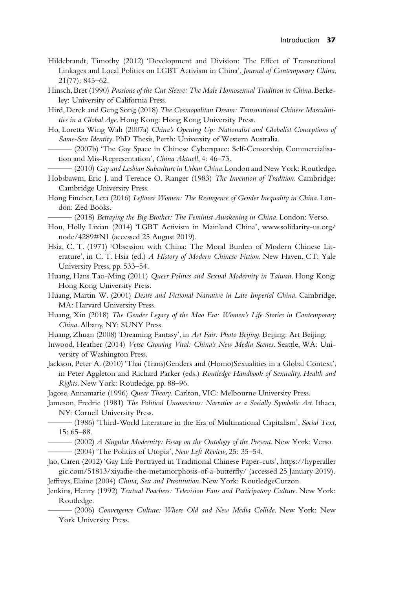- Hildebrandt, Timothy (2012) 'Development and Division: The Effect of Transnational Linkages and Local Politics on LGBT Activism in China', *Journal of Contemporary China*, 21(77): 845–62.
- Hinsch, Bret (1990) *Passions of the Cut Sleeve: The Male Homosexual Tradition in China*. Berkeley: University of California Press.
- Hird, Derek and Geng Song (2018) *The Cosmopolitan Dream: Transnational Chinese Masculinities in a Global Age*. Hong Kong: Hong Kong University Press.
- Ho, Loretta Wing Wah (2007a) *China's Opening Up: Nationalist and Globalist Conceptions of Same-Sex Identity*. PhD Thesis, Perth: University of Western Australia.
- (2007b) 'The Gay Space in Chinese Cyberspace: Self-Censorship, Commercialisation and Mis-Representation', *China Aktuell*, 4: 46–73.
- ——— (2010) *Gay and Lesbian Subculture in Urban China*. London and New York: Routledge.
- Hobsbawm, Eric J. and Terence O. Ranger (1983) *The Invention of Tradition*. Cambridge: Cambridge University Press.
- Hong Fincher, Leta (2016) *Leftover Women: The Resurgence of Gender Inequality in China*. London: Zed Books.
- ——— (2018) *Betraying the Big Brother: The Feminist Awakening in China*. London: Verso.
- Hou, Holly Lixian (2014) 'LGBT Activism in Mainland China', [www.solidarity-us.org/](http://www.solidarity-us.org) [node/4289#N1](http://www.solidarity-us.org) (accessed 25 August 2019).
- Hsia, C. T. (1971) 'Obsession with China: The Moral Burden of Modern Chinese Literature', in C. T. Hsia (ed.) *A History of Modern Chinese Fiction*. New Haven, CT: Yale University Press, pp. 533–54.
- Huang, Hans Tao-Ming (2011) *Queer Politics and Sexual Modernity in Taiwan*. Hong Kong: Hong Kong University Press.
- Huang, Martin W. (2001) *Desire and Fictional Narrative in Late Imperial China*. Cambridge, MA: Harvard University Press.
- Huang, Xin (2018) *The Gender Legacy of the Mao Era: Women's Life Stories in Contemporary China*. Albany, NY: SUNY Press.
- Huang, Zhuan (2008) 'Dreaming Fantasy', in *Art Fair: Photo Beijing*. Beijing: Art Beijing.
- Inwood, Heather (2014) *Verse Growing Viral: China's New Media Scenes*. Seattle, WA: University of Washington Press.
- Jackson, Peter A. (2010) 'Thai (Trans)Genders and (Homo)Sexualities in a Global Context', in Peter Aggleton and Richard Parker (eds.) *Routledge Handbook of Sexuality, Health and Rights*. New York: Routledge, pp. 88–96.
- Jagose, Annamarie (1996) *Queer Theory*. Carlton, VIC: Melbourne University Press.
- Jameson, Fredric (1981) *The Political Unconscious: Narrative as a Socially Symbolic Act*. Ithaca, NY: Cornell University Press.
- ——— (1986) 'Third-World Literature in the Era of Multinational Capitalism', *Social Text*, 15: 65–88.
- ——— (2002) *A Singular Modernity: Essay on the Ontology of the Present*. New York: Verso. ——— (2004) 'The Politics of Utopia', *New Left Review*, 25: 35–54.
- Jao, Caren (2012) 'Gay Life Portrayed in Traditional Chinese Paper-cuts', [https://hyperaller](https://hyperallergic.com) [gic.com/51813/xiyadie-the-metamorphosis-of-a-butterfly/](https://hyperallergic.com) (accessed 25 January 2019).
- Jeffreys, Elaine (2004) *China, Sex and Prostitution*. New York: RoutledgeCurzon.
- Jenkins, Henry (1992) *Textual Poachers: Television Fans and Participatory Culture*. New York: Routledge.
	- ——— (2006) *Convergence Culture: Where Old and New Media Collide*. New York: New York University Press.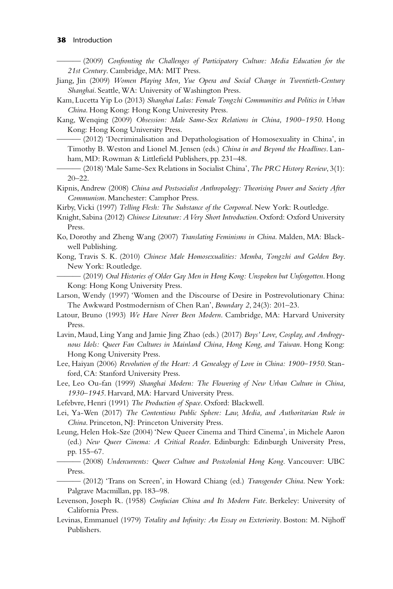$-$  (2009) *Confronting the Challenges of Participatory Culture: Media Education for the 21st Century*. Cambridge, MA: MIT Press.

- Jiang, Jin (2009) *Women Playing Men, Yue Opera and Social Change in Twentieth-Century Shanghai*. Seattle, WA: University of Washington Press.
- Kam, Lucetta Yip Lo (2013) *Shanghai Lalas: Female Tongzhi Communities and Politics in Urban China*. Hong Kong: Hong Kong Univeresity Press.

Kang, Wenqing (2009) *Obsession: Male Same-Sex Relations in China, 1900–1950*. Hong Kong: Hong Kong University Press.

——— (2012) 'Decriminalisation and Depathologisation of Homosexuality in China', in Timothy B. Weston and Lionel M. Jensen (eds.) *China in and Beyond the Headlines*. Lanham, MD: Rowman & Littlefield Publishers, pp. 231–48.

——— (2018) 'Male Same-Sex Relations in Socialist China', *The PRC History Review*, 3(1): 20–22.

Kipnis, Andrew (2008) *China and Postsocialist Anthropology: Theorising Power and Society After Communism*. Manchester: Camphor Press.

Kirby, Vicki (1997) *Telling Flesh: The Substance of the Corporeal*. New York: Routledge.

- Knight, Sabina (2012) *Chinese Literature: AVery Short Introduction*. Oxford: Oxford University Press.
- Ko, Dorothy and Zheng Wang (2007) *Translating Feminisms in China*. Malden, MA: Blackwell Publishing.
- Kong, Travis S. K. (2010) *Chinese Male Homosexualities: Memba, Tongzhi and Golden Boy*. New York: Routledge.
	- ——— (2019) *Oral Histories of Older Gay Men in Hong Kong: Unspoken but Unforgotten*. Hong Kong: Hong Kong University Press.
- Larson, Wendy (1997) 'Women and the Discourse of Desire in Postrevolutionary China: The Awkward Postmodernism of Chen Ran', *Boundary 2*, 24(3): 201–23.
- Latour, Bruno (1993) *We Have Never Been Modern*. Cambridge, MA: Harvard University Press.
- Lavin, Maud, Ling Yang and Jamie Jing Zhao (eds.) (2017) *Boys' Love, Cosplay, and Androgynous Idols: Queer Fan Cultures in Mainland China, Hong Kong, and Taiwan*. Hong Kong: Hong Kong University Press.
- Lee, Haiyan (2006) *Revolution of the Heart: A Genealogy of Love in China: 1900–1950*. Stanford, CA: Stanford University Press.
- Lee, Leo Ou-fan (1999) *Shanghai Modern: The Flowering of New Urban Culture in China, 1930–1945*. Harvard, MA: Harvard University Press.
- Lefebvre, Henri (1991) *The Production of Space*. Oxford: Blackwell.
- Lei, Ya-Wen (2017) *The Contentious Public Sphere: Law, Media, and Authoritarian Rule in China*. Princeton, NJ: Princeton University Press.
- Leung, Helen Hok-Sze (2004) 'New Queer Cinema and Third Cinema', in Michele Aaron (ed.) *New Queer Cinema: A Critical Reader*. Edinburgh: Edinburgh University Press, pp. 155–67.

——— (2008) *Undercurrents: Queer Culture and Postcolonial Hong Kong*. Vancouver: UBC Press.

- ——— (2012) 'Trans on Screen', in Howard Chiang (ed.) *Transgender China*. New York: Palgrave Macmillan, pp. 183–98.
- Levenson, Joseph R. (1958) *Confucian China and Its Modern Fate*. Berkeley: University of California Press.
- Levinas, Emmanuel (1979) *Totality and Infinity: An Essay on Exteriority*. Boston: M. Nijhoff Publishers.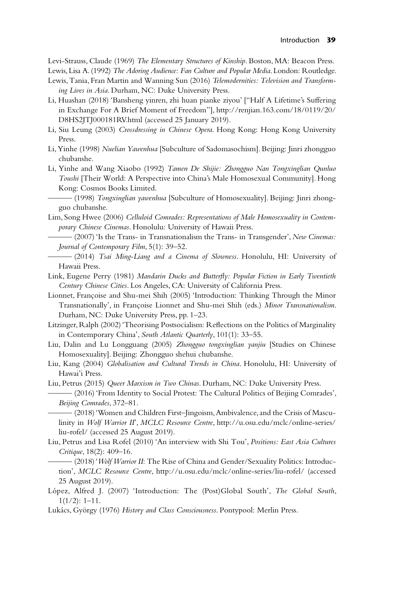Levi-Strauss, Claude (1969) *The Elementary Structures of Kinship*. Boston, MA: Beacon Press.

- Lewis, Lisa A. (1992) *The Adoring Audience: Fan Culture and Popular Media*. London: Routledge. Lewis, Tania, Fran Martin and Wanning Sun (2016) *Telemodernities: Television and Transform-*
- *ing Lives in Asia*. Durham, NC: Duke University Press. Li, Huashan (2018) 'Bansheng yinren, zhi huan pianke ziyou' ["Half A Lifetime's Suffering in Exchange For A Brief Moment of Freedom"], [http://renjian.163.com/18/0119/20/](http://renjian.163.com) [D8HS2JTJ000181RV.html](http://renjian.163.com) (accessed 25 January 2019).
- Li, Siu Leung (2003) *Crossdressing in Chinese Opera*. Hong Kong: Hong Kong University Press.
- Li, Yinhe (1998) *Nuelian Yawenhua* [Subculture of Sadomasochism]. Beijing: Jinri zhongguo chubanshe.
- Li, Yinhe and Wang Xiaobo (1992) *Tamen De Shijie: Zhongguo Nan Tongxinglian Qunluo Toushi* [Their World: A Perspective into China's Male Homosexual Community]. Hong Kong: Cosmos Books Limited.
- ——— (1998) *Tongxinglian yawenhua* [Subculture of Homosexuality]. Beijing: Jinri zhongguo chubanshe.
- Lim, Song Hwee (2006) *Celluloid Comrades: Representations of Male Homosexuality in Contemporary Chinese Cinemas*. Honolulu: University of Hawaii Press.
	- ——— (2007) 'Is the Trans- in Transnationalism the Trans- in Transgender', *New Cinemas: Journal of Contemporary Film*, 5(1): 39–52.
	- ——— (2014) *Tsai Ming-Liang and a Cinema of Slowness*. Honolulu, HI: University of Hawaii Press.
- Link, Eugene Perry (1981) *Mandarin Ducks and Butterfly: Popular Fiction in Early Twentieth Century Chinese Cities*. Los Angeles, CA: University of California Press.
- Lionnet, Françoise and Shu-mei Shih (2005) 'Introduction: Thinking Through the Minor Transnationally', in Françoise Lionnet and Shu-mei Shih (eds.) *Minor Transnationalism*. Durham, NC: Duke University Press, pp. 1–23.
- Litzinger, Ralph (2002) 'Theorising Postsocialism: Reflections on the Politics of Marginality in Contemporary China', *South Atlantic Quarterly*, 101(1): 33–55.
- Liu, Dalin and Lu Longguang (2005) *Zhongguo tongxinglian yanjiu* [Studies on Chinese Homosexuality]. Beijing: Zhongguo shehui chubanshe.
- Liu, Kang (2004) *Globalisation and Cultural Trends in China*. Honolulu, HI: University of Hawai'i Press.
- Liu, Petrus (2015) *Queer Marxism in Two Chinas*. Durham, NC: Duke University Press.
- ——— (2016) 'From Identity to Social Protest: The Cultural Politics of Beijing Comrades', *Beijing Comrades*, 372–81.

——— (2018) 'Women and Children First–Jingoism, Ambivalence, and the Crisis of Masculinity in *Wolf Warrior II*', *MCLC Resource Centre*, [http://u.osu.edu/mclc/online-series/](http://u.osu.edu) [liu-rofel/](http://u.osu.edu) (accessed 25 August 2019).

Liu, Petrus and Lisa Rofel (2010) 'An interview with Shi Tou', *Positions: East Asia Cultures Critique*, 18(2): 409–16.

——— (2018) '*Wolf Warrior II*: The Rise of China and Gender/Sexuality Politics: Introduction', *MCLC Resource Centre*, [http://u.osu.edu/mclc/online-series/liu-rofel/](http://u.osu.edu) (accessed 25 August 2019).

- López, Alfred J. (2007) 'Introduction: The (Post)Global South', *The Global South*, 1(1/2): 1–11.
- Lukács, György (1976) *History and Class Consciousness*. Pontypool: Merlin Press.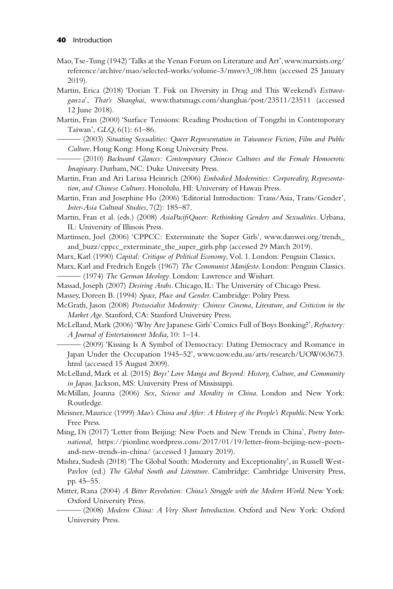- Mao, Tse-Tung (1942) 'Talks at the Yenan Forum on Literature and Art', [www.marxists.org/](http://www.marxists.org) [reference/archive/mao/selected-works/volume-3/mswv3\\_08.htm](http://www.marxists.org) (accessed 25 January 2019).
- Martin, Erica (2018) 'Dorian T. Fisk on Diversity in Drag and This Weekend's *Extravaganza*', *That's Shanghai*, [www.thatsmags.com/shanghai/post/23511/23511](http://www.thatsmags.com) (accessed 12 June 2018).
- Martin, Fran (2000) 'Surface Tensions: Reading Production of Tongzhi in Contemporary Taiwan', *GLQ*, 6(1): 61–86.
- ——— (2003) *Situating Sexualities: Queer Representation in Taiwanese Fiction, Film and Public Culture*. Hong Kong: Hong Kong University Press.
- $-$  (2010) *Backward Glances: Contemporary Chinese Cultures and the Female Homoerotic Imaginary*. Durham, NC: Duke University Press.
- Martin, Fran and Ari Larissa Heinrich (2006) *Embodied Modernities: Corporeality, Representation, and Chinese Cultures*. Honolulu, HI: University of Hawaii Press.
- Martin, Fran and Josephine Ho (2006) 'Editorial Introduction: Trans/Asia, Trans/Gender', *Inter-Asia Cultural Studies*, 7(2): 185–87.
- Martin, Fran et al. (eds.) (2008) *AsiaPacifiQueer: Rethinking Genders and Sexualities*. Urbana, IL: University of Illinois Press.
- Martinsen, Joel (2006) 'CPPCC: Exterminate the Super Girls', [www.danwei.org/trends\\_](http://www.danwei.org) [and\\_buzz/cppcc\\_exterminate\\_the\\_super\\_girls.php](http://www.danwei.org) (accessed 29 March 2019).
- Marx, Karl (1990) *Capital: Critique of Political Economy*, Vol. 1. London: Penguin Classics.
- Marx, Karl and Fredrich Engels (1967) *The Communist Manifesto*. London: Penguin Classics. ——— (1974) *The German Ideology*. London: Lawrence and Wishart.
- Massad, Joseph (2007) *Desiring Arabs*. Chicago, IL: The University of Chicago Press.
- Massey, Doreen B. (1994) *Space, Place and Gender*. Cambridge: Polity Press.
- McGrath, Jason (2008) *Postsocialist Modernity: Chinese Cinema, Literature, and Criticism in the Market Age*. Stanford, CA: Stanford University Press.
- McLelland, Mark (2006) 'Why Are Japanese Girls' Comics Full of Boys Bonking?', *Refractory: A Journal of Entertainment Media*, 10: 1–14.
	- (2009) 'Kissing Is A Symbol of Democracy: Dating Democracy and Romance in Japan Under the Occupation 1945–52', [www.uow.edu.au/arts/research/UOW063673.](http://www.uow.edu.au) [html](http://www.uow.edu.au) (accessed 15 August 2009).
- McLelland, Mark et al. (2015) *Boys' Love Manga and Beyond: History, Culture, and Community in Japan*. Jackson, MS: University Press of Mississippi.
- McMillan, Joanna (2006) *Sex, Science and Morality in China*. London and New York: Routledge.
- Meisner, Maurice (1999) *Mao's China and After: A History of the People's Republic*. New York: Free Press.
- Ming, Di (2017) 'Letter from Beijing: New Poets and New Trends in China', *Poetry International*, [https://pionline.wordpress.com/2017/01/19/letter-from-beijing-new-poets](https://pionline.wordpress.com)[and-new-trends-in-china/](https://pionline.wordpress.com) (accessed 1 January 2019).
- Mishra, Sudesh (2018) 'The Global South: Modernity and Exceptionality', in Russell West-Pavlov (ed.) *The Global South and Literature*. Cambridge: Cambridge University Press, pp. 45–55.
- Mitter, Rana (2004) *A Bitter Revolution: China's Struggle with the Modern World*. New York: Oxford University Press.
	- ——— (2008) *Modern China: A Very Short Introduction*. Oxford and New York: Oxford University Press.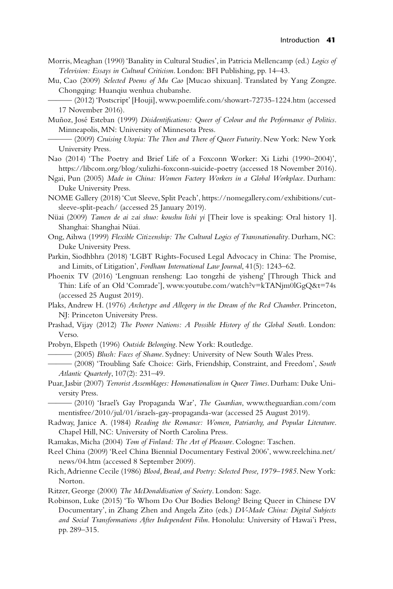- Morris, Meaghan (1990) 'Banality in Cultural Studies', in Patricia Mellencamp (ed.) *Logics of Television: Essays in Cultural Criticism*. London: BFI Publishing, pp. 14–43.
- Mu, Cao (2009) *Selected Poems of Mu Cao* [Mucao shixuan]. Translated by Yang Zongze. Chongqing: Huanqiu wenhua chubanshe.
- ——— (2012) 'Postscript' [Houji], [www.poemlife.com/showart-72735-1224.htm](http://www.poemlife.com) (accessed 17 November 2016).
- Muñoz, José Esteban (1999) *Disidentifications: Queer of Colour and the Performance of Politics*. Minneapolis, MN: University of Minnesota Press.
- ——— (2009) *Cruising Utopia: The Then and There of Queer Futurity*. New York: New York University Press.
- Nao (2014) 'The Poetry and Brief Life of a Foxconn Worker: Xi Lizhi (1990–2004)', [https://libcom.org/blog/xulizhi-foxconn-suicide-poetry](https://libcom.org) (accessed 18 November 2016).
- Ngai, Pun (2005) *Made in China: Women Factory Workers in a Global Workplace*. Durham: Duke University Press.
- NOME Gallery (2018) 'Cut Sleeve, Split Peach', [https://nomegallery.com/exhibitions/cut](https://nomegallery.com)[sleeve-split-peach/](https://nomegallery.com) (accessed 25 January 2019).
- Nüai (2009) *Tamen de ai zai shuo: koushu lishi yi* [Their love is speaking: Oral history 1]. Shanghai: Shanghai Nüai.
- Ong, Aihwa (1999) *Flexible Citizenship: The Cultural Logics of Transnationality*. Durham, NC: Duke University Press.
- Parkin, Siodhbhra (2018) 'LGBT Rights-Focused Legal Advocacy in China: The Promise, and Limits, of Litigation', *Fordham International Law Journal*, 41(5): 1243–62.
- Phoenix TV (2016) 'Lengnuan rensheng: Lao tongzhi de yisheng' [Through Thick and Thin: Life of an Old 'Comrade'], [www.youtube.com/watch?v=kTANjm0lGgQ&t=74s](http://www.youtube.com) (accessed 25 August 2019).
- Plaks, Andrew H. (1976) *Archetype and Allegory in the Dream of the Red Chamber*. Princeton, NJ: Princeton University Press.
- Prashad, Vijay (2012) *The Poorer Nations: A Possible History of the Global South*. London: Verso.

Probyn, Elspeth (1996) *Outside Belonging*. New York: Routledge.

——— (2005) *Blush: Faces of Shame*. Sydney: University of New South Wales Press.

- ——— (2008) 'Troubling Safe Choice: Girls, Friendship, Constraint, and Freedom', *South Atlantic Quarterly*, 107(2): 231–49.
- Puar, Jasbir (2007) *Terrorist Assemblages: Homonationalism in Queer Times*. Durham: Duke University Press.
	- ——— (2010) 'Israel's Gay Propaganda War', *The Guardian*, [www.theguardian.com/com](http://www.theguardian.com) [mentisfree/2010/jul/01/israels-gay-propaganda-war](http://www.theguardian.com) (accessed 25 August 2019).
- Radway, Janice A. (1984) *Reading the Romance: Women, Patriarchy, and Popular Literature*. Chapel Hill, NC: University of North Carolina Press.
- Ramakas, Micha (2004) *Tom of Finland: The Art of Pleasure*. Cologne: Taschen.
- Reel China (2009) 'Reel China Biennial Documentary Festival 2006', [www.reelchina.net/](http://www.reelchina.net) [news/04.htm](http://www.reelchina.net) (accessed 8 September 2009).
- Rich, Adrienne Cecile (1986) *Blood, Bread, and Poetry: Selected Prose, 1979–1985*. New York: Norton.
- Ritzer, George (2000) *The McDonaldisation of Society*. London: Sage.
- Robinson, Luke (2015) 'To Whom Do Our Bodies Belong? Being Queer in Chinese DV Documentary', in Zhang Zhen and Angela Zito (eds.) *DV-Made China: Digital Subjects and Social Transformations After Independent Film*. Honolulu: University of Hawai'i Press, pp. 289–315.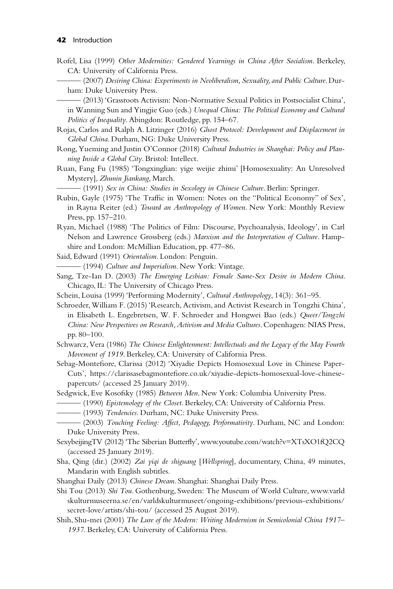- Rofel, Lisa (1999) *Other Modernities: Gendered Yearnings in China After Socialism*. Berkeley, CA: University of California Press.
	- ——— (2007) *Desiring China: Experiments in Neoliberalism, Sexuality, and Public Culture*. Durham: Duke University Press.

——— (2013) 'Grassroots Activism: Non-Normative Sexual Politics in Postsocialist China', in Wanning Sun and Yingjie Guo (eds.) *Unequal China: The Political Economy and Cultural Politics of Inequality*. Abingdon: Routledge, pp. 154–67.

- Rojas, Carlos and Ralph A. Litzinger (2016) *Ghost Protocol: Development and Displacement in Global China*. Durham, NG: Duke University Press.
- Rong, Yueming and Justin O'Connor (2018) *Cultural Industries in Shanghai: Policy and Planning Inside a Global City*. Bristol: Intellect.
- Ruan, Fang Fu (1985) 'Tongxinglian: yige weijie zhimi' [Homosexuality: An Unresolved Mystery], *Zhunin Jiankang*, March.

——— (1991) *Sex in China: Studies in Sexology in Chinese Culture*. Berlin: Springer.

- Rubin, Gayle (1975) 'The Traffic in Women: Notes on the "Political Economy" of Sex', in Rayna Reiter (ed.) *Toward an Anthropology of Women*. New York: Monthly Review Press, pp. 157–210.
- Ryan, Michael (1988) 'The Politics of Film: Discourse, Psychoanalysis, Ideology', in Carl Nelson and Lawrence Grossberg (eds.) *Marxism and the Interpretation of Culture*. Hampshire and London: McMillian Education, pp. 477–86.
- Said, Edward (1991) *Orientalism*. London: Penguin.
- ——— (1994) *Culture and Imperialism*. New York: Vintage.
- Sang, Tze-Ian D. (2003) *The Emerging Lesbian: Female Same-Sex Desire in Modern China*. Chicago, IL: The University of Chicago Press.
- Schein, Louisa (1999) 'Performing Modernity', *Cultural Anthropology*, 14(3): 361–95.
- Schroeder, William F. (2015) 'Research, Activism, and Activist Research in Tongzhi China', in Elisabeth L. Engebretsen, W. F. Schroeder and Hongwei Bao (eds.) *Queer/Tongzhi China: New Perspectives on Research, Activism and Media Cultures*. Copenhagen: NIAS Press, pp. 80–100.
- Schwarcz, Vera (1986) *The Chinese Enlightenment: Intellectuals and the Legacy of the May Fourth Movement of 1919*. Berkeley, CA: University of California Press.
- Sebag-Montefiore, Clarissa (2012) 'Xiyadie Depicts Homosexual Love in Chinese Paper-Cuts', [https://clarissasebagmontefiore.co.uk/xiyadie-depicts-homosexual-love-chinese](https://clarissasebagmontefiore.co.uk)[papercuts/](https://clarissasebagmontefiore.co.uk) (accessed 25 January 2019).
- Sedgwick, Eve Kosofsky (1985) *Between Men*. New York: Columbia University Press.
- ——— (1990) *Epistemology of the Closet*. Berkeley, CA: University of California Press.
- ——— (1993) *Tendencies*. Durham, NC: Duke University Press.
- ——— (2003) *Touching Feeling: Affect, Pedagogy, Performativity*. Durham, NC and London: Duke University Press.
- SexybeijingTV (2012) 'The Siberian Butterfly', [www.youtube.com/watch?v=XTsXO1fQ2CQ](http://www.youtube.com) (accessed 25 January 2019).
- Sha, Qing (dir.) (2002) *Zai yiqi de shiguang* [*Wellspring*], documentary, China, 49 minutes, Mandarin with English subtitles.
- Shanghai Daily (2013) *Chinese Dream*. Shanghai: Shanghai Daily Press.
- Shi Tou (2013) *Shi Tou*. Gothenburg, Sweden: The Museum of World Culture, [www.varld](http://www.varldskulturmuseerna.se) [skulturmuseerna.se/en/varldskulturmuseet/ongoing-exhibitions/previous-exhibitions/](http://www.varldskulturmuseerna.se) [secret-love/artists/shi-tou/](http://www.varldskulturmuseerna.se) (accessed 25 August 2019).
- Shih, Shu-mei (2001) *The Lure of the Modern: Writing Modernism in Semicolonial China 1917– 1937*. Berkeley, CA: University of California Press.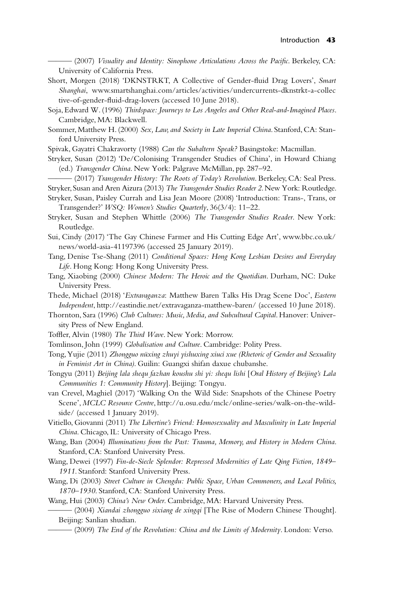——— (2007) *Visuality and Identity: Sinophone Articulations Across the Pacific*. Berkeley, CA: University of California Press.

- Short, Morgen (2018) 'DKNSTRKT, A Collective of Gender-fluid Drag Lovers', *Smart Shanghai*, [www.smartshanghai.com/articles/activities/undercurrents-dknstrkt-a-collec](http://www.smartshanghai.com) [tive-of-gender-fluid-drag-lovers](http://www.smartshanghai.com) (accessed 10 June 2018).
- Soja, Edward W. (1996) *Thirdspace: Journeys to Los Angeles and Other Real-and-Imagined Places*. Cambridge, MA: Blackwell.
- Sommer, Matthew H. (2000) *Sex, Law, and Society in Late Imperial China*. Stanford, CA: Stanford University Press.

Spivak, Gayatri Chakravorty (1988) *Can the Subaltern Speak?* Basingstoke: Macmillan.

- Stryker, Susan (2012) 'De/Colonising Transgender Studies of China', in Howard Chiang (ed.) *Transgender China*. New York: Palgrave McMillan, pp. 287–92.
- ——— (2017) *Transgender History: The Roots of Today's Revolution*. Berkeley, CA: Seal Press.

Stryker, Susan and Aren Aizura (2013) *The Transgender Studies Reader 2*. New York: Routledge.

- Stryker, Susan, Paisley Currah and Lisa Jean Moore (2008) 'Introduction: Trans-, Trans, or Transgender?' *WSQ: Women's Studies Quarterly*, 36(3/4): 11–22.
- Stryker, Susan and Stephen Whittle (2006) *The Transgender Studies Reader*. New York: Routledge.
- Sui, Cindy (2017) 'The Gay Chinese Farmer and His Cutting Edge Art', [www.bbc.co.uk/](http://www.bbc.co.uk) [news/world-asia-41197396](http://www.bbc.co.uk) (accessed 25 January 2019).
- Tang, Denise Tse-Shang (2011) *Conditional Spaces: Hong Kong Lesbian Desires and Everyday Life*. Hong Kong: Hong Kong University Press.
- Tang, Xiaobing (2000) *Chinese Modern: The Heroic and the Quotidian*. Durham, NC: Duke University Press.
- Thede, Michael (2018) '*Extravaganza*: Matthew Baren Talks His Drag Scene Doc', *Eastern Independent*, [http://eastindie.net/extravaganza-matthew-baren/](http://eastindie.net) (accessed 10 June 2018).
- Thornton, Sara (1996) *Club Cultures: Music, Media, and Subcultural Capital*. Hanover: University Press of New England.
- Toffler, Alvin (1980) *The Third Wave*. New York: Morrow.
- Tomlinson, John (1999) *Globalisation and Culture*. Cambridge: Polity Press.
- Tong, Yujie (2011) *Zhongguo nüxing zhuyi yishuxing xiuci xue (Rhetoric of Gender and Sexuality in Feminist Art in China)*. Guilin: Guangxi shifan daxue chubanshe.
- Tongyu (2011) *Beijing lala shequ fazhan koushu shi yi: shequ lishi* [*Oral History of Beijing's Lala Communities 1: Community History*]. Beijing: Tongyu.
- van Crevel, Maghiel (2017) 'Walking On the Wild Side: Snapshots of the Chinese Poetry Scene', *MCLC Resource Centre*, [http://u.osu.edu/mclc/online-series/walk-on-the-wild](http://u.osu.edu)[side/](http://u.osu.edu) (accessed 1 January 2019).
- Vitiello, Giovanni (2011) *The Libertine's Friend: Homosexuality and Masculinity in Late Imperial China*. Chicago, IL: University of Chicago Press.
- Wang, Ban (2004) *Illuminations from the Past: Trauma, Memory, and History in Modern China*. Stanford, CA: Stanford University Press.
- Wang, Dewei (1997) *Fin-de-Siecle Splendor: Repressed Modernities of Late Qing Fiction, 1849– 1911*. Stanford: Stanford University Press.
- Wang, Di (2003) *Street Culture in Chengdu: Public Space, Urban Commoners, and Local Politics, 1870–1930*. Stanford, CA: Stanford University Press.

Wang, Hui (2003) *China's New Order*. Cambridge, MA: Harvard University Press.

——— (2004) *Xiandai zhongguo sixiang de xingqi* [The Rise of Modern Chinese Thought]. Beijing: Sanlian shudian.

——— (2009) *The End of the Revolution: China and the Limits of Modernity*. London: Verso.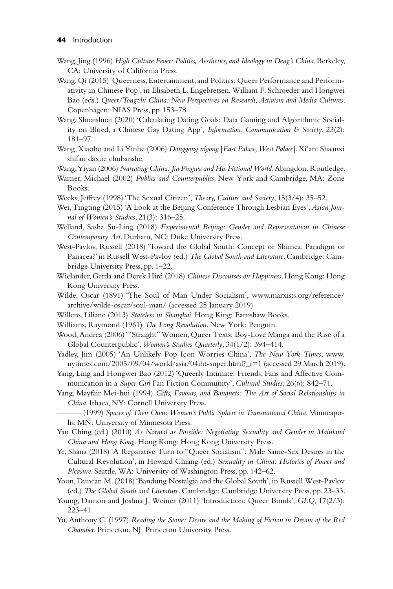- Wang, Jing (1996) *High Culture Fever: Politics, Aesthetics, and Ideology in Deng's China*. Berkeley, CA: University of California Press.
- Wang, Qi (2015) 'Queerness, Entertainment, and Politics: Queer Performance and Performativity in Chinese Pop', in Elisabeth L. Engebretsen, William F. Schroeder and Hongwei Bao (eds.) *Queer/Tongzhi China: New Perspectives on Research, Activism and Media Cultures*. Copenhagen: NIAS Press, pp. 153–78.
- Wang, Shuaishuai (2020) 'Calculating Dating Goals: Data Gaming and Algorithmic Sociality on Blued, a Chinese Gay Dating App', *Information, Communication & Society*, 23(2): 181–97.
- Wang, Xiaobo and Li Yinhe (2006) *Donggong xigong* [*East Palace, West Palace*]. Xi'an: Shaanxi shifan daxue chubanshe.

Wang, Yiyan (2006) *Narrating China: Jia Pingwa and His Fictional World*. Abingdon: Routledge.

- Warner, Michael (2002) *Publics and Counterpublics*. New York and Cambridge, MA: Zone Books.
- Weeks, Jeffrey (1998) 'The Sexual Citizen', *Theory, Culture and Society*, 15(3/4): 35–52.
- Wei, Tingting (2015) 'A Look at the Beijing Conference Through Lesbian Eyes', *Asian Journal of Women's Studies*, 21(3): 316–25.
- Welland, Sasha Su-Ling (2018) *Experimental Beijing: Gender and Representation in Chinese Contemporary Art*. Durham, NC: Duke University Press.
- West-Pavlov, Russell (2018) 'Toward the Global South: Concept or Shimea, Paradigm or Panacea?' in Russell West-Pavlov (ed.) *The Global South and Literature*. Cambridge: Cambridge University Press, pp. 1–22.
- Wielander, Gerda and Derek Hird (2018) *Chinese Discourses on Happiness*. Hong Kong: Hong Kong University Press.
- Wilde, Oscar (1891) 'The Soul of Man Under Socialism', [www.marxists.org/reference/](http://www.marxists.org) [archive/wilde-oscar/soul-man/](http://www.marxists.org) (accessed 25 January 2019).
- Willens, Liliane (2013) *Stateless in Shanghai*. Hong King: Earnshaw Books.
- Williams, Raymond (1961) *The Long Revolution*. New York: Penguin.
- Wood, Andrea (2006) '"Straight" Women, Queer Texts: Boy-Love Manga and the Rise of a Global Counterpublic', *Women's Studies Quarterly*, 34(1/2): 394–414.
- Yadley, Jim (2005) 'An Unlikely Pop Icon Worries China', *The New York Times*, [www.](http://www.nytimes.com) [nytimes.com/2005/09/04/world/asia/04iht-super.html?\\_r=1](http://www.nytimes.com) (accessed 29 March 2019).
- Yang, Ling and Hongwei Bao (2012) 'Queerly Intimate: Friends, Fans and Affective Communication in a *Super Girl* Fan Fiction Community', *Cultural Studies*, 26(6): 842–71.
- Yang, Mayfair Mei-hui (1994) *Gifts, Favours, and Banquets: The Art of Social Relationships in China*. Ithaca, NY: Cornell University Press.
	- ——— (1999) *Spaces of Their Own: Women's Public Sphere in Transnational China*. Minneapolis, MN: University of Minnesota Press.
- Yau Ching (ed.) (2010) *As Normal as Possible: Negotiating Sexuality and Gender in Mainland China and Hong Kong*. Hong Kong: Hong Kong University Press.
- Ye, Shana (2018) 'A Reparative Turn to "Queer Socialism": Male Same-Sex Desires in the Cultural Revolution', in Howard Chiang (ed.) *Sexuality in China: Histories of Power and Pleasure*. Seattle, WA: University of Washington Press, pp. 142–62.
- Yoon, Duncan M. (2018) 'Bandung Nostalgia and the Global South', in Russell West-Pavlov (ed.) *The Global South and Literature*. Cambridge: Cambridge University Press, pp. 23–33.
- Young, Damon and Joshua J. Weiner (2011) 'Introduction: Queer Bonds', *GLQ*, 17(2/3): 223–41.
- Yu, Anthony C. (1997) *Reading the Stone: Desire and the Making of Fiction in Dream of the Red Chamber*. Princeton, NJ: Princeton University Press.